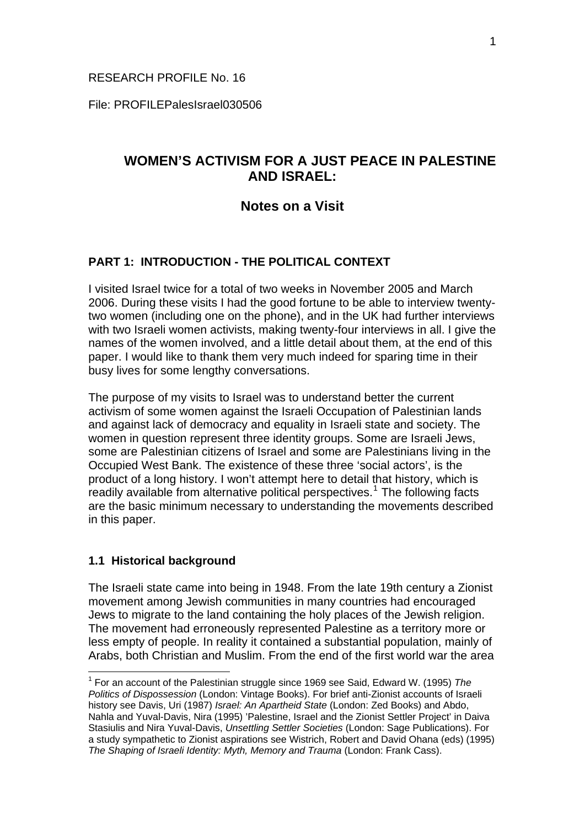## RESEARCH PROFILE No. 16

File: PROFILEPalesIsrael030506

# **WOMEN'S ACTIVISM FOR A JUST PEACE IN PALESTINE AND ISRAEL:**

# **Notes on a Visit**

# **PART 1: INTRODUCTION - THE POLITICAL CONTEXT**

I visited Israel twice for a total of two weeks in November 2005 and March 2006. During these visits I had the good fortune to be able to interview twentytwo women (including one on the phone), and in the UK had further interviews with two Israeli women activists, making twenty-four interviews in all. I give the names of the women involved, and a little detail about them, at the end of this paper. I would like to thank them very much indeed for sparing time in their busy lives for some lengthy conversations.

The purpose of my visits to Israel was to understand better the current activism of some women against the Israeli Occupation of Palestinian lands and against lack of democracy and equality in Israeli state and society. The women in question represent three identity groups. Some are Israeli Jews, some are Palestinian citizens of Israel and some are Palestinians living in the Occupied West Bank. The existence of these three 'social actors', is the product of a long history. I won't attempt here to detail that history, which is  $r$ eadily available from alternative political perspectives.<sup>[1](#page-0-0)</sup> The following facts are the basic minimum necessary to understanding the movements described in this paper.

## **1.1 Historical background**

1

The Israeli state came into being in 1948. From the late 19th century a Zionist movement among Jewish communities in many countries had encouraged Jews to migrate to the land containing the holy places of the Jewish religion. The movement had erroneously represented Palestine as a territory more or less empty of people. In reality it contained a substantial population, mainly of Arabs, both Christian and Muslim. From the end of the first world war the area

<span id="page-0-0"></span><sup>1</sup> For an account of the Palestinian struggle since 1969 see Said, Edward W. (1995) *The Politics of Dispossession* (London: Vintage Books). For brief anti-Zionist accounts of Israeli history see Davis, Uri (1987) *Israel: An Apartheid State* (London: Zed Books) and Abdo, Nahla and Yuval-Davis, Nira (1995) 'Palestine, Israel and the Zionist Settler Project' in Daiva Stasiulis and Nira Yuval-Davis, *Unsettling Settler Societies* (London: Sage Publications). For a study sympathetic to Zionist aspirations see Wistrich, Robert and David Ohana (eds) (1995) *The Shaping of Israeli Identity: Myth, Memory and Trauma* (London: Frank Cass).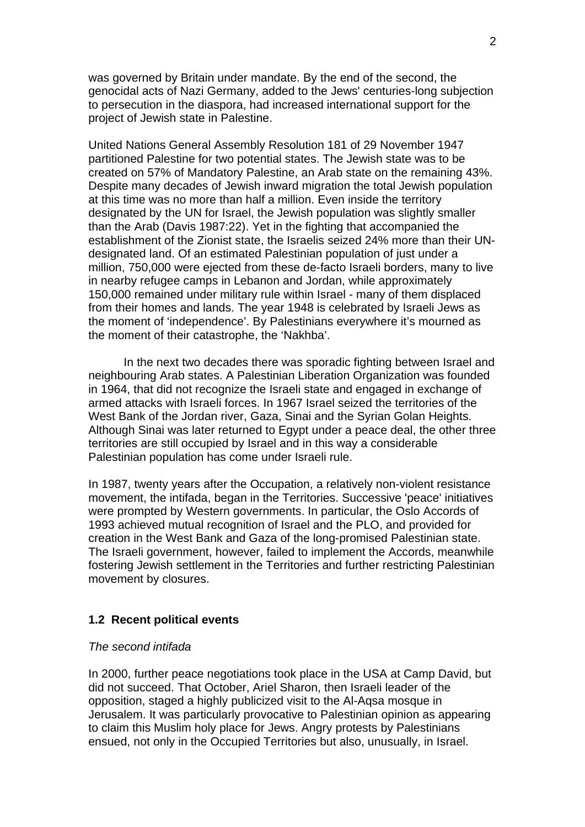was governed by Britain under mandate. By the end of the second, the genocidal acts of Nazi Germany, added to the Jews' centuries-long subjection to persecution in the diaspora, had increased international support for the project of Jewish state in Palestine.

United Nations General Assembly Resolution 181 of 29 November 1947 partitioned Palestine for two potential states. The Jewish state was to be created on 57% of Mandatory Palestine, an Arab state on the remaining 43%. Despite many decades of Jewish inward migration the total Jewish population at this time was no more than half a million. Even inside the territory designated by the UN for Israel, the Jewish population was slightly smaller than the Arab (Davis 1987:22). Yet in the fighting that accompanied the establishment of the Zionist state, the Israelis seized 24% more than their UNdesignated land. Of an estimated Palestinian population of just under a million, 750,000 were ejected from these de-facto Israeli borders, many to live in nearby refugee camps in Lebanon and Jordan, while approximately 150,000 remained under military rule within Israel - many of them displaced from their homes and lands. The year 1948 is celebrated by Israeli Jews as the moment of 'independence'. By Palestinians everywhere it's mourned as the moment of their catastrophe, the 'Nakhba'.

In the next two decades there was sporadic fighting between Israel and neighbouring Arab states. A Palestinian Liberation Organization was founded in 1964, that did not recognize the Israeli state and engaged in exchange of armed attacks with Israeli forces. In 1967 Israel seized the territories of the West Bank of the Jordan river, Gaza, Sinai and the Syrian Golan Heights. Although Sinai was later returned to Egypt under a peace deal, the other three territories are still occupied by Israel and in this way a considerable Palestinian population has come under Israeli rule.

In 1987, twenty years after the Occupation, a relatively non-violent resistance movement, the intifada, began in the Territories. Successive 'peace' initiatives were prompted by Western governments. In particular, the Oslo Accords of 1993 achieved mutual recognition of Israel and the PLO, and provided for creation in the West Bank and Gaza of the long-promised Palestinian state. The Israeli government, however, failed to implement the Accords, meanwhile fostering Jewish settlement in the Territories and further restricting Palestinian movement by closures.

### **1.2 Recent political events**

#### *The second intifada*

In 2000, further peace negotiations took place in the USA at Camp David, but did not succeed. That October, Ariel Sharon, then Israeli leader of the opposition, staged a highly publicized visit to the Al-Aqsa mosque in Jerusalem. It was particularly provocative to Palestinian opinion as appearing to claim this Muslim holy place for Jews. Angry protests by Palestinians ensued, not only in the Occupied Territories but also, unusually, in Israel.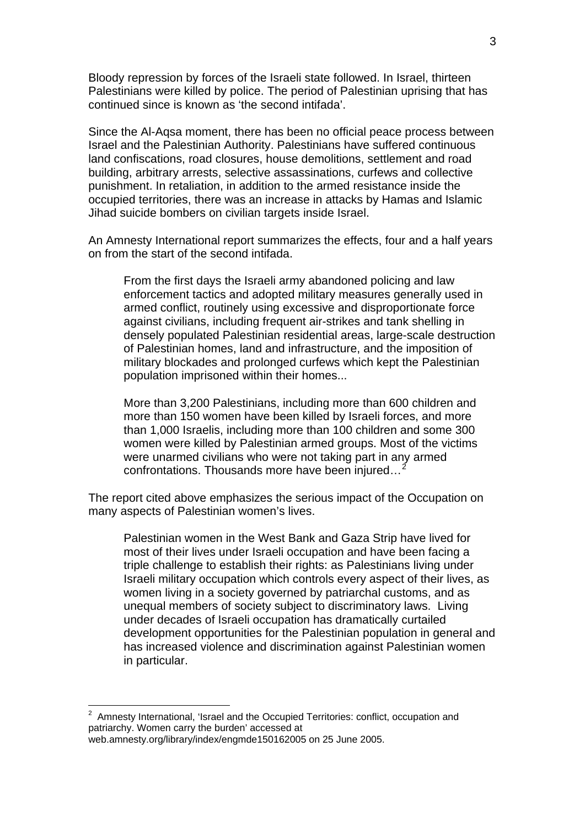Bloody repression by forces of the Israeli state followed. In Israel, thirteen Palestinians were killed by police. The period of Palestinian uprising that has continued since is known as 'the second intifada'.

3

Since the Al-Aqsa moment, there has been no official peace process between Israel and the Palestinian Authority. Palestinians have suffered continuous land confiscations, road closures, house demolitions, settlement and road building, arbitrary arrests, selective assassinations, curfews and collective punishment. In retaliation, in addition to the armed resistance inside the occupied territories, there was an increase in attacks by Hamas and Islamic Jihad suicide bombers on civilian targets inside Israel.

An Amnesty International report summarizes the effects, four and a half years on from the start of the second intifada.

From the first days the Israeli army abandoned policing and law enforcement tactics and adopted military measures generally used in armed conflict, routinely using excessive and disproportionate force against civilians, including frequent air-strikes and tank shelling in densely populated Palestinian residential areas, large-scale destruction of Palestinian homes, land and infrastructure, and the imposition of military blockades and prolonged curfews which kept the Palestinian population imprisoned within their homes...

More than 3,200 Palestinians, including more than 600 children and more than 150 women have been killed by Israeli forces, and more than 1,000 Israelis, including more than 100 children and some 300 women were killed by Palestinian armed groups. Most of the victims were unarmed civilians who were not taking part in any armed confrontations. Thousands more have been injured...

The report cited above emphasizes the serious impact of the Occupation on many aspects of Palestinian women's lives.

Palestinian women in the West Bank and Gaza Strip have lived for most of their lives under Israeli occupation and have been facing a triple challenge to establish their rights: as Palestinians living under Israeli military occupation which controls every aspect of their lives, as women living in a society governed by patriarchal customs, and as unequal members of society subject to discriminatory laws. Living under decades of Israeli occupation has dramatically curtailed development opportunities for the Palestinian population in general and has increased violence and discrimination against Palestinian women in particular.

<span id="page-2-0"></span> 2 Amnesty International, 'Israel and the Occupied Territories: conflict, occupation and patriarchy. Women carry the burden' accessed at web.amnesty.org/library/index/engmde150162005 on 25 June 2005.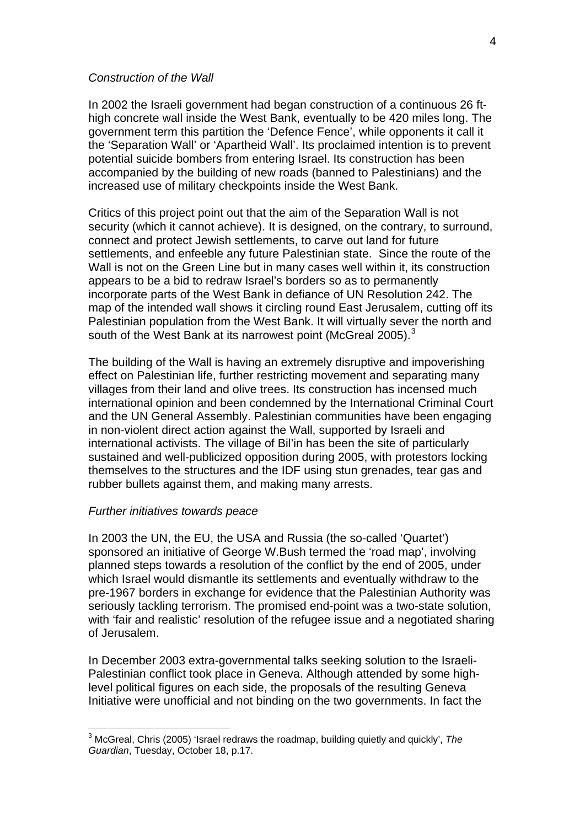#### *Construction of the Wall*

In 2002 the Israeli government had began construction of a continuous 26 fthigh concrete wall inside the West Bank, eventually to be 420 miles long. The government term this partition the 'Defence Fence', while opponents it call it the 'Separation Wall' or 'Apartheid Wall'. Its proclaimed intention is to prevent potential suicide bombers from entering Israel. Its construction has been accompanied by the building of new roads (banned to Palestinians) and the increased use of military checkpoints inside the West Bank.

Critics of this project point out that the aim of the Separation Wall is not security (which it cannot achieve). It is designed, on the contrary, to surround, connect and protect Jewish settlements, to carve out land for future settlements, and enfeeble any future Palestinian state. Since the route of the Wall is not on the Green Line but in many cases well within it, its construction appears to be a bid to redraw Israel's borders so as to permanently incorporate parts of the West Bank in defiance of UN Resolution 242. The map of the intended wall shows it circling round East Jerusalem, cutting off its Palestinian population from the West Bank. It will virtually sever the north and south of the West Bank at its narrowest point (McGreal 2005).<sup>[3](#page-3-0)</sup>

The building of the Wall is having an extremely disruptive and impoverishing effect on Palestinian life, further restricting movement and separating many villages from their land and olive trees. Its construction has incensed much international opinion and been condemned by the International Criminal Court and the UN General Assembly. Palestinian communities have been engaging in non-violent direct action against the Wall, supported by Israeli and international activists. The village of Bil'in has been the site of particularly sustained and well-publicized opposition during 2005, with protestors locking themselves to the structures and the IDF using stun grenades, tear gas and rubber bullets against them, and making many arrests.

#### *Further initiatives towards peace*

1

In 2003 the UN, the EU, the USA and Russia (the so-called 'Quartet') sponsored an initiative of George W.Bush termed the 'road map', involving planned steps towards a resolution of the conflict by the end of 2005, under which Israel would dismantle its settlements and eventually withdraw to the pre-1967 borders in exchange for evidence that the Palestinian Authority was seriously tackling terrorism. The promised end-point was a two-state solution, with 'fair and realistic' resolution of the refugee issue and a negotiated sharing of Jerusalem.

In December 2003 extra-governmental talks seeking solution to the Israeli-Palestinian conflict took place in Geneva. Although attended by some highlevel political figures on each side, the proposals of the resulting Geneva Initiative were unofficial and not binding on the two governments. In fact the

<span id="page-3-0"></span><sup>3</sup> McGreal, Chris (2005) 'Israel redraws the roadmap, building quietly and quickly', *The Guardian*, Tuesday, October 18, p.17.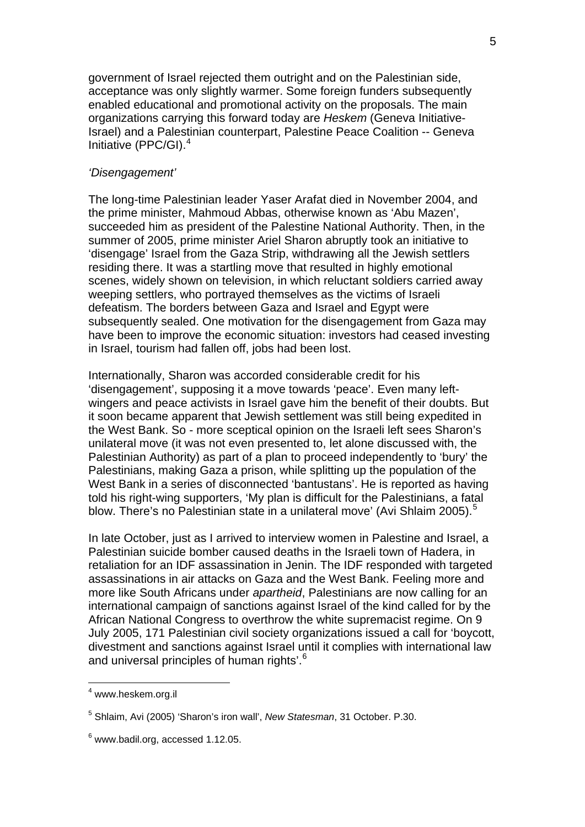government of Israel rejected them outright and on the Palestinian side, acceptance was only slightly warmer. Some foreign funders subsequently enabled educational and promotional activity on the proposals. The main organizations carrying this forward today are *Heskem* (Geneva Initiative-Israel) and a Palestinian counterpart, Palestine Peace Coalition -- Geneva Initiative (PPC/GI).[4](#page-4-0)

### *'Disengagement'*

The long-time Palestinian leader Yaser Arafat died in November 2004, and the prime minister, Mahmoud Abbas, otherwise known as 'Abu Mazen', succeeded him as president of the Palestine National Authority. Then, in the summer of 2005, prime minister Ariel Sharon abruptly took an initiative to 'disengage' Israel from the Gaza Strip, withdrawing all the Jewish settlers residing there. It was a startling move that resulted in highly emotional scenes, widely shown on television, in which reluctant soldiers carried away weeping settlers, who portrayed themselves as the victims of Israeli defeatism. The borders between Gaza and Israel and Egypt were subsequently sealed. One motivation for the disengagement from Gaza may have been to improve the economic situation: investors had ceased investing in Israel, tourism had fallen off, jobs had been lost.

Internationally, Sharon was accorded considerable credit for his 'disengagement', supposing it a move towards 'peace'. Even many leftwingers and peace activists in Israel gave him the benefit of their doubts. But it soon became apparent that Jewish settlement was still being expedited in the West Bank. So - more sceptical opinion on the Israeli left sees Sharon's unilateral move (it was not even presented to, let alone discussed with, the Palestinian Authority) as part of a plan to proceed independently to 'bury' the Palestinians, making Gaza a prison, while splitting up the population of the West Bank in a series of disconnected 'bantustans'. He is reported as having told his right-wing supporters, 'My plan is difficult for the Palestinians, a fatal blow. There's no Palestinian state in a unilateral move' (Avi Shlaim 200[5](#page-4-1)).<sup>5</sup>

In late October, just as I arrived to interview women in Palestine and Israel, a Palestinian suicide bomber caused deaths in the Israeli town of Hadera, in retaliation for an IDF assassination in Jenin. The IDF responded with targeted assassinations in air attacks on Gaza and the West Bank. Feeling more and more like South Africans under *apartheid*, Palestinians are now calling for an international campaign of sanctions against Israel of the kind called for by the African National Congress to overthrow the white supremacist regime. On 9 July 2005, 171 Palestinian civil society organizations issued a call for 'boycott, divestment and sanctions against Israel until it complies with international law and universal principles of human rights'.<sup>[6](#page-4-2)</sup>

<span id="page-4-0"></span><sup>&</sup>lt;sup>4</sup> www.heskem.org.il

<span id="page-4-1"></span><sup>5</sup> Shlaim, Avi (2005) 'Sharon's iron wall', *New Statesman*, 31 October. P.30.

<span id="page-4-2"></span> $6$  www.badil.org, accessed 1.12.05.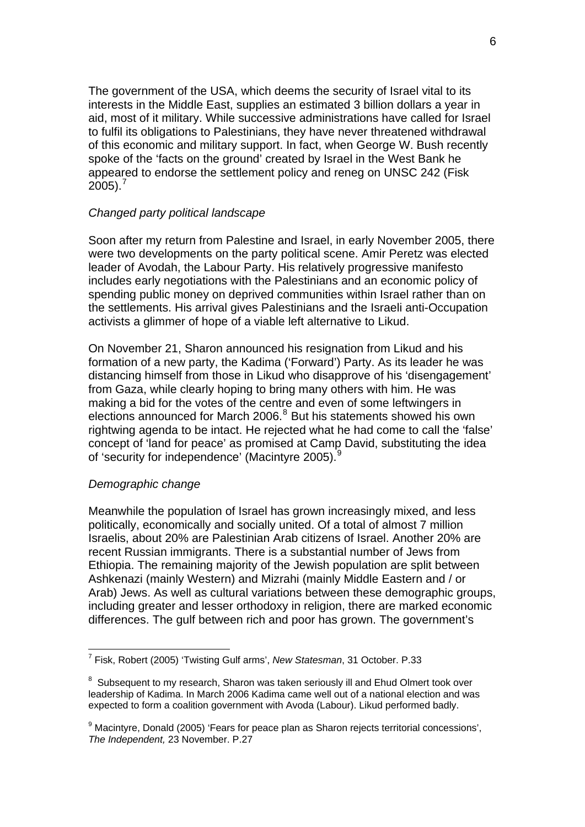The government of the USA, which deems the security of Israel vital to its interests in the Middle East, supplies an estimated 3 billion dollars a year in aid, most of it military. While successive administrations have called for Israel to fulfil its obligations to Palestinians, they have never threatened withdrawal of this economic and military support. In fact, when George W. Bush recently spoke of the 'facts on the ground' created by Israel in the West Bank he appeared to endorse the settlement policy and reneg on UNSC 242 (Fisk  $2005$ ).<sup>[7](#page-5-0)</sup>

# *Changed party political landscape*

Soon after my return from Palestine and Israel, in early November 2005, there were two developments on the party political scene. Amir Peretz was elected leader of Avodah, the Labour Party. His relatively progressive manifesto includes early negotiations with the Palestinians and an economic policy of spending public money on deprived communities within Israel rather than on the settlements. His arrival gives Palestinians and the Israeli anti-Occupation activists a glimmer of hope of a viable left alternative to Likud.

On November 21, Sharon announced his resignation from Likud and his formation of a new party, the Kadima ('Forward') Party. As its leader he was distancing himself from those in Likud who disapprove of his 'disengagement' from Gaza, while clearly hoping to bring many others with him. He was making a bid for the votes of the centre and even of some leftwingers in elections announced for March 2006.<sup>[8](#page-5-1)</sup> But his statements showed his own rightwing agenda to be intact. He rejected what he had come to call the 'false' concept of 'land for peace' as promised at Camp David, substituting the idea of 'security for independence' (Macintyre 2005).<sup>[9](#page-5-2)</sup>

## *Demographic change*

1

Meanwhile the population of Israel has grown increasingly mixed, and less politically, economically and socially united. Of a total of almost 7 million Israelis, about 20% are Palestinian Arab citizens of Israel. Another 20% are recent Russian immigrants. There is a substantial number of Jews from Ethiopia. The remaining majority of the Jewish population are split between Ashkenazi (mainly Western) and Mizrahi (mainly Middle Eastern and / or Arab) Jews. As well as cultural variations between these demographic groups, including greater and lesser orthodoxy in religion, there are marked economic differences. The gulf between rich and poor has grown. The government's

<span id="page-5-0"></span><sup>7</sup> Fisk, Robert (2005) 'Twisting Gulf arms', *New Statesman*, 31 October. P.33

<span id="page-5-1"></span> $8$  Subsequent to my research, Sharon was taken seriously ill and Ehud Olmert took over leadership of Kadima. In March 2006 Kadima came well out of a national election and was expected to form a coalition government with Avoda (Labour). Likud performed badly.

<span id="page-5-2"></span><sup>&</sup>lt;sup>9</sup> Macintyre, Donald (2005) 'Fears for peace plan as Sharon rejects territorial concessions', *The Independent,* 23 November. P.27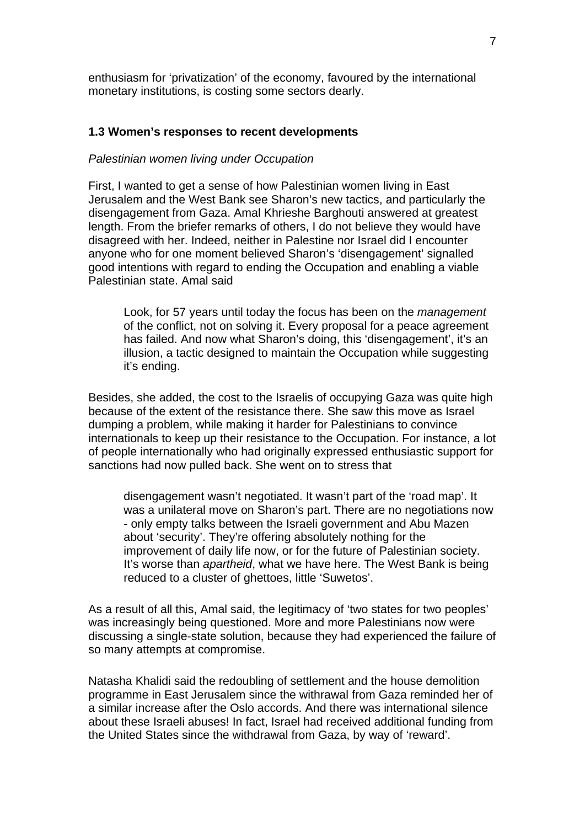enthusiasm for 'privatization' of the economy, favoured by the international monetary institutions, is costing some sectors dearly.

## **1.3 Women's responses to recent developments**

## *Palestinian women living under Occupation*

First, I wanted to get a sense of how Palestinian women living in East Jerusalem and the West Bank see Sharon's new tactics, and particularly the disengagement from Gaza. Amal Khrieshe Barghouti answered at greatest length. From the briefer remarks of others, I do not believe they would have disagreed with her. Indeed, neither in Palestine nor Israel did I encounter anyone who for one moment believed Sharon's 'disengagement' signalled good intentions with regard to ending the Occupation and enabling a viable Palestinian state. Amal said

Look, for 57 years until today the focus has been on the *management*  of the conflict, not on solving it. Every proposal for a peace agreement has failed. And now what Sharon's doing, this 'disengagement', it's an illusion, a tactic designed to maintain the Occupation while suggesting it's ending.

Besides, she added, the cost to the Israelis of occupying Gaza was quite high because of the extent of the resistance there. She saw this move as Israel dumping a problem, while making it harder for Palestinians to convince internationals to keep up their resistance to the Occupation. For instance, a lot of people internationally who had originally expressed enthusiastic support for sanctions had now pulled back. She went on to stress that

disengagement wasn't negotiated. It wasn't part of the 'road map'. It was a unilateral move on Sharon's part. There are no negotiations now - only empty talks between the Israeli government and Abu Mazen about 'security'. They're offering absolutely nothing for the improvement of daily life now, or for the future of Palestinian society. It's worse than *apartheid*, what we have here. The West Bank is being reduced to a cluster of ghettoes, little 'Suwetos'.

As a result of all this, Amal said, the legitimacy of 'two states for two peoples' was increasingly being questioned. More and more Palestinians now were discussing a single-state solution, because they had experienced the failure of so many attempts at compromise.

Natasha Khalidi said the redoubling of settlement and the house demolition programme in East Jerusalem since the withrawal from Gaza reminded her of a similar increase after the Oslo accords. And there was international silence about these Israeli abuses! In fact, Israel had received additional funding from the United States since the withdrawal from Gaza, by way of 'reward'.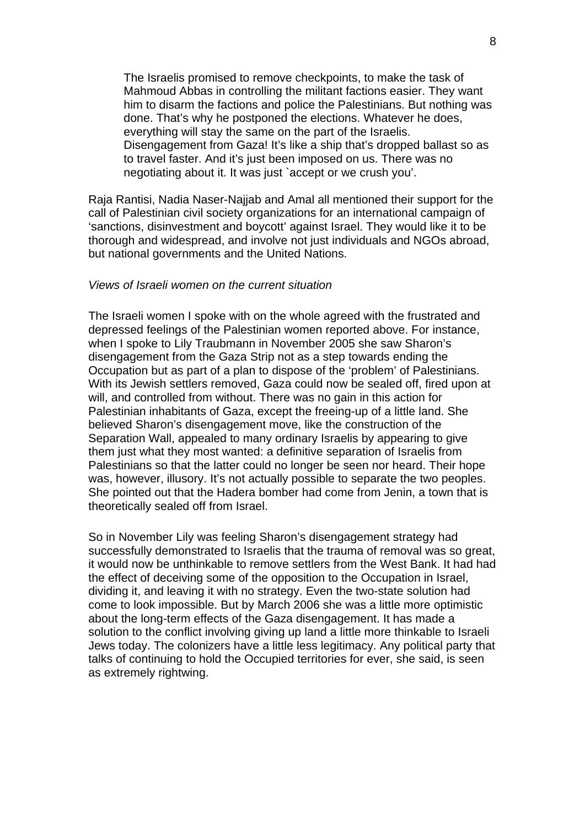The Israelis promised to remove checkpoints, to make the task of Mahmoud Abbas in controlling the militant factions easier. They want him to disarm the factions and police the Palestinians. But nothing was done. That's why he postponed the elections. Whatever he does, everything will stay the same on the part of the Israelis. Disengagement from Gaza! It's like a ship that's dropped ballast so as to travel faster. And it's just been imposed on us. There was no negotiating about it. It was just `accept or we crush you'.

Raja Rantisi, Nadia Naser-Najjab and Amal all mentioned their support for the call of Palestinian civil society organizations for an international campaign of 'sanctions, disinvestment and boycott' against Israel. They would like it to be thorough and widespread, and involve not just individuals and NGOs abroad, but national governments and the United Nations.

## *Views of Israeli women on the current situation*

The Israeli women I spoke with on the whole agreed with the frustrated and depressed feelings of the Palestinian women reported above. For instance, when I spoke to Lily Traubmann in November 2005 she saw Sharon's disengagement from the Gaza Strip not as a step towards ending the Occupation but as part of a plan to dispose of the 'problem' of Palestinians. With its Jewish settlers removed, Gaza could now be sealed off, fired upon at will, and controlled from without. There was no gain in this action for Palestinian inhabitants of Gaza, except the freeing-up of a little land. She believed Sharon's disengagement move, like the construction of the Separation Wall, appealed to many ordinary Israelis by appearing to give them just what they most wanted: a definitive separation of Israelis from Palestinians so that the latter could no longer be seen nor heard. Their hope was, however, illusory. It's not actually possible to separate the two peoples. She pointed out that the Hadera bomber had come from Jenin, a town that is theoretically sealed off from Israel.

So in November Lily was feeling Sharon's disengagement strategy had successfully demonstrated to Israelis that the trauma of removal was so great, it would now be unthinkable to remove settlers from the West Bank. It had had the effect of deceiving some of the opposition to the Occupation in Israel, dividing it, and leaving it with no strategy. Even the two-state solution had come to look impossible. But by March 2006 she was a little more optimistic about the long-term effects of the Gaza disengagement. It has made a solution to the conflict involving giving up land a little more thinkable to Israeli Jews today. The colonizers have a little less legitimacy. Any political party that talks of continuing to hold the Occupied territories for ever, she said, is seen as extremely rightwing.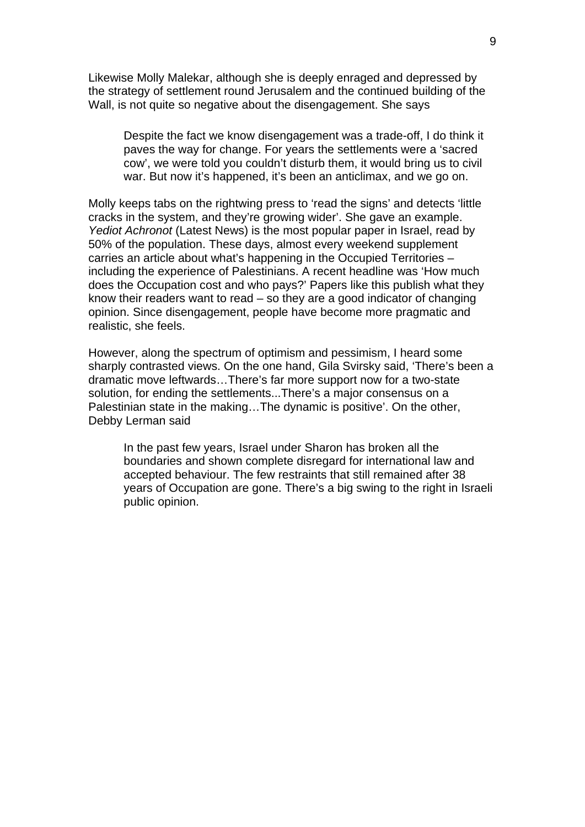Likewise Molly Malekar, although she is deeply enraged and depressed by the strategy of settlement round Jerusalem and the continued building of the Wall, is not quite so negative about the disengagement. She says

Despite the fact we know disengagement was a trade-off, I do think it paves the way for change. For years the settlements were a 'sacred cow', we were told you couldn't disturb them, it would bring us to civil war. But now it's happened, it's been an anticlimax, and we go on.

Molly keeps tabs on the rightwing press to 'read the signs' and detects 'little cracks in the system, and they're growing wider'. She gave an example. *Yediot Achronot* (Latest News) is the most popular paper in Israel, read by 50% of the population. These days, almost every weekend supplement carries an article about what's happening in the Occupied Territories – including the experience of Palestinians. A recent headline was 'How much does the Occupation cost and who pays?' Papers like this publish what they know their readers want to read – so they are a good indicator of changing opinion. Since disengagement, people have become more pragmatic and realistic, she feels.

However, along the spectrum of optimism and pessimism, I heard some sharply contrasted views. On the one hand, Gila Svirsky said, 'There's been a dramatic move leftwards…There's far more support now for a two-state solution, for ending the settlements...There's a major consensus on a Palestinian state in the making…The dynamic is positive'. On the other, Debby Lerman said

In the past few years, Israel under Sharon has broken all the boundaries and shown complete disregard for international law and accepted behaviour. The few restraints that still remained after 38 years of Occupation are gone. There's a big swing to the right in Israeli public opinion.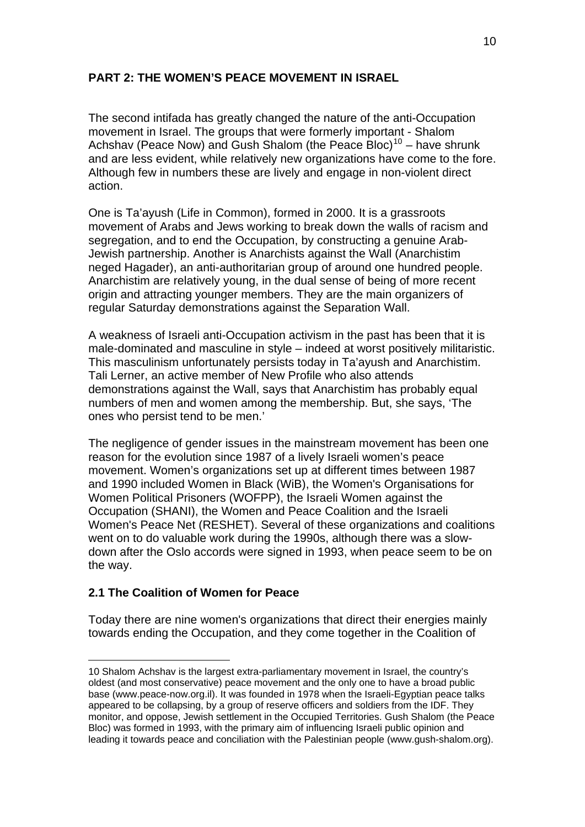# **PART 2: THE WOMEN'S PEACE MOVEMENT IN ISRAEL**

The second intifada has greatly changed the nature of the anti-Occupation movement in Israel. The groups that were formerly important - Shalom Achshav (Peace Now) and Gush Shalom (the Peace Bloc)<sup>[10](#page-9-0)</sup> – have shrunk and are less evident, while relatively new organizations have come to the fore. Although few in numbers these are lively and engage in non-violent direct action.

One is Ta'ayush (Life in Common), formed in 2000. It is a grassroots movement of Arabs and Jews working to break down the walls of racism and segregation, and to end the Occupation, by constructing a genuine Arab-Jewish partnership. Another is Anarchists against the Wall (Anarchistim neged Hagader), an anti-authoritarian group of around one hundred people. Anarchistim are relatively young, in the dual sense of being of more recent origin and attracting younger members. They are the main organizers of regular Saturday demonstrations against the Separation Wall.

A weakness of Israeli anti-Occupation activism in the past has been that it is male-dominated and masculine in style – indeed at worst positively militaristic. This masculinism unfortunately persists today in Ta'ayush and Anarchistim. Tali Lerner, an active member of New Profile who also attends demonstrations against the Wall, says that Anarchistim has probably equal numbers of men and women among the membership. But, she says, 'The ones who persist tend to be men.'

The negligence of gender issues in the mainstream movement has been one reason for the evolution since 1987 of a lively Israeli women's peace movement. Women's organizations set up at different times between 1987 and 1990 included Women in Black (WiB), the Women's Organisations for Women Political Prisoners (WOFPP), the Israeli Women against the Occupation (SHANI), the Women and Peace Coalition and the Israeli Women's Peace Net (RESHET). Several of these organizations and coalitions went on to do valuable work during the 1990s, although there was a slowdown after the Oslo accords were signed in 1993, when peace seem to be on the way.

# **2.1 The Coalition of Women for Peace**

<u>.</u>

Today there are nine women's organizations that direct their energies mainly towards ending the Occupation, and they come together in the Coalition of

<span id="page-9-0"></span><sup>10</sup> Shalom Achshav is the largest extra-parliamentary movement in Israel, the country's oldest (and most conservative) peace movement and the only one to have a broad public base (www.peace-now.org.il). It was founded in 1978 when the Israeli-Egyptian peace talks appeared to be collapsing, by a group of reserve officers and soldiers from the IDF. They monitor, and oppose, Jewish settlement in the Occupied Territories. Gush Shalom (the Peace Bloc) was formed in 1993, with the primary aim of influencing Israeli public opinion and leading it towards peace and conciliation with the Palestinian people (www.gush-shalom.org).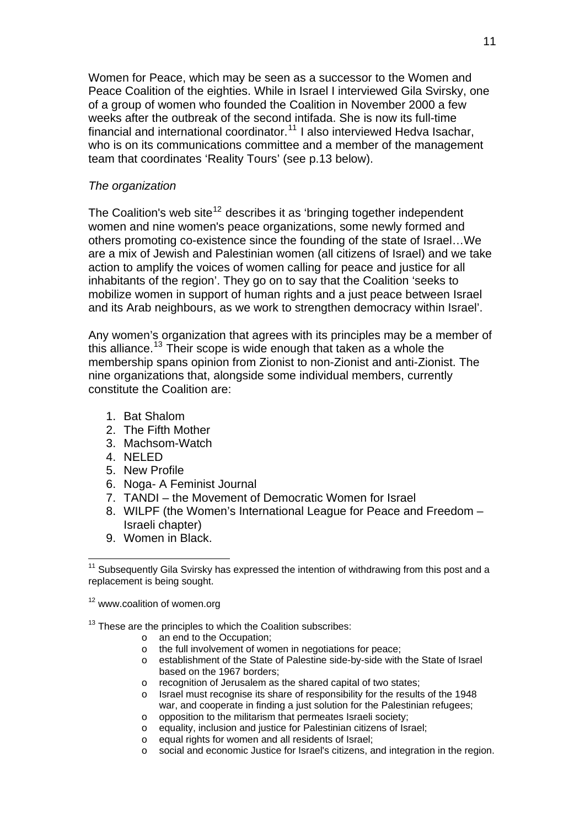Women for Peace, which may be seen as a successor to the Women and Peace Coalition of the eighties. While in Israel I interviewed Gila Svirsky, one of a group of women who founded the Coalition in November 2000 a few weeks after the outbreak of the second intifada. She is now its full-time financial and international coordinator.<sup>[11](#page-10-0)</sup> I also interviewed Hedva Isachar, who is on its communications committee and a member of the management team that coordinates 'Reality Tours' (see p.13 below).

## *The organization*

The Coalition's web site<sup>[12](#page-10-1)</sup> describes it as 'bringing together independent women and nine women's peace organizations, some newly formed and others promoting co-existence since the founding of the state of Israel…We are a mix of Jewish and Palestinian women (all citizens of Israel) and we take action to amplify the voices of women calling for peace and justice for all inhabitants of the region'. They go on to say that the Coalition 'seeks to mobilize women in support of human rights and a just peace between Israel and its Arab neighbours, as we work to strengthen democracy within Israel'.

Any women's organization that agrees with its principles may be a member of this alliance.<sup>[13](#page-10-2)</sup> Their scope is wide enough that taken as a whole the membership spans opinion from Zionist to non-Zionist and anti-Zionist. The nine organizations that, alongside some individual members, currently constitute the Coalition are:

- 1. Bat Shalom
- 2. The Fifth Mother
- 3. Machsom-Watch
- 4. NELED
- 5. New Profile
- 6. NogaA Feminist Journal
- 7. TANDI the Movement of Democratic Women for Israel
- 8. WILPF (the Women's International League for Peace and Freedom Israeli chapter)
- 9. Women in Black.

<span id="page-10-1"></span><sup>12</sup> www.coalition of women.org

<span id="page-10-2"></span> $13$  These are the principles to which the Coalition subscribes:

- o an end to the Occupation;
- o the full involvement of women in negotiations for peace;
- o establishment of the State of Palestine side-by-side with the State of Israel based on the 1967 borders;
- o recognition of Jerusalem as the shared capital of two states;
- o Israel must recognise its share of responsibility for the results of the 1948 war, and cooperate in finding a just solution for the Palestinian refugees;
- o opposition to the militarism that permeates Israeli society;
- o equality, inclusion and justice for Palestinian citizens of Israel;
- o equal rights for women and all residents of Israel;
- o social and economic Justice for Israel's citizens, and integration in the region.

<span id="page-10-0"></span><sup>1</sup>  $11$  Subsequently Gila Svirsky has expressed the intention of withdrawing from this post and a replacement is being sought.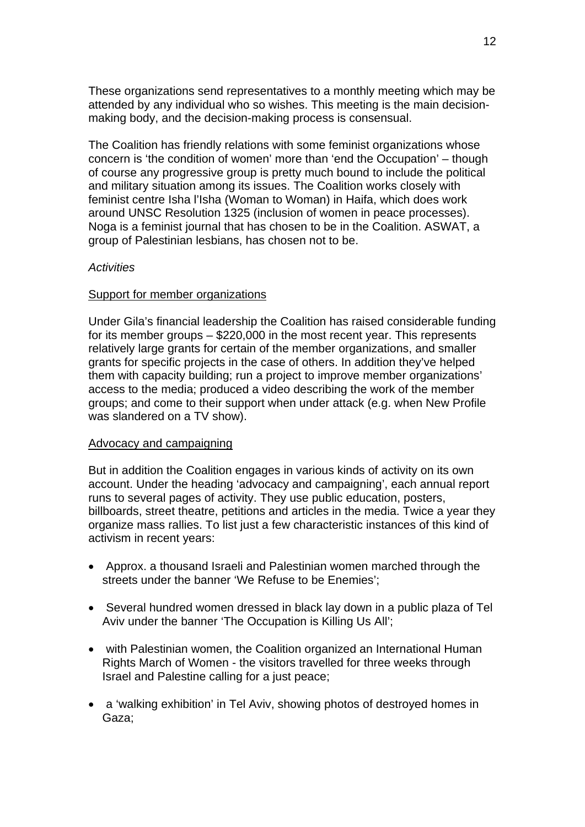These organizations send representatives to a monthly meeting which may be attended by any individual who so wishes. This meeting is the main decisionmaking body, and the decision-making process is consensual.

The Coalition has friendly relations with some feminist organizations whose concern is 'the condition of women' more than 'end the Occupation' – though of course any progressive group is pretty much bound to include the political and military situation among its issues. The Coalition works closely with feminist centre Isha l'Isha (Woman to Woman) in Haifa, which does work around UNSC Resolution 1325 (inclusion of women in peace processes). Noga is a feminist journal that has chosen to be in the Coalition. ASWAT, a group of Palestinian lesbians, has chosen not to be.

## *Activities*

## Support for member organizations

Under Gila's financial leadership the Coalition has raised considerable funding for its member groups – \$220,000 in the most recent year. This represents relatively large grants for certain of the member organizations, and smaller grants for specific projects in the case of others. In addition they've helped them with capacity building; run a project to improve member organizations' access to the media; produced a video describing the work of the member groups; and come to their support when under attack (e.g. when New Profile was slandered on a TV show).

### Advocacy and campaigning

But in addition the Coalition engages in various kinds of activity on its own account. Under the heading 'advocacy and campaigning', each annual report runs to several pages of activity. They use public education, posters, billboards, street theatre, petitions and articles in the media. Twice a year they organize mass rallies. To list just a few characteristic instances of this kind of activism in recent years:

- Approx. a thousand Israeli and Palestinian women marched through the streets under the banner 'We Refuse to be Enemies';
- Several hundred women dressed in black lay down in a public plaza of Tel Aviv under the banner 'The Occupation is Killing Us All';
- with Palestinian women, the Coalition organized an International Human Rights March of Women - the visitors travelled for three weeks through Israel and Palestine calling for a just peace;
- a 'walking exhibition' in Tel Aviv, showing photos of destroyed homes in Gaza;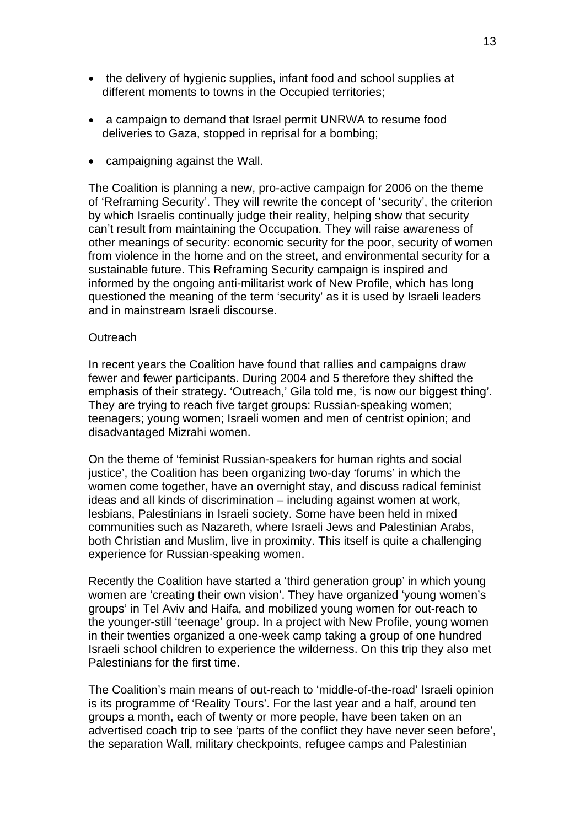- the delivery of hygienic supplies, infant food and school supplies at different moments to towns in the Occupied territories;
- a campaign to demand that Israel permit UNRWA to resume food deliveries to Gaza, stopped in reprisal for a bombing;
- campaigning against the Wall.

The Coalition is planning a new, pro-active campaign for 2006 on the theme of 'Reframing Security'. They will rewrite the concept of 'security', the criterion by which Israelis continually judge their reality, helping show that security can't result from maintaining the Occupation. They will raise awareness of other meanings of security: economic security for the poor, security of women from violence in the home and on the street, and environmental security for a sustainable future. This Reframing Security campaign is inspired and informed by the ongoing anti-militarist work of New Profile, which has long questioned the meaning of the term 'security' as it is used by Israeli leaders and in mainstream Israeli discourse.

#### **Outreach**

In recent years the Coalition have found that rallies and campaigns draw fewer and fewer participants. During 2004 and 5 therefore they shifted the emphasis of their strategy. 'Outreach,' Gila told me, 'is now our biggest thing'. They are trying to reach five target groups: Russian-speaking women; teenagers; young women; Israeli women and men of centrist opinion; and disadvantaged Mizrahi women.

On the theme of 'feminist Russian-speakers for human rights and social justice', the Coalition has been organizing two-day 'forums' in which the women come together, have an overnight stay, and discuss radical feminist ideas and all kinds of discrimination – including against women at work, lesbians, Palestinians in Israeli society. Some have been held in mixed communities such as Nazareth, where Israeli Jews and Palestinian Arabs, both Christian and Muslim, live in proximity. This itself is quite a challenging experience for Russian-speaking women.

Recently the Coalition have started a 'third generation group' in which young women are 'creating their own vision'. They have organized 'young women's groups' in Tel Aviv and Haifa, and mobilized young women for out-reach to the younger-still 'teenage' group. In a project with New Profile, young women in their twenties organized a one-week camp taking a group of one hundred Israeli school children to experience the wilderness. On this trip they also met Palestinians for the first time.

The Coalition's main means of out-reach to 'middle-of-the-road' Israeli opinion is its programme of 'Reality Tours'. For the last year and a half, around ten groups a month, each of twenty or more people, have been taken on an advertised coach trip to see 'parts of the conflict they have never seen before', the separation Wall, military checkpoints, refugee camps and Palestinian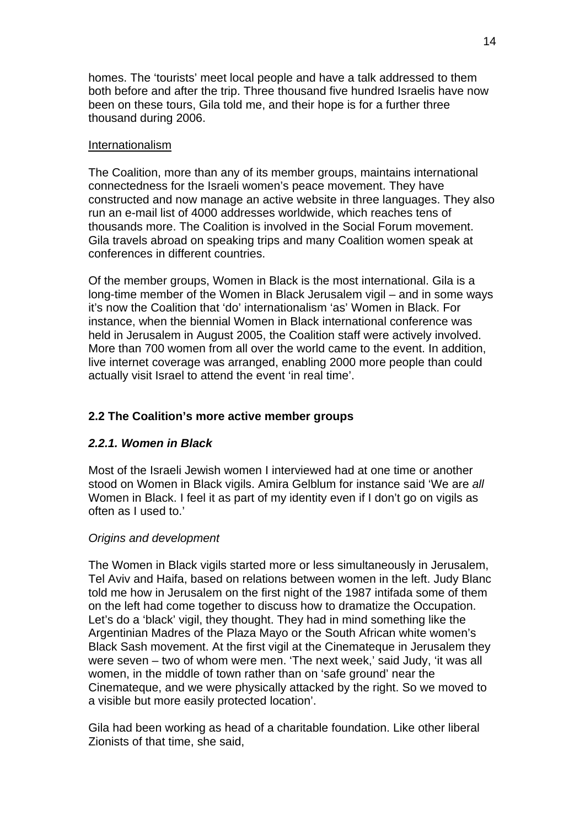homes. The 'tourists' meet local people and have a talk addressed to them both before and after the trip. Three thousand five hundred Israelis have now been on these tours, Gila told me, and their hope is for a further three thousand during 2006.

# Internationalism

The Coalition, more than any of its member groups, maintains international connectedness for the Israeli women's peace movement. They have constructed and now manage an active website in three languages. They also run an e-mail list of 4000 addresses worldwide, which reaches tens of thousands more. The Coalition is involved in the Social Forum movement. Gila travels abroad on speaking trips and many Coalition women speak at conferences in different countries.

Of the member groups, Women in Black is the most international. Gila is a long-time member of the Women in Black Jerusalem vigil – and in some ways it's now the Coalition that 'do' internationalism 'as' Women in Black. For instance, when the biennial Women in Black international conference was held in Jerusalem in August 2005, the Coalition staff were actively involved. More than 700 women from all over the world came to the event. In addition, live internet coverage was arranged, enabling 2000 more people than could actually visit Israel to attend the event 'in real time'.

# **2.2 The Coalition's more active member groups**

# *2.2.1. Women in Black*

Most of the Israeli Jewish women I interviewed had at one time or another stood on Women in Black vigils. Amira Gelblum for instance said 'We are *all*  Women in Black. I feel it as part of my identity even if I don't go on vigils as often as I used to.'

# *Origins and development*

The Women in Black vigils started more or less simultaneously in Jerusalem, Tel Aviv and Haifa, based on relations between women in the left. Judy Blanc told me how in Jerusalem on the first night of the 1987 intifada some of them on the left had come together to discuss how to dramatize the Occupation. Let's do a 'black' vigil, they thought. They had in mind something like the Argentinian Madres of the Plaza Mayo or the South African white women's Black Sash movement. At the first vigil at the Cinemateque in Jerusalem they were seven – two of whom were men. 'The next week,' said Judy, 'it was all women, in the middle of town rather than on 'safe ground' near the Cinemateque, and we were physically attacked by the right. So we moved to a visible but more easily protected location'.

Gila had been working as head of a charitable foundation. Like other liberal Zionists of that time, she said,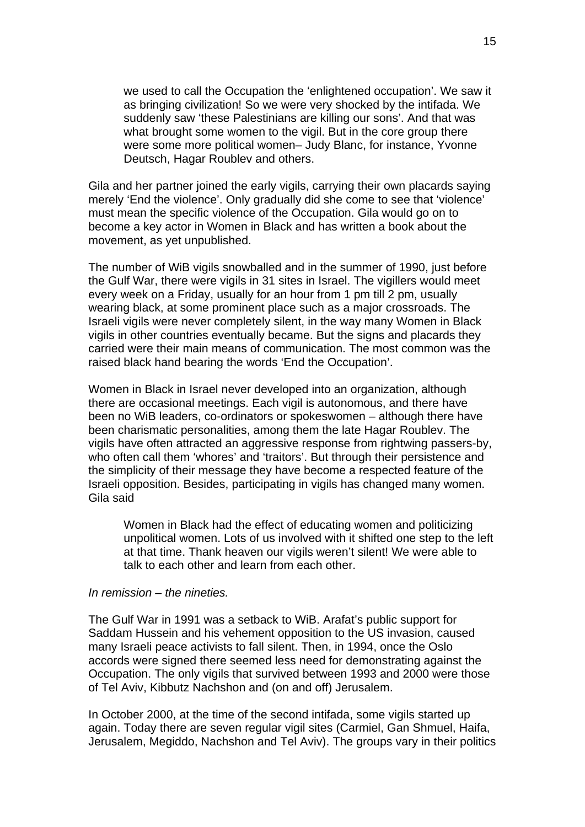we used to call the Occupation the 'enlightened occupation'. We saw it as bringing civilization! So we were very shocked by the intifada. We suddenly saw 'these Palestinians are killing our sons'. And that was what brought some women to the vigil. But in the core group there were some more political women– Judy Blanc, for instance, Yvonne Deutsch, Hagar Roublev and others.

Gila and her partner joined the early vigils, carrying their own placards saying merely 'End the violence'. Only gradually did she come to see that 'violence' must mean the specific violence of the Occupation. Gila would go on to become a key actor in Women in Black and has written a book about the movement, as yet unpublished.

The number of WiB vigils snowballed and in the summer of 1990, just before the Gulf War, there were vigils in 31 sites in Israel. The vigillers would meet every week on a Friday, usually for an hour from 1 pm till 2 pm, usually wearing black, at some prominent place such as a major crossroads. The Israeli vigils were never completely silent, in the way many Women in Black vigils in other countries eventually became. But the signs and placards they carried were their main means of communication. The most common was the raised black hand bearing the words 'End the Occupation'.

Women in Black in Israel never developed into an organization, although there are occasional meetings. Each vigil is autonomous, and there have been no WiB leaders, co-ordinators or spokeswomen – although there have been charismatic personalities, among them the late Hagar Roublev. The vigils have often attracted an aggressive response from rightwing passers-by, who often call them 'whores' and 'traitors'. But through their persistence and the simplicity of their message they have become a respected feature of the Israeli opposition. Besides, participating in vigils has changed many women. Gila said

Women in Black had the effect of educating women and politicizing unpolitical women. Lots of us involved with it shifted one step to the left at that time. Thank heaven our vigils weren't silent! We were able to talk to each other and learn from each other.

## *In remission – the nineties.*

The Gulf War in 1991 was a setback to WiB. Arafat's public support for Saddam Hussein and his vehement opposition to the US invasion, caused many Israeli peace activists to fall silent. Then, in 1994, once the Oslo accords were signed there seemed less need for demonstrating against the Occupation. The only vigils that survived between 1993 and 2000 were those of Tel Aviv, Kibbutz Nachshon and (on and off) Jerusalem.

In October 2000, at the time of the second intifada, some vigils started up again. Today there are seven regular vigil sites (Carmiel, Gan Shmuel, Haifa, Jerusalem, Megiddo, Nachshon and Tel Aviv). The groups vary in their politics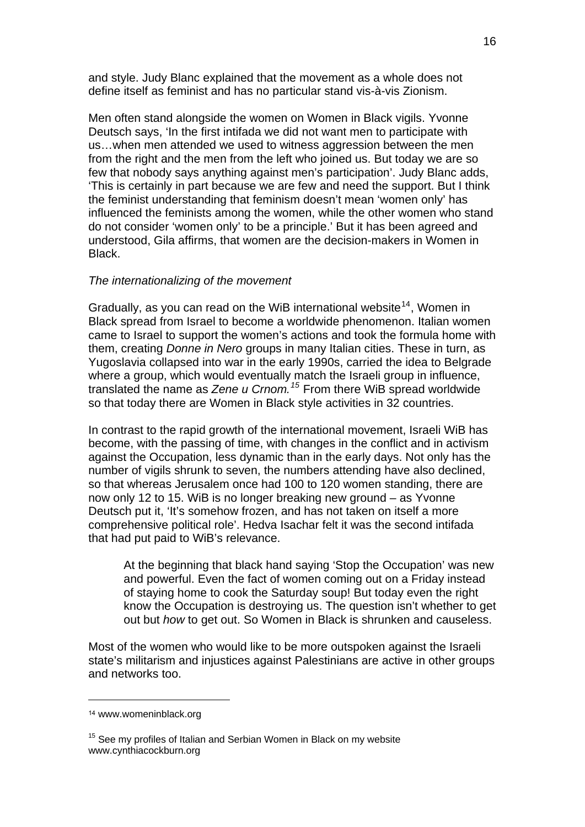and style. Judy Blanc explained that the movement as a whole does not define itself as feminist and has no particular stand vis-à-vis Zionism.

Men often stand alongside the women on Women in Black vigils. Yvonne Deutsch says, 'In the first intifada we did not want men to participate with us…when men attended we used to witness aggression between the men from the right and the men from the left who joined us. But today we are so few that nobody says anything against men's participation'. Judy Blanc adds, 'This is certainly in part because we are few and need the support. But I think the feminist understanding that feminism doesn't mean 'women only' has influenced the feminists among the women, while the other women who stand do not consider 'women only' to be a principle.' But it has been agreed and understood, Gila affirms, that women are the decision-makers in Women in Black.

## *The internationalizing of the movement*

Gradually, as you can read on the WiB international website<sup>[14](#page-15-0)</sup>, Women in Black spread from Israel to become a worldwide phenomenon. Italian women came to Israel to support the women's actions and took the formula home with them, creating *Donne in Nero* groups in many Italian cities. These in turn, as Yugoslavia collapsed into war in the early 1990s, carried the idea to Belgrade where a group, which would eventually match the Israeli group in influence, translated the name as *Zene u Crnom.[15](#page-15-1)* From there WiB spread worldwide so that today there are Women in Black style activities in 32 countries.

In contrast to the rapid growth of the international movement, Israeli WiB has become, with the passing of time, with changes in the conflict and in activism against the Occupation, less dynamic than in the early days. Not only has the number of vigils shrunk to seven, the numbers attending have also declined, so that whereas Jerusalem once had 100 to 120 women standing, there are now only 12 to 15. WiB is no longer breaking new ground – as Yvonne Deutsch put it, 'It's somehow frozen, and has not taken on itself a more comprehensive political role'. Hedva Isachar felt it was the second intifada that had put paid to WiB's relevance.

At the beginning that black hand saying 'Stop the Occupation' was new and powerful. Even the fact of women coming out on a Friday instead of staying home to cook the Saturday soup! But today even the right know the Occupation is destroying us. The question isn't whether to get out but *how* to get out. So Women in Black is shrunken and causeless.

Most of the women who would like to be more outspoken against the Israeli state's militarism and injustices against Palestinians are active in other groups and networks too.

<span id="page-15-0"></span><sup>14</sup> www.womeninblack.org

<span id="page-15-1"></span><sup>&</sup>lt;sup>15</sup> See my profiles of Italian and Serbian Women in Black on my website www.cynthiacockburn.org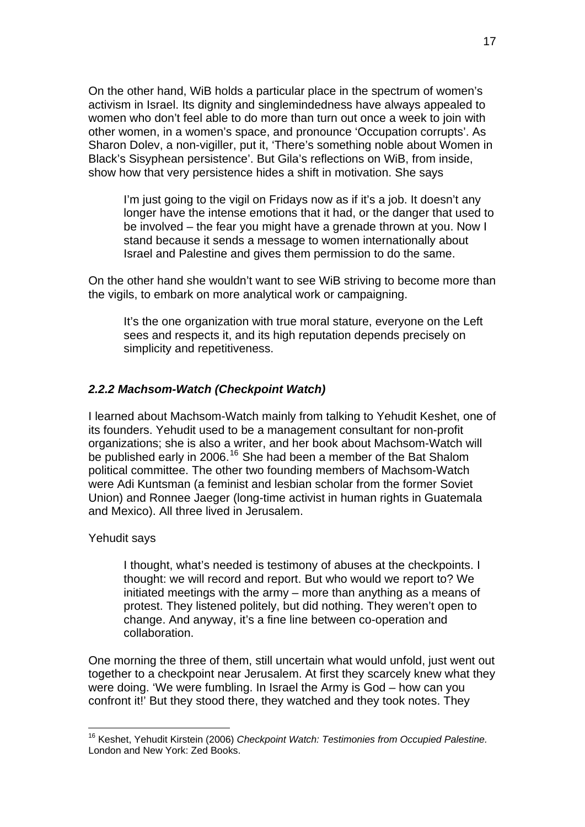On the other hand, WiB holds a particular place in the spectrum of women's activism in Israel. Its dignity and singlemindedness have always appealed to women who don't feel able to do more than turn out once a week to join with other women, in a women's space, and pronounce 'Occupation corrupts'. As Sharon Dolev, a non-vigiller, put it, 'There's something noble about Women in Black's Sisyphean persistence'. But Gila's reflections on WiB, from inside, show how that very persistence hides a shift in motivation. She says

I'm just going to the vigil on Fridays now as if it's a job. It doesn't any longer have the intense emotions that it had, or the danger that used to be involved – the fear you might have a grenade thrown at you. Now I stand because it sends a message to women internationally about Israel and Palestine and gives them permission to do the same.

On the other hand she wouldn't want to see WiB striving to become more than the vigils, to embark on more analytical work or campaigning.

It's the one organization with true moral stature, everyone on the Left sees and respects it, and its high reputation depends precisely on simplicity and repetitiveness.

# *2.2.2 Machsom-Watch (Checkpoint Watch)*

I learned about Machsom-Watch mainly from talking to Yehudit Keshet, one of its founders. Yehudit used to be a management consultant for non-profit organizations; she is also a writer, and her book about Machsom-Watch will be published early in 2006.<sup>[16](#page-16-0)</sup> She had been a member of the Bat Shalom political committee. The other two founding members of Machsom-Watch were Adi Kuntsman (a feminist and lesbian scholar from the former Soviet Union) and Ronnee Jaeger (long-time activist in human rights in Guatemala and Mexico). All three lived in Jerusalem.

## Yehudit says

1

I thought, what's needed is testimony of abuses at the checkpoints. I thought: we will record and report. But who would we report to? We initiated meetings with the army – more than anything as a means of protest. They listened politely, but did nothing. They weren't open to change. And anyway, it's a fine line between co-operation and collaboration.

One morning the three of them, still uncertain what would unfold, just went out together to a checkpoint near Jerusalem. At first they scarcely knew what they were doing. 'We were fumbling. In Israel the Army is God – how can you confront it!' But they stood there, they watched and they took notes. They

<span id="page-16-0"></span><sup>16</sup> Keshet, Yehudit Kirstein (2006) *Checkpoint Watch: Testimonies from Occupied Palestine.*  London and New York: Zed Books.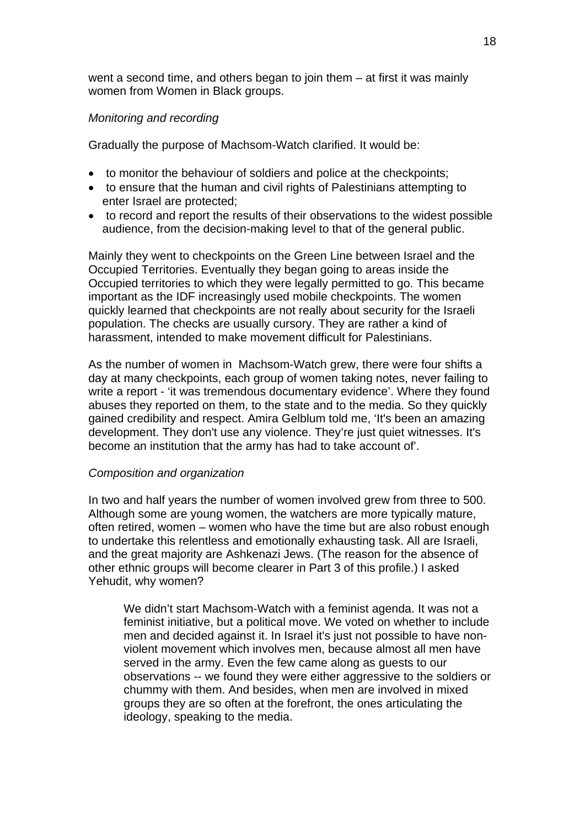went a second time, and others began to join them – at first it was mainly women from Women in Black groups.

# *Monitoring and recording*

Gradually the purpose of Machsom-Watch clarified. It would be:

- to monitor the behaviour of soldiers and police at the checkpoints;
- to ensure that the human and civil rights of Palestinians attempting to enter Israel are protected;
- to record and report the results of their observations to the widest possible audience, from the decision-making level to that of the general public.

Mainly they went to checkpoints on the Green Line between Israel and the Occupied Territories. Eventually they began going to areas inside the Occupied territories to which they were legally permitted to go. This became important as the IDF increasingly used mobile checkpoints. The women quickly learned that checkpoints are not really about security for the Israeli population. The checks are usually cursory. They are rather a kind of harassment, intended to make movement difficult for Palestinians.

As the number of women in Machsom-Watch grew, there were four shifts a day at many checkpoints, each group of women taking notes, never failing to write a report - 'it was tremendous documentary evidence'. Where they found abuses they reported on them, to the state and to the media. So they quickly gained credibility and respect. Amira Gelblum told me, 'It's been an amazing development. They don't use any violence. They're just quiet witnesses. It's become an institution that the army has had to take account of'.

## *Composition and organization*

In two and half years the number of women involved grew from three to 500. Although some are young women, the watchers are more typically mature, often retired, women – women who have the time but are also robust enough to undertake this relentless and emotionally exhausting task. All are Israeli, and the great majority are Ashkenazi Jews. (The reason for the absence of other ethnic groups will become clearer in Part 3 of this profile.) I asked Yehudit, why women?

We didn't start Machsom-Watch with a feminist agenda. It was not a feminist initiative, but a political move. We voted on whether to include men and decided against it. In Israel it's just not possible to have nonviolent movement which involves men, because almost all men have served in the army. Even the few came along as guests to our observations -- we found they were either aggressive to the soldiers or chummy with them. And besides, when men are involved in mixed groups they are so often at the forefront, the ones articulating the ideology, speaking to the media.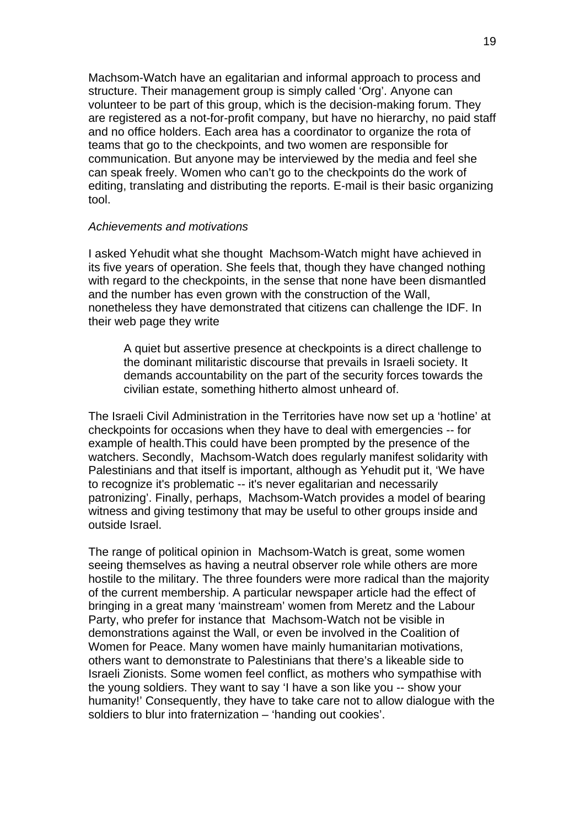Machsom-Watch have an egalitarian and informal approach to process and structure. Their management group is simply called 'Org'. Anyone can volunteer to be part of this group, which is the decision-making forum. They are registered as a not-for-profit company, but have no hierarchy, no paid staff and no office holders. Each area has a coordinator to organize the rota of teams that go to the checkpoints, and two women are responsible for communication. But anyone may be interviewed by the media and feel she can speak freely. Women who can't go to the checkpoints do the work of editing, translating and distributing the reports. E-mail is their basic organizing tool.

### *Achievements and motivations*

I asked Yehudit what she thought Machsom-Watch might have achieved in its five years of operation. She feels that, though they have changed nothing with regard to the checkpoints, in the sense that none have been dismantled and the number has even grown with the construction of the Wall, nonetheless they have demonstrated that citizens can challenge the IDF. In their web page they write

A quiet but assertive presence at checkpoints is a direct challenge to the dominant militaristic discourse that prevails in Israeli society. It demands accountability on the part of the security forces towards the civilian estate, something hitherto almost unheard of.

The Israeli Civil Administration in the Territories have now set up a 'hotline' at checkpoints for occasions when they have to deal with emergencies -- for example of health.This could have been prompted by the presence of the watchers. Secondly, Machsom-Watch does regularly manifest solidarity with Palestinians and that itself is important, although as Yehudit put it, 'We have to recognize it's problematic -- it's never egalitarian and necessarily patronizing'. Finally, perhaps, Machsom-Watch provides a model of bearing witness and giving testimony that may be useful to other groups inside and outside Israel.

The range of political opinion in Machsom-Watch is great, some women seeing themselves as having a neutral observer role while others are more hostile to the military. The three founders were more radical than the majority of the current membership. A particular newspaper article had the effect of bringing in a great many 'mainstream' women from Meretz and the Labour Party, who prefer for instance that Machsom-Watch not be visible in demonstrations against the Wall, or even be involved in the Coalition of Women for Peace. Many women have mainly humanitarian motivations, others want to demonstrate to Palestinians that there's a likeable side to Israeli Zionists. Some women feel conflict, as mothers who sympathise with the young soldiers. They want to say 'I have a son like you -- show your humanity!' Consequently, they have to take care not to allow dialogue with the soldiers to blur into fraternization – 'handing out cookies'.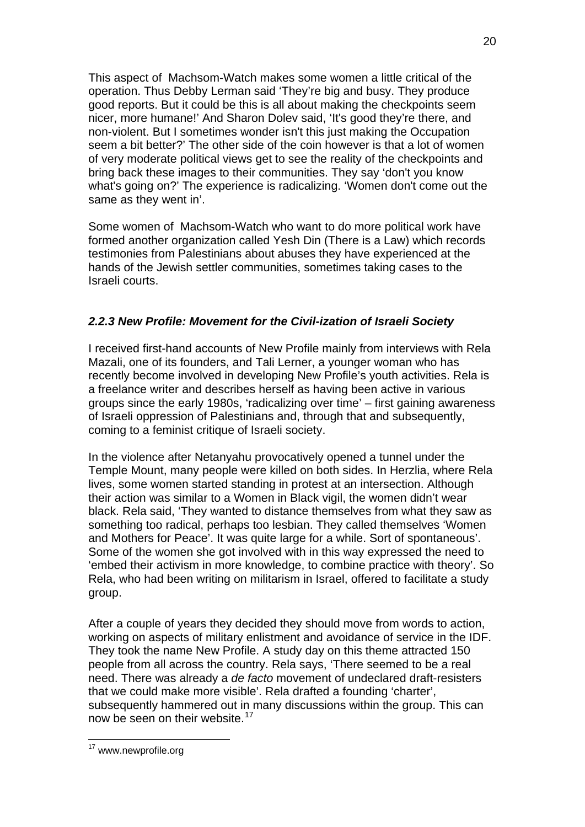This aspect of Machsom-Watch makes some women a little critical of the operation. Thus Debby Lerman said 'They're big and busy. They produce good reports. But it could be this is all about making the checkpoints seem nicer, more humane!' And Sharon Dolev said, 'It's good they're there, and non-violent. But I sometimes wonder isn't this just making the Occupation seem a bit better?' The other side of the coin however is that a lot of women of very moderate political views get to see the reality of the checkpoints and bring back these images to their communities. They say 'don't you know what's going on?' The experience is radicalizing. 'Women don't come out the same as they went in'.

Some women of Machsom-Watch who want to do more political work have formed another organization called Yesh Din (There is a Law) which records testimonies from Palestinians about abuses they have experienced at the hands of the Jewish settler communities, sometimes taking cases to the Israeli courts.

# *2.2.3 New Profile: Movement for the Civil-ization of Israeli Society*

I received first-hand accounts of New Profile mainly from interviews with Rela Mazali, one of its founders, and Tali Lerner, a younger woman who has recently become involved in developing New Profile's youth activities. Rela is a freelance writer and describes herself as having been active in various groups since the early 1980s, 'radicalizing over time' – first gaining awareness of Israeli oppression of Palestinians and, through that and subsequently, coming to a feminist critique of Israeli society.

In the violence after Netanyahu provocatively opened a tunnel under the Temple Mount, many people were killed on both sides. In Herzlia, where Rela lives, some women started standing in protest at an intersection. Although their action was similar to a Women in Black vigil, the women didn't wear black. Rela said, 'They wanted to distance themselves from what they saw as something too radical, perhaps too lesbian. They called themselves 'Women and Mothers for Peace'. It was quite large for a while. Sort of spontaneous'. Some of the women she got involved with in this way expressed the need to 'embed their activism in more knowledge, to combine practice with theory'. So Rela, who had been writing on militarism in Israel, offered to facilitate a study group.

After a couple of years they decided they should move from words to action, working on aspects of military enlistment and avoidance of service in the IDF. They took the name New Profile. A study day on this theme attracted 150 people from all across the country. Rela says, 'There seemed to be a real need. There was already a *de facto* movement of undeclared draft-resisters that we could make more visible'. Rela drafted a founding 'charter', subsequently hammered out in many discussions within the group. This can now be seen on their website.<sup>[17](#page-19-0)</sup>

<sup>20</sup>

<span id="page-19-0"></span><sup>&</sup>lt;sup>17</sup> www.newprofile.org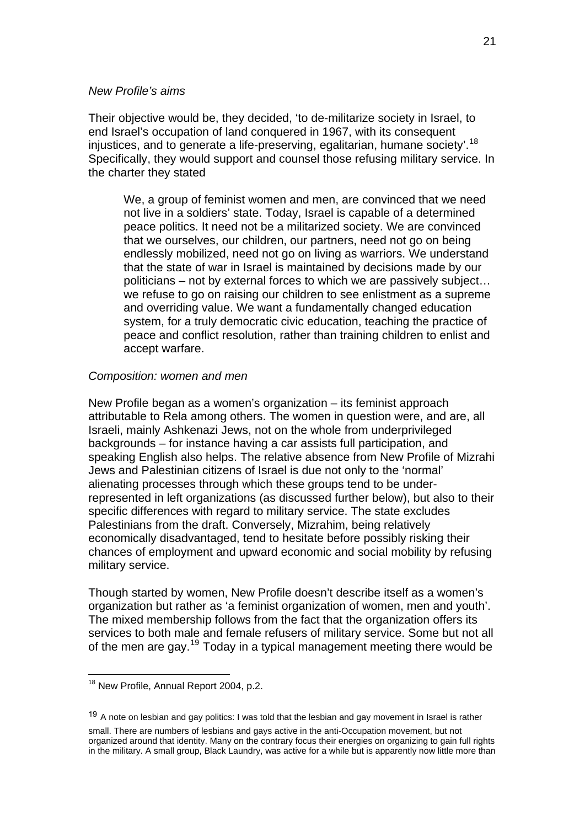## *New Profile's aims*

Their objective would be, they decided, 'to de-militarize society in Israel, to end Israel's occupation of land conquered in 1967, with its consequent injustices, and to generate a life-preserving, egalitarian, humane society'.<sup>[18](#page-20-0)</sup> Specifically, they would support and counsel those refusing military service. In the charter they stated

We, a group of feminist women and men, are convinced that we need not live in a soldiers' state. Today, Israel is capable of a determined peace politics. It need not be a militarized society. We are convinced that we ourselves, our children, our partners, need not go on being endlessly mobilized, need not go on living as warriors. We understand that the state of war in Israel is maintained by decisions made by our politicians – not by external forces to which we are passively subject… we refuse to go on raising our children to see enlistment as a supreme and overriding value. We want a fundamentally changed education system, for a truly democratic civic education, teaching the practice of peace and conflict resolution, rather than training children to enlist and accept warfare.

## *Composition: women and men*

New Profile began as a women's organization – its feminist approach attributable to Rela among others. The women in question were, and are, all Israeli, mainly Ashkenazi Jews, not on the whole from underprivileged backgrounds – for instance having a car assists full participation, and speaking English also helps. The relative absence from New Profile of Mizrahi Jews and Palestinian citizens of Israel is due not only to the 'normal' alienating processes through which these groups tend to be underrepresented in left organizations (as discussed further below), but also to their specific differences with regard to military service. The state excludes Palestinians from the draft. Conversely, Mizrahim, being relatively economically disadvantaged, tend to hesitate before possibly risking their chances of employment and upward economic and social mobility by refusing military service.

Though started by women, New Profile doesn't describe itself as a women's organization but rather as 'a feminist organization of women, men and youth'. The mixed membership follows from the fact that the organization offers its services to both male and female refusers of military service. Some but not all of the men are gay.[19](#page-20-1) Today in a typical management meeting there would be

<span id="page-20-0"></span><sup>&</sup>lt;sup>18</sup> New Profile, Annual Report 2004, p.2.

<span id="page-20-1"></span> $19$  A note on lesbian and gay politics: I was told that the lesbian and gay movement in Israel is rather

small. There are numbers of lesbians and gays active in the anti-Occupation movement, but not organized around that identity. Many on the contrary focus their energies on organizing to gain full rights in the military. A small group, Black Laundry, was active for a while but is apparently now little more than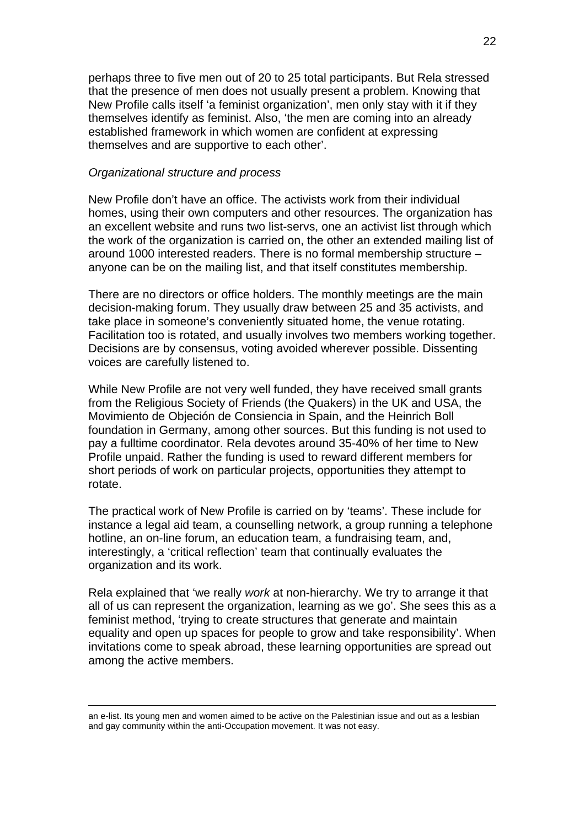perhaps three to five men out of 20 to 25 total participants. But Rela stressed that the presence of men does not usually present a problem. Knowing that New Profile calls itself 'a feminist organization', men only stay with it if they themselves identify as feminist. Also, 'the men are coming into an already established framework in which women are confident at expressing themselves and are supportive to each other'.

#### *Organizational structure and process*

New Profile don't have an office. The activists work from their individual homes, using their own computers and other resources. The organization has an excellent website and runs two list-servs, one an activist list through which the work of the organization is carried on, the other an extended mailing list of around 1000 interested readers. There is no formal membership structure – anyone can be on the mailing list, and that itself constitutes membership.

There are no directors or office holders. The monthly meetings are the main decision-making forum. They usually draw between 25 and 35 activists, and take place in someone's conveniently situated home, the venue rotating. Facilitation too is rotated, and usually involves two members working together. Decisions are by consensus, voting avoided wherever possible. Dissenting voices are carefully listened to.

While New Profile are not very well funded, they have received small grants from the Religious Society of Friends (the Quakers) in the UK and USA, the Movimiento de Objeción de Consiencia in Spain, and the Heinrich Boll foundation in Germany, among other sources. But this funding is not used to pay a fulltime coordinator. Rela devotes around 35-40% of her time to New Profile unpaid. Rather the funding is used to reward different members for short periods of work on particular projects, opportunities they attempt to rotate.

The practical work of New Profile is carried on by 'teams'. These include for instance a legal aid team, a counselling network, a group running a telephone hotline, an on-line forum, an education team, a fundraising team, and, interestingly, a 'critical reflection' team that continually evaluates the organization and its work.

Rela explained that 'we really *work* at non-hierarchy. We try to arrange it that all of us can represent the organization, learning as we go'. She sees this as a feminist method, 'trying to create structures that generate and maintain equality and open up spaces for people to grow and take responsibility'. When invitations come to speak abroad, these learning opportunities are spread out among the active members.

an e-list. Its young men and women aimed to be active on the Palestinian issue and out as a lesbian and gay community within the anti-Occupation movement. It was not easy.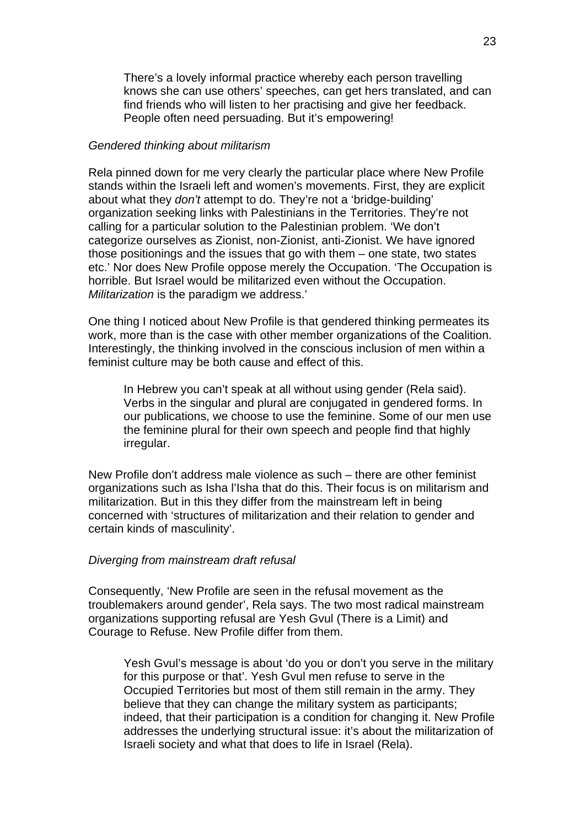There's a lovely informal practice whereby each person travelling knows she can use others' speeches, can get hers translated, and can find friends who will listen to her practising and give her feedback. People often need persuading. But it's empowering!

## *Gendered thinking about militarism*

Rela pinned down for me very clearly the particular place where New Profile stands within the Israeli left and women's movements. First, they are explicit about what they *don't* attempt to do. They're not a 'bridge-building' organization seeking links with Palestinians in the Territories. They're not calling for a particular solution to the Palestinian problem. 'We don't categorize ourselves as Zionist, non-Zionist, anti-Zionist. We have ignored those positionings and the issues that go with them – one state, two states etc.' Nor does New Profile oppose merely the Occupation. 'The Occupation is horrible. But Israel would be militarized even without the Occupation. *Militarization* is the paradigm we address.'

One thing I noticed about New Profile is that gendered thinking permeates its work, more than is the case with other member organizations of the Coalition. Interestingly, the thinking involved in the conscious inclusion of men within a feminist culture may be both cause and effect of this.

In Hebrew you can't speak at all without using gender (Rela said). Verbs in the singular and plural are conjugated in gendered forms. In our publications, we choose to use the feminine. Some of our men use the feminine plural for their own speech and people find that highly irregular.

New Profile don't address male violence as such – there are other feminist organizations such as Isha l'Isha that do this. Their focus is on militarism and militarization. But in this they differ from the mainstream left in being concerned with 'structures of militarization and their relation to gender and certain kinds of masculinity'.

### *Diverging from mainstream draft refusal*

Consequently, 'New Profile are seen in the refusal movement as the troublemakers around gender', Rela says. The two most radical mainstream organizations supporting refusal are Yesh Gvul (There is a Limit) and Courage to Refuse. New Profile differ from them.

Yesh Gvul's message is about 'do you or don't you serve in the military for this purpose or that'. Yesh Gvul men refuse to serve in the Occupied Territories but most of them still remain in the army. They believe that they can change the military system as participants; indeed, that their participation is a condition for changing it. New Profile addresses the underlying structural issue: it's about the militarization of Israeli society and what that does to life in Israel (Rela).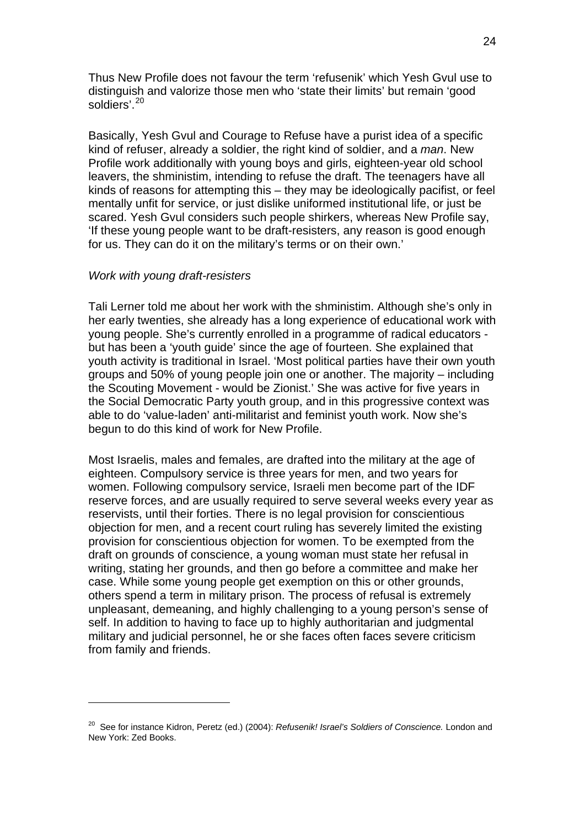Thus New Profile does not favour the term 'refusenik' which Yesh Gvul use to distinguish and valorize those men who 'state their limits' but remain 'good soldiers<sup>' [20](#page-23-0)</sup>

Basically, Yesh Gvul and Courage to Refuse have a purist idea of a specific kind of refuser, already a soldier, the right kind of soldier, and a *man*. New Profile work additionally with young boys and girls, eighteen-year old school leavers, the shministim, intending to refuse the draft. The teenagers have all kinds of reasons for attempting this – they may be ideologically pacifist, or feel mentally unfit for service, or just dislike uniformed institutional life, or just be scared. Yesh Gvul considers such people shirkers, whereas New Profile say, 'If these young people want to be draft-resisters, any reason is good enough for us. They can do it on the military's terms or on their own.'

#### *Work with young draft-resisters*

1

Tali Lerner told me about her work with the shministim. Although she's only in her early twenties, she already has a long experience of educational work with young people. She's currently enrolled in a programme of radical educators but has been a 'youth guide' since the age of fourteen. She explained that youth activity is traditional in Israel. 'Most political parties have their own youth groups and 50% of young people join one or another. The majority – including the Scouting Movement - would be Zionist.' She was active for five years in the Social Democratic Party youth group, and in this progressive context was able to do 'value-laden' anti-militarist and feminist youth work. Now she's begun to do this kind of work for New Profile.

Most Israelis, males and females, are [drafted](http://en.wikipedia.org/wiki/Conscription) into the military at the age of eighteen. Compulsory service is three years for men, and two years for women. Following compulsory service, Israeli men become part of the IDF reserve forces, and are usually required to serve several weeks every year as reservists, until their forties. There is no legal provision for conscientious objection for men, and a recent court ruling has severely limited the existing provision for conscientious objection for women. To be exempted from the draft on grounds of conscience, a young woman must state her refusal in writing, stating her grounds, and then go before a committee and make her case. While some young people get exemption on this or other grounds, others spend a term in military prison. The process of refusal is extremely unpleasant, demeaning, and highly challenging to a young person's sense of self. In addition to having to face up to highly authoritarian and judgmental military and judicial personnel, he or she faces often faces severe criticism from family and friends.

<span id="page-23-0"></span><sup>20</sup> See for instance Kidron, Peretz (ed.) (2004): *Refusenik! Israel's Soldiers of Conscience.* London and New York: Zed Books.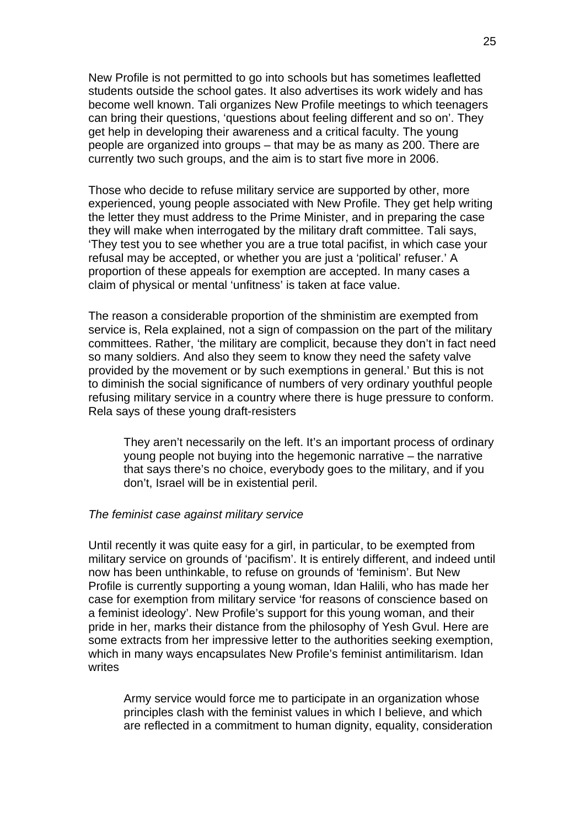New Profile is not permitted to go into schools but has sometimes leafletted students outside the school gates. It also advertises its work widely and has become well known. Tali organizes New Profile meetings to which teenagers can bring their questions, 'questions about feeling different and so on'. They get help in developing their awareness and a critical faculty. The young people are organized into groups – that may be as many as 200. There are currently two such groups, and the aim is to start five more in 2006.

Those who decide to refuse military service are supported by other, more experienced, young people associated with New Profile. They get help writing the letter they must address to the Prime Minister, and in preparing the case they will make when interrogated by the military draft committee. Tali says, 'They test you to see whether you are a true total pacifist, in which case your refusal may be accepted, or whether you are just a 'political' refuser.' A proportion of these appeals for exemption are accepted. In many cases a claim of physical or mental 'unfitness' is taken at face value.

The reason a considerable proportion of the shministim are exempted from service is, Rela explained, not a sign of compassion on the part of the military committees. Rather, 'the military are complicit, because they don't in fact need so many soldiers. And also they seem to know they need the safety valve provided by the movement or by such exemptions in general.' But this is not to diminish the social significance of numbers of very ordinary youthful people refusing military service in a country where there is huge pressure to conform. Rela says of these young draft-resisters

They aren't necessarily on the left. It's an important process of ordinary young people not buying into the hegemonic narrative – the narrative that says there's no choice, everybody goes to the military, and if you don't, Israel will be in existential peril.

### *The feminist case against military service*

Until recently it was quite easy for a girl, in particular, to be exempted from military service on grounds of 'pacifism'. It is entirely different, and indeed until now has been unthinkable, to refuse on grounds of 'feminism'. But New Profile is currently supporting a young woman, Idan Halili, who has made her case for exemption from military service 'for reasons of conscience based on a feminist ideology'. New Profile's support for this young woman, and their pride in her, marks their distance from the philosophy of Yesh Gvul. Here are some extracts from her impressive letter to the authorities seeking exemption, which in many ways encapsulates New Profile's feminist antimilitarism. Idan writes

Army service would force me to participate in an organization whose principles clash with the feminist values in which I believe, and which are reflected in a commitment to human dignity, equality, consideration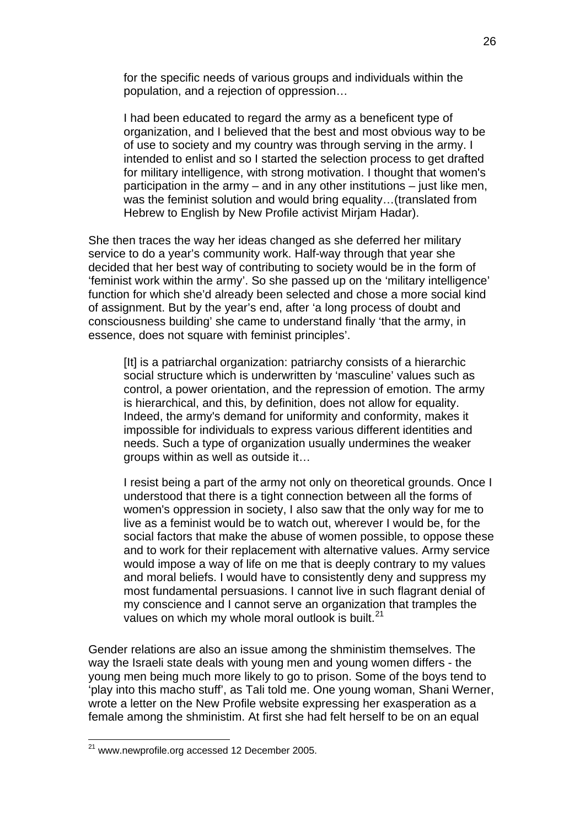for the specific needs of various groups and individuals within the population, and a rejection of oppression…

I had been educated to regard the army as a beneficent type of organization, and I believed that the best and most obvious way to be of use to society and my country was through serving in the army. I intended to enlist and so I started the selection process to get drafted for military intelligence, with strong motivation. I thought that women's participation in the army – and in any other institutions – just like men, was the feminist solution and would bring equality...(translated from Hebrew to English by New Profile activist Mirjam Hadar).

She then traces the way her ideas changed as she deferred her military service to do a year's community work. Half-way through that year she decided that her best way of contributing to society would be in the form of 'feminist work within the army'. So she passed up on the 'military intelligence' function for which she'd already been selected and chose a more social kind of assignment. But by the year's end, after 'a long process of doubt and consciousness building' she came to understand finally 'that the army, in essence, does not square with feminist principles'.

[It] is a patriarchal organization: patriarchy consists of a hierarchic social structure which is underwritten by 'masculine' values such as control, a power orientation, and the repression of emotion. The army is hierarchical, and this, by definition, does not allow for equality. Indeed, the army's demand for uniformity and conformity, makes it impossible for individuals to express various different identities and needs. Such a type of organization usually undermines the weaker groups within as well as outside it…

I resist being a part of the army not only on theoretical grounds. Once I understood that there is a tight connection between all the forms of women's oppression in society, I also saw that the only way for me to live as a feminist would be to watch out, wherever I would be, for the social factors that make the abuse of women possible, to oppose these and to work for their replacement with alternative values. Army service would impose a way of life on me that is deeply contrary to my values and moral beliefs. I would have to consistently deny and suppress my most fundamental persuasions. I cannot live in such flagrant denial of my conscience and I cannot serve an organization that tramples the values on which my whole moral outlook is built.<sup>[21](#page-25-0)</sup>

Gender relations are also an issue among the shministim themselves. The way the Israeli state deals with young men and young women differs - the young men being much more likely to go to prison. Some of the boys tend to 'play into this macho stuff', as Tali told me. One young woman, Shani Werner, wrote a letter on the New Profile website expressing her exasperation as a female among the shministim. At first she had felt herself to be on an equal

<span id="page-25-0"></span> $21$  www.newprofile.org accessed 12 December 2005.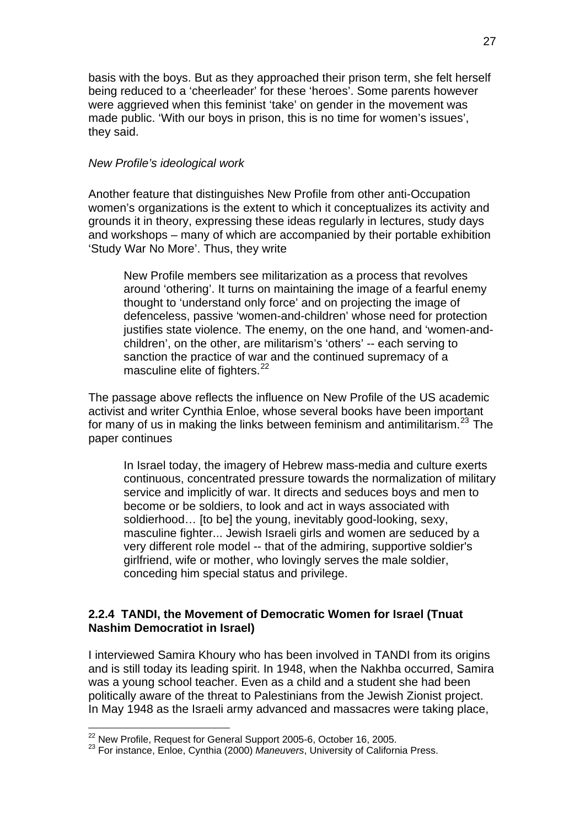basis with the boys. But as they approached their prison term, she felt herself being reduced to a 'cheerleader' for these 'heroes'. Some parents however were aggrieved when this feminist 'take' on gender in the movement was made public. 'With our boys in prison, this is no time for women's issues', they said.

# *New Profile's ideological work*

Another feature that distinguishes New Profile from other anti-Occupation women's organizations is the extent to which it conceptualizes its activity and grounds it in theory, expressing these ideas regularly in lectures, study days and workshops – many of which are accompanied by their portable exhibition 'Study War No More'. Thus, they write

New Profile members see militarization as a process that revolves around 'othering'. It turns on maintaining the image of a fearful enemy thought to 'understand only force' and on projecting the image of defenceless, passive 'women-and-children' whose need for protection justifies state violence. The enemy, on the one hand, and 'women-andchildren', on the other, are militarism's 'others' -- each serving to sanction the practice of war and the continued supremacy of a masculine elite of fighters.<sup>[22](#page-26-0)</sup>

The passage above reflects the influence on New Profile of the US academic activist and writer Cynthia Enloe, whose several books have been important for many of us in making the links between feminism and antimilitarism.<sup>[23](#page-26-1)</sup> The paper continues

In Israel today, the imagery of Hebrew mass-media and culture exerts continuous, concentrated pressure towards the normalization of military service and implicitly of war. It directs and seduces boys and men to become or be soldiers, to look and act in ways associated with soldierhood... [to be] the young, inevitably good-looking, sexy, masculine fighter... Jewish Israeli girls and women are seduced by a very different role model -- that of the admiring, supportive soldier's girlfriend, wife or mother, who lovingly serves the male soldier, conceding him special status and privilege.

# **2.2.4 TANDI, the Movement of Democratic Women for Israel (Tnuat Nashim Democratiot in Israel)**

I interviewed Samira Khoury who has been involved in TANDI from its origins and is still today its leading spirit. In 1948, when the Nakhba occurred, Samira was a young school teacher. Even as a child and a student she had been politically aware of the threat to Palestinians from the Jewish Zionist project. In May 1948 as the Israeli army advanced and massacres were taking place,

<sup>1</sup> 

<span id="page-26-1"></span><span id="page-26-0"></span><sup>&</sup>lt;sup>22</sup> New Profile, Request for General Support 2005-6, October 16, 2005.<br><sup>23</sup> For instance, Enloe, Cynthia (2000) *Maneuvers*, University of California Press.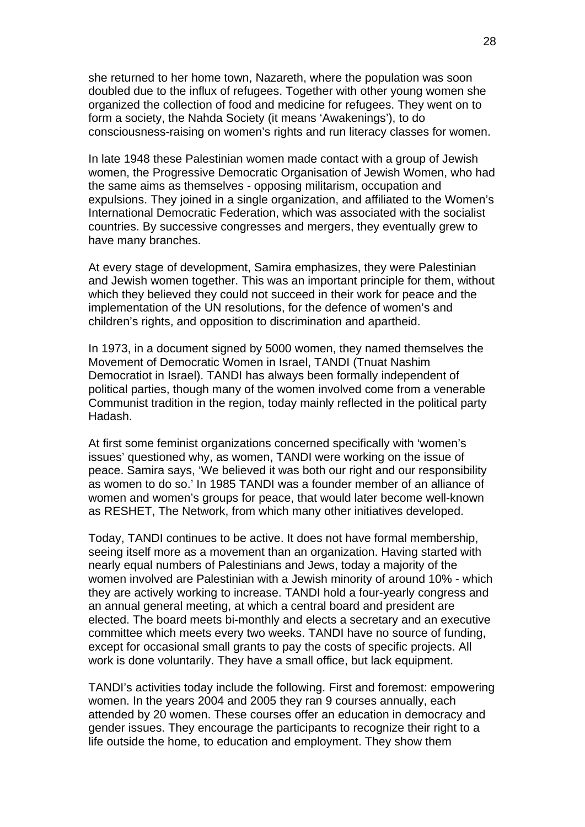she returned to her home town, Nazareth, where the population was soon doubled due to the influx of refugees. Together with other young women she organized the collection of food and medicine for refugees. They went on to form a society, the Nahda Society (it means 'Awakenings'), to do consciousness-raising on women's rights and run literacy classes for women.

In late 1948 these Palestinian women made contact with a group of Jewish women, the Progressive Democratic Organisation of Jewish Women, who had the same aims as themselves - opposing militarism, occupation and expulsions. They joined in a single organization, and affiliated to the Women's International Democratic Federation, which was associated with the socialist countries. By successive congresses and mergers, they eventually grew to have many branches.

At every stage of development, Samira emphasizes, they were Palestinian and Jewish women together. This was an important principle for them, without which they believed they could not succeed in their work for peace and the implementation of the UN resolutions, for the defence of women's and children's rights, and opposition to discrimination and apartheid.

In 1973, in a document signed by 5000 women, they named themselves the Movement of Democratic Women in Israel, TANDI (Tnuat Nashim Democratiot in Israel). TANDI has always been formally independent of political parties, though many of the women involved come from a venerable Communist tradition in the region, today mainly reflected in the political party Hadash.

At first some feminist organizations concerned specifically with 'women's issues' questioned why, as women, TANDI were working on the issue of peace. Samira says, 'We believed it was both our right and our responsibility as women to do so.' In 1985 TANDI was a founder member of an alliance of women and women's groups for peace, that would later become well-known as RESHET, The Network, from which many other initiatives developed.

Today, TANDI continues to be active. It does not have formal membership, seeing itself more as a movement than an organization. Having started with nearly equal numbers of Palestinians and Jews, today a majority of the women involved are Palestinian with a Jewish minority of around 10% - which they are actively working to increase. TANDI hold a four-yearly congress and an annual general meeting, at which a central board and president are elected. The board meets bi-monthly and elects a secretary and an executive committee which meets every two weeks. TANDI have no source of funding, except for occasional small grants to pay the costs of specific projects. All work is done voluntarily. They have a small office, but lack equipment.

TANDI's activities today include the following. First and foremost: empowering women. In the years 2004 and 2005 they ran 9 courses annually, each attended by 20 women. These courses offer an education in democracy and gender issues. They encourage the participants to recognize their right to a life outside the home, to education and employment. They show them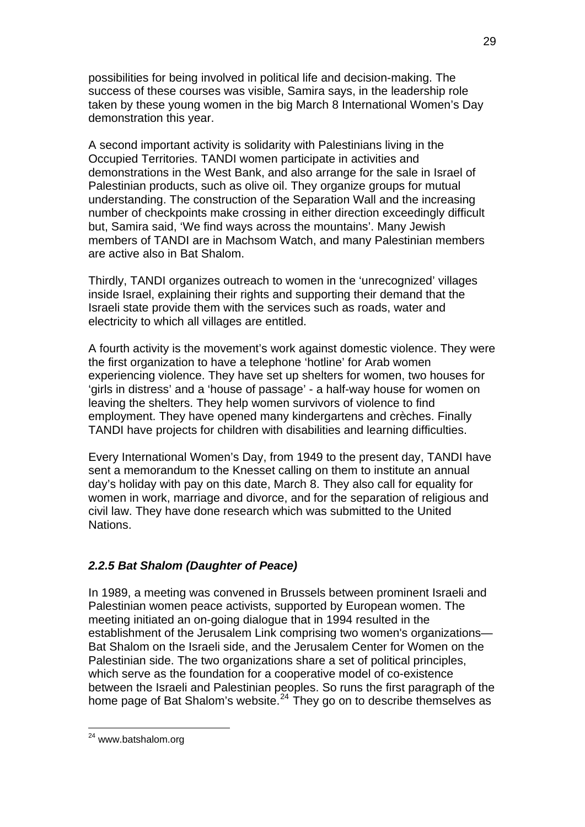possibilities for being involved in political life and decision-making. The success of these courses was visible, Samira says, in the leadership role taken by these young women in the big March 8 International Women's Day demonstration this year.

A second important activity is solidarity with Palestinians living in the Occupied Territories. TANDI women participate in activities and demonstrations in the West Bank, and also arrange for the sale in Israel of Palestinian products, such as olive oil. They organize groups for mutual understanding. The construction of the Separation Wall and the increasing number of checkpoints make crossing in either direction exceedingly difficult but, Samira said, 'We find ways across the mountains'. Many Jewish members of TANDI are in Machsom Watch, and many Palestinian members are active also in Bat Shalom.

Thirdly, TANDI organizes outreach to women in the 'unrecognized' villages inside Israel, explaining their rights and supporting their demand that the Israeli state provide them with the services such as roads, water and electricity to which all villages are entitled.

A fourth activity is the movement's work against domestic violence. They were the first organization to have a telephone 'hotline' for Arab women experiencing violence. They have set up shelters for women, two houses for 'girls in distress' and a 'house of passage' - a half-way house for women on leaving the shelters. They help women survivors of violence to find employment. They have opened many kindergartens and crèches. Finally TANDI have projects for children with disabilities and learning difficulties.

Every International Women's Day, from 1949 to the present day, TANDI have sent a memorandum to the Knesset calling on them to institute an annual day's holiday with pay on this date, March 8. They also call for equality for women in work, marriage and divorce, and for the separation of religious and civil law. They have done research which was submitted to the United **Nations** 

# *2.2.5 Bat Shalom (Daughter of Peace)*

In 1989, a meeting was convened in Brussels between prominent Israeli and Palestinian women peace activists, supported by European women. The meeting initiated an on-going dialogue that in 1994 resulted in the establishment of the Jerusalem Link comprising two women's organizations— Bat Shalom on the Israeli side, and the Jerusalem Center for Women on the Palestinian side. The two organizations share a set of political principles, which serve as the foundation for a cooperative model of co-existence between the Israeli and Palestinian peoples. So runs the first paragraph of the home page of Bat Shalom's website.<sup>[24](#page-28-0)</sup> They go on to describe themselves as

<span id="page-28-0"></span><sup>&</sup>lt;sup>24</sup> www.batshalom.org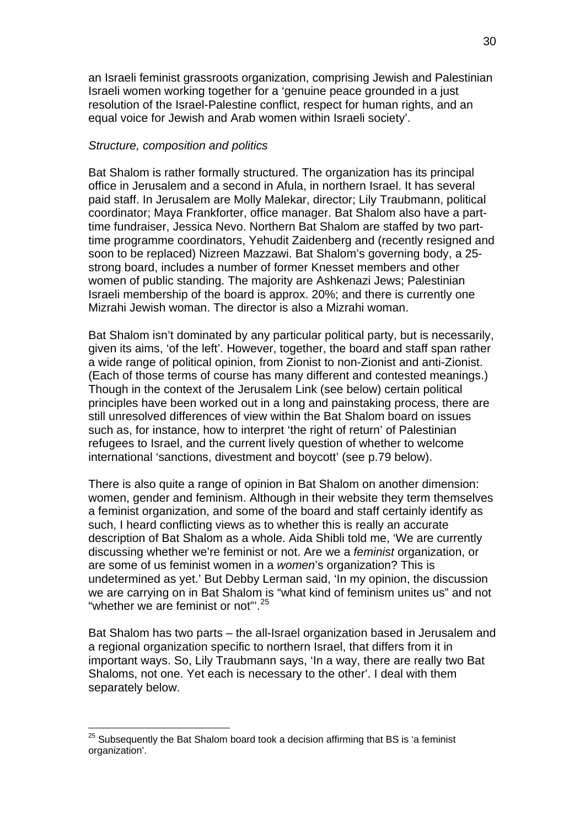an Israeli feminist grassroots organization, comprising Jewish and Palestinian Israeli women working together for a 'genuine peace grounded in a just resolution of the Israel-Palestine conflict, respect for human rights, and an equal voice for Jewish and Arab women within Israeli society'.

### *Structure, composition and politics*

Bat Shalom is rather formally structured. The organization has its principal office in Jerusalem and a second in Afula, in northern Israel. It has several paid staff. In Jerusalem are Molly Malekar, director; Lily Traubmann, political coordinator; Maya Frankforter, office manager. Bat Shalom also have a parttime fundraiser, Jessica Nevo. Northern Bat Shalom are staffed by two parttime programme coordinators, Yehudit Zaidenberg and (recently resigned and soon to be replaced) Nizreen Mazzawi. Bat Shalom's governing body, a 25 strong board, includes a number of former Knesset members and other women of public standing. The majority are Ashkenazi Jews; Palestinian Israeli membership of the board is approx. 20%; and there is currently one Mizrahi Jewish woman. The director is also a Mizrahi woman.

Bat Shalom isn't dominated by any particular political party, but is necessarily, given its aims, 'of the left'. However, together, the board and staff span rather a wide range of political opinion, from Zionist to non-Zionist and anti-Zionist. (Each of those terms of course has many different and contested meanings.) Though in the context of the Jerusalem Link (see below) certain political principles have been worked out in a long and painstaking process, there are still unresolved differences of view within the Bat Shalom board on issues such as, for instance, how to interpret 'the right of return' of Palestinian refugees to Israel, and the current lively question of whether to welcome international 'sanctions, divestment and boycott' (see p.79 below).

There is also quite a range of opinion in Bat Shalom on another dimension: women, gender and feminism. Although in their website they term themselves a feminist organization, and some of the board and staff certainly identify as such, I heard conflicting views as to whether this is really an accurate description of Bat Shalom as a whole. Aida Shibli told me, 'We are currently discussing whether we're feminist or not. Are we a *feminist* organization, or are some of us feminist women in a *women*'s organization? This is undetermined as yet.' But Debby Lerman said, 'In my opinion, the discussion we are carrying on in Bat Shalom is "what kind of feminism unites us" and not "whether we are feminist or not"<sup>[25](#page-29-0)</sup>

Bat Shalom has two parts – the all-Israel organization based in Jerusalem and a regional organization specific to northern Israel, that differs from it in important ways. So, Lily Traubmann says, 'In a way, there are really two Bat Shaloms, not one. Yet each is necessary to the other'. I deal with them separately below.

<span id="page-29-0"></span> $25$  Subsequently the Bat Shalom board took a decision affirming that BS is 'a feminist organization'.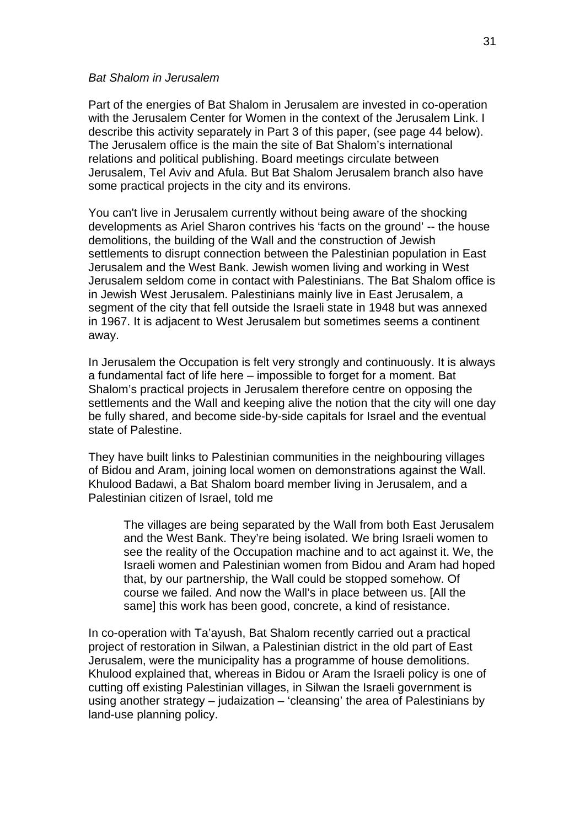### *Bat Shalom in Jerusalem*

Part of the energies of Bat Shalom in Jerusalem are invested in co-operation with the Jerusalem Center for Women in the context of the Jerusalem Link. I describe this activity separately in Part 3 of this paper, (see page 44 below). The Jerusalem office is the main the site of Bat Shalom's international relations and political publishing. Board meetings circulate between Jerusalem, Tel Aviv and Afula. But Bat Shalom Jerusalem branch also have some practical projects in the city and its environs.

You can't live in Jerusalem currently without being aware of the shocking developments as Ariel Sharon contrives his 'facts on the ground' -- the house demolitions, the building of the Wall and the construction of Jewish settlements to disrupt connection between the Palestinian population in East Jerusalem and the West Bank. Jewish women living and working in West Jerusalem seldom come in contact with Palestinians. The Bat Shalom office is in Jewish West Jerusalem. Palestinians mainly live in East Jerusalem, a segment of the city that fell outside the Israeli state in 1948 but was annexed in 1967. It is adjacent to West Jerusalem but sometimes seems a continent away.

In Jerusalem the Occupation is felt very strongly and continuously. It is always a fundamental fact of life here – impossible to forget for a moment. Bat Shalom's practical projects in Jerusalem therefore centre on opposing the settlements and the Wall and keeping alive the notion that the city will one day be fully shared, and become side-by-side capitals for Israel and the eventual state of Palestine.

They have built links to Palestinian communities in the neighbouring villages of Bidou and Aram, joining local women on demonstrations against the Wall. Khulood Badawi, a Bat Shalom board member living in Jerusalem, and a Palestinian citizen of Israel, told me

The villages are being separated by the Wall from both East Jerusalem and the West Bank. They're being isolated. We bring Israeli women to see the reality of the Occupation machine and to act against it. We, the Israeli women and Palestinian women from Bidou and Aram had hoped that, by our partnership, the Wall could be stopped somehow. Of course we failed. And now the Wall's in place between us. [All the same] this work has been good, concrete, a kind of resistance.

In co-operation with Ta'ayush, Bat Shalom recently carried out a practical project of restoration in Silwan, a Palestinian district in the old part of East Jerusalem, were the municipality has a programme of house demolitions. Khulood explained that, whereas in Bidou or Aram the Israeli policy is one of cutting off existing Palestinian villages, in Silwan the Israeli government is using another strategy – judaization – 'cleansing' the area of Palestinians by land-use planning policy.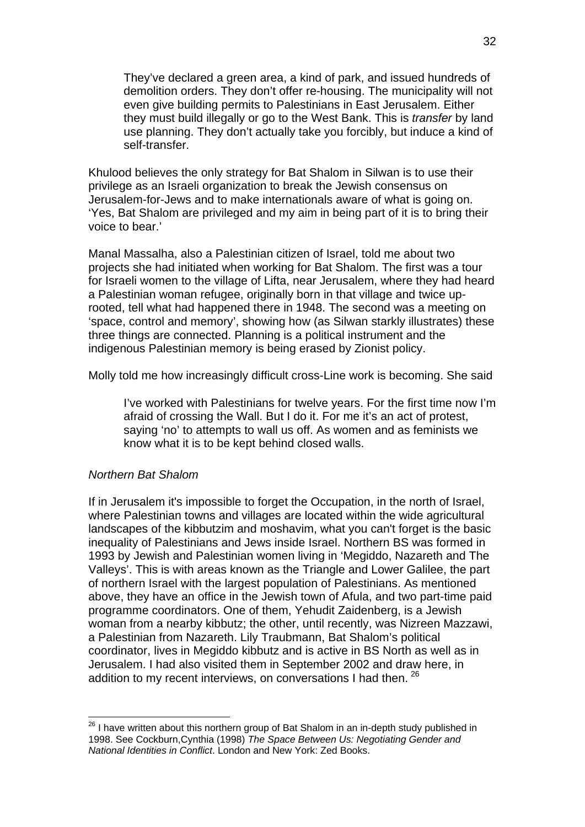They've declared a green area, a kind of park, and issued hundreds of demolition orders. They don't offer re-housing. The municipality will not even give building permits to Palestinians in East Jerusalem. Either they must build illegally or go to the West Bank. This is *transfer* by land use planning. They don't actually take you forcibly, but induce a kind of self-transfer.

Khulood believes the only strategy for Bat Shalom in Silwan is to use their privilege as an Israeli organization to break the Jewish consensus on Jerusalem-for-Jews and to make internationals aware of what is going on. 'Yes, Bat Shalom are privileged and my aim in being part of it is to bring their voice to bear.'

Manal Massalha, also a Palestinian citizen of Israel, told me about two projects she had initiated when working for Bat Shalom. The first was a tour for Israeli women to the village of Lifta, near Jerusalem, where they had heard a Palestinian woman refugee, originally born in that village and twice uprooted, tell what had happened there in 1948. The second was a meeting on 'space, control and memory', showing how (as Silwan starkly illustrates) these three things are connected. Planning is a political instrument and the indigenous Palestinian memory is being erased by Zionist policy.

Molly told me how increasingly difficult cross-Line work is becoming. She said

I've worked with Palestinians for twelve years. For the first time now I'm afraid of crossing the Wall. But I do it. For me it's an act of protest, saying 'no' to attempts to wall us off. As women and as feminists we know what it is to be kept behind closed walls.

## *Northern Bat Shalom*

1

If in Jerusalem it's impossible to forget the Occupation, in the north of Israel, where Palestinian towns and villages are located within the wide agricultural landscapes of the kibbutzim and moshavim, what you can't forget is the basic inequality of Palestinians and Jews inside Israel. Northern BS was formed in 1993 by Jewish and Palestinian women living in 'Megiddo, Nazareth and The Valleys'. This is with areas known as the Triangle and Lower Galilee, the part of northern Israel with the largest population of Palestinians. As mentioned above, they have an office in the Jewish town of Afula, and two part-time paid programme coordinators. One of them, Yehudit Zaidenberg, is a Jewish woman from a nearby kibbutz; the other, until recently, was Nizreen Mazzawi, a Palestinian from Nazareth. Lily Traubmann, Bat Shalom's political coordinator, lives in Megiddo kibbutz and is active in BS North as well as in Jerusalem. I had also visited them in September 2002 and draw here, in addition to my recent interviews, on conversations I had then. <sup>[26](#page-31-0)</sup>

<span id="page-31-0"></span> $26$  I have written about this northern group of Bat Shalom in an in-depth study published in 1998. See Cockburn,Cynthia (1998) *The Space Between Us: Negotiating Gender and National Identities in Conflict*. London and New York: Zed Books.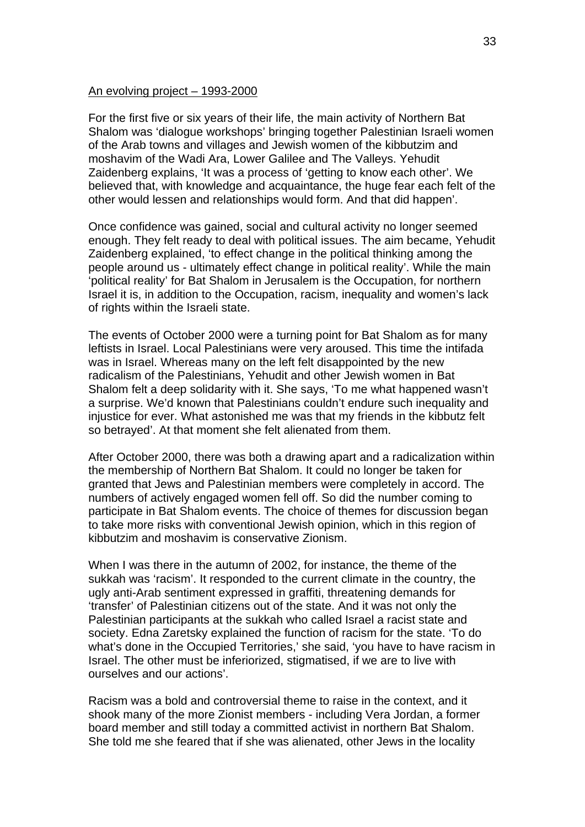### An evolving project – 1993-2000

For the first five or six years of their life, the main activity of Northern Bat Shalom was 'dialogue workshops' bringing together Palestinian Israeli women of the Arab towns and villages and Jewish women of the kibbutzim and moshavim of the Wadi Ara, Lower Galilee and The Valleys. Yehudit Zaidenberg explains, 'It was a process of 'getting to know each other'. We believed that, with knowledge and acquaintance, the huge fear each felt of the other would lessen and relationships would form. And that did happen'.

Once confidence was gained, social and cultural activity no longer seemed enough. They felt ready to deal with political issues. The aim became, Yehudit Zaidenberg explained, 'to effect change in the political thinking among the people around us - ultimately effect change in political reality'. While the main 'political reality' for Bat Shalom in Jerusalem is the Occupation, for northern Israel it is, in addition to the Occupation, racism, inequality and women's lack of rights within the Israeli state.

The events of October 2000 were a turning point for Bat Shalom as for many leftists in Israel. Local Palestinians were very aroused. This time the intifada was in Israel. Whereas many on the left felt disappointed by the new radicalism of the Palestinians, Yehudit and other Jewish women in Bat Shalom felt a deep solidarity with it. She says, 'To me what happened wasn't a surprise. We'd known that Palestinians couldn't endure such inequality and injustice for ever. What astonished me was that my friends in the kibbutz felt so betrayed'. At that moment she felt alienated from them.

After October 2000, there was both a drawing apart and a radicalization within the membership of Northern Bat Shalom. It could no longer be taken for granted that Jews and Palestinian members were completely in accord. The numbers of actively engaged women fell off. So did the number coming to participate in Bat Shalom events. The choice of themes for discussion began to take more risks with conventional Jewish opinion, which in this region of kibbutzim and moshavim is conservative Zionism.

When I was there in the autumn of 2002, for instance, the theme of the sukkah was 'racism'. It responded to the current climate in the country, the ugly anti-Arab sentiment expressed in graffiti, threatening demands for 'transfer' of Palestinian citizens out of the state. And it was not only the Palestinian participants at the sukkah who called Israel a racist state and society. Edna Zaretsky explained the function of racism for the state. 'To do what's done in the Occupied Territories,' she said, 'you have to have racism in Israel. The other must be inferiorized, stigmatised, if we are to live with ourselves and our actions'.

Racism was a bold and controversial theme to raise in the context, and it shook many of the more Zionist members - including Vera Jordan, a former board member and still today a committed activist in northern Bat Shalom. She told me she feared that if she was alienated, other Jews in the locality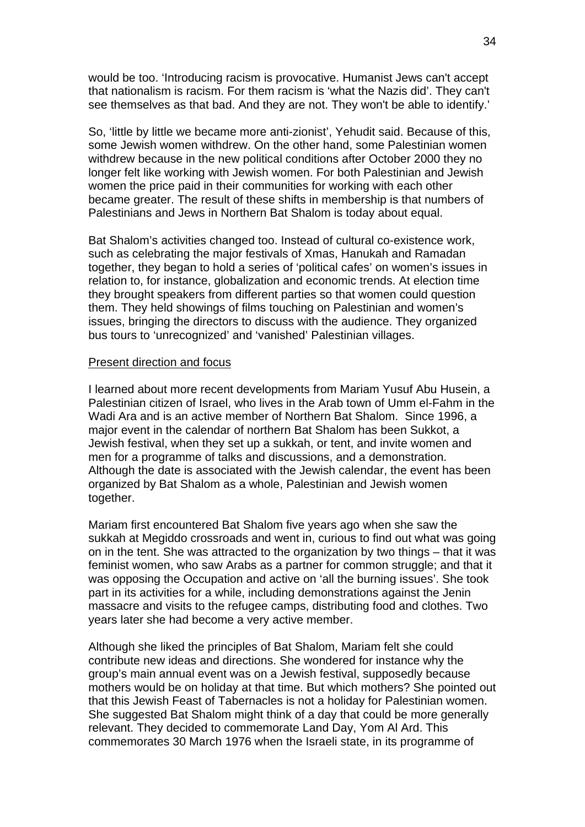would be too. 'Introducing racism is provocative. Humanist Jews can't accept that nationalism is racism. For them racism is 'what the Nazis did'. They can't see themselves as that bad. And they are not. They won't be able to identify.'

So, 'little by little we became more anti-zionist', Yehudit said. Because of this, some Jewish women withdrew. On the other hand, some Palestinian women withdrew because in the new political conditions after October 2000 they no longer felt like working with Jewish women. For both Palestinian and Jewish women the price paid in their communities for working with each other became greater. The result of these shifts in membership is that numbers of Palestinians and Jews in Northern Bat Shalom is today about equal.

Bat Shalom's activities changed too. Instead of cultural co-existence work, such as celebrating the major festivals of Xmas, Hanukah and Ramadan together, they began to hold a series of 'political cafes' on women's issues in relation to, for instance, globalization and economic trends. At election time they brought speakers from different parties so that women could question them. They held showings of films touching on Palestinian and women's issues, bringing the directors to discuss with the audience. They organized bus tours to 'unrecognized' and 'vanished' Palestinian villages.

## Present direction and focus

I learned about more recent developments from Mariam Yusuf Abu Husein, a Palestinian citizen of Israel, who lives in the Arab town of Umm el-Fahm in the Wadi Ara and is an active member of Northern Bat Shalom. Since 1996, a major event in the calendar of northern Bat Shalom has been Sukkot, a Jewish festival, when they set up a sukkah, or tent, and invite women and men for a programme of talks and discussions, and a demonstration. Although the date is associated with the Jewish calendar, the event has been organized by Bat Shalom as a whole, Palestinian and Jewish women together.

Mariam first encountered Bat Shalom five years ago when she saw the sukkah at Megiddo crossroads and went in, curious to find out what was going on in the tent. She was attracted to the organization by two things – that it was feminist women, who saw Arabs as a partner for common struggle; and that it was opposing the Occupation and active on 'all the burning issues'. She took part in its activities for a while, including demonstrations against the Jenin massacre and visits to the refugee camps, distributing food and clothes. Two years later she had become a very active member.

Although she liked the principles of Bat Shalom, Mariam felt she could contribute new ideas and directions. She wondered for instance why the group's main annual event was on a Jewish festival, supposedly because mothers would be on holiday at that time. But which mothers? She pointed out that this Jewish Feast of Tabernacles is not a holiday for Palestinian women. She suggested Bat Shalom might think of a day that could be more generally relevant. They decided to commemorate Land Day, Yom Al Ard. This commemorates 30 March 1976 when the Israeli state, in its programme of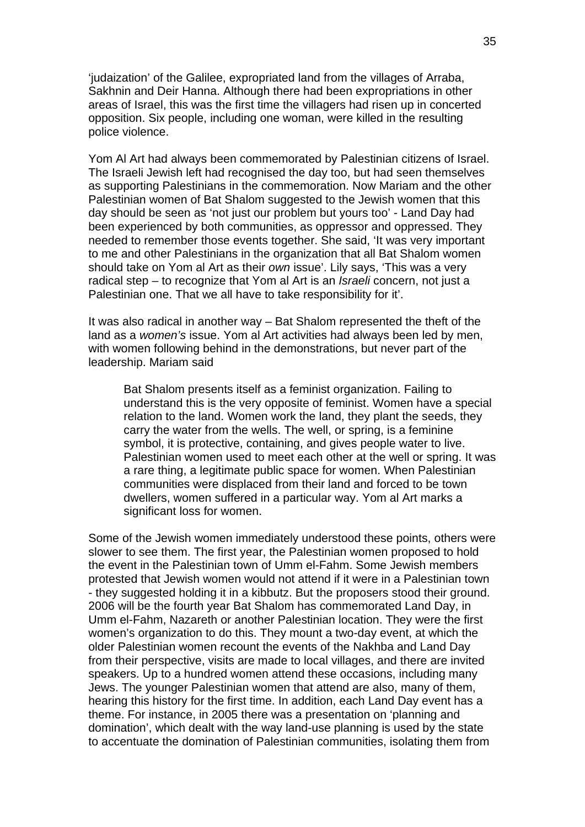'judaization' of the Galilee, expropriated land from the villages of Arraba, Sakhnin and Deir Hanna. Although there had been expropriations in other areas of Israel, this was the first time the villagers had risen up in concerted opposition. Six people, including one woman, were killed in the resulting police violence.

Yom Al Art had always been commemorated by Palestinian citizens of Israel. The Israeli Jewish left had recognised the day too, but had seen themselves as supporting Palestinians in the commemoration. Now Mariam and the other Palestinian women of Bat Shalom suggested to the Jewish women that this day should be seen as 'not just our problem but yours too' - Land Day had been experienced by both communities, as oppressor and oppressed. They needed to remember those events together. She said, 'It was very important to me and other Palestinians in the organization that all Bat Shalom women should take on Yom al Art as their *own* issue'. Lily says, 'This was a very radical step – to recognize that Yom al Art is an *Israeli* concern, not just a Palestinian one. That we all have to take responsibility for it'.

It was also radical in another way – Bat Shalom represented the theft of the land as a *women's* issue. Yom al Art activities had always been led by men, with women following behind in the demonstrations, but never part of the leadership. Mariam said

Bat Shalom presents itself as a feminist organization. Failing to understand this is the very opposite of feminist. Women have a special relation to the land. Women work the land, they plant the seeds, they carry the water from the wells. The well, or spring, is a feminine symbol, it is protective, containing, and gives people water to live. Palestinian women used to meet each other at the well or spring. It was a rare thing, a legitimate public space for women. When Palestinian communities were displaced from their land and forced to be town dwellers, women suffered in a particular way. Yom al Art marks a significant loss for women.

Some of the Jewish women immediately understood these points, others were slower to see them. The first year, the Palestinian women proposed to hold the event in the Palestinian town of Umm el-Fahm. Some Jewish members protested that Jewish women would not attend if it were in a Palestinian town - they suggested holding it in a kibbutz. But the proposers stood their ground. 2006 will be the fourth year Bat Shalom has commemorated Land Day, in Umm el-Fahm, Nazareth or another Palestinian location. They were the first women's organization to do this. They mount a two-day event, at which the older Palestinian women recount the events of the Nakhba and Land Day from their perspective, visits are made to local villages, and there are invited speakers. Up to a hundred women attend these occasions, including many Jews. The younger Palestinian women that attend are also, many of them, hearing this history for the first time. In addition, each Land Day event has a theme. For instance, in 2005 there was a presentation on 'planning and domination', which dealt with the way land-use planning is used by the state to accentuate the domination of Palestinian communities, isolating them from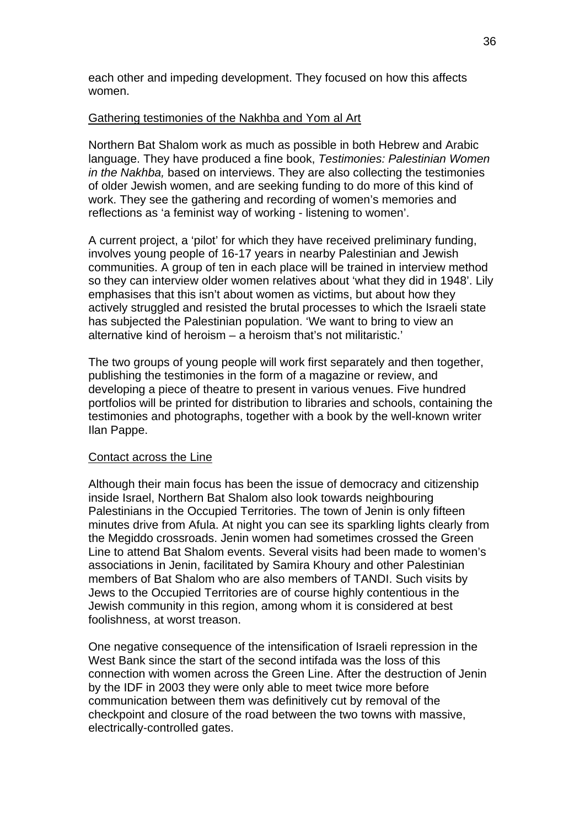each other and impeding development. They focused on how this affects women.

# Gathering testimonies of the Nakhba and Yom al Art

Northern Bat Shalom work as much as possible in both Hebrew and Arabic language. They have produced a fine book, *Testimonies: Palestinian Women in the Nakhba,* based on interviews. They are also collecting the testimonies of older Jewish women, and are seeking funding to do more of this kind of work. They see the gathering and recording of women's memories and reflections as 'a feminist way of working - listening to women'.

A current project, a 'pilot' for which they have received preliminary funding, involves young people of 16-17 years in nearby Palestinian and Jewish communities. A group of ten in each place will be trained in interview method so they can interview older women relatives about 'what they did in 1948'. Lily emphasises that this isn't about women as victims, but about how they actively struggled and resisted the brutal processes to which the Israeli state has subjected the Palestinian population. 'We want to bring to view an alternative kind of heroism – a heroism that's not militaristic.'

The two groups of young people will work first separately and then together, publishing the testimonies in the form of a magazine or review, and developing a piece of theatre to present in various venues. Five hundred portfolios will be printed for distribution to libraries and schools, containing the testimonies and photographs, together with a book by the well-known writer Ilan Pappe.

## Contact across the Line

Although their main focus has been the issue of democracy and citizenship inside Israel, Northern Bat Shalom also look towards neighbouring Palestinians in the Occupied Territories. The town of Jenin is only fifteen minutes drive from Afula. At night you can see its sparkling lights clearly from the Megiddo crossroads. Jenin women had sometimes crossed the Green Line to attend Bat Shalom events. Several visits had been made to women's associations in Jenin, facilitated by Samira Khoury and other Palestinian members of Bat Shalom who are also members of TANDI. Such visits by Jews to the Occupied Territories are of course highly contentious in the Jewish community in this region, among whom it is considered at best foolishness, at worst treason.

One negative consequence of the intensification of Israeli repression in the West Bank since the start of the second intifada was the loss of this connection with women across the Green Line. After the destruction of Jenin by the IDF in 2003 they were only able to meet twice more before communication between them was definitively cut by removal of the checkpoint and closure of the road between the two towns with massive, electrically-controlled gates.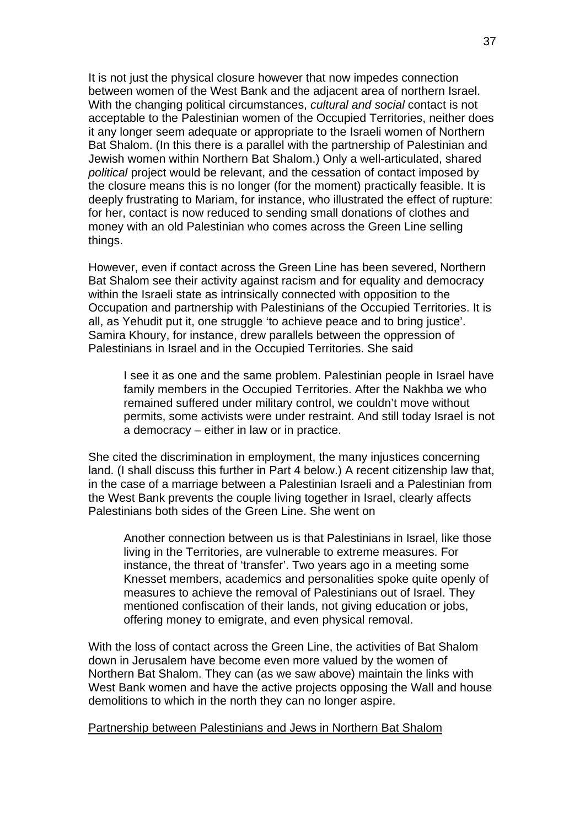It is not just the physical closure however that now impedes connection between women of the West Bank and the adjacent area of northern Israel. With the changing political circumstances, *cultural and social* contact is not acceptable to the Palestinian women of the Occupied Territories, neither does it any longer seem adequate or appropriate to the Israeli women of Northern Bat Shalom. (In this there is a parallel with the partnership of Palestinian and Jewish women within Northern Bat Shalom.) Only a well-articulated, shared *political* project would be relevant, and the cessation of contact imposed by the closure means this is no longer (for the moment) practically feasible. It is deeply frustrating to Mariam, for instance, who illustrated the effect of rupture: for her, contact is now reduced to sending small donations of clothes and money with an old Palestinian who comes across the Green Line selling things.

However, even if contact across the Green Line has been severed, Northern Bat Shalom see their activity against racism and for equality and democracy within the Israeli state as intrinsically connected with opposition to the Occupation and partnership with Palestinians of the Occupied Territories. It is all, as Yehudit put it, one struggle 'to achieve peace and to bring justice'. Samira Khoury, for instance, drew parallels between the oppression of Palestinians in Israel and in the Occupied Territories. She said

I see it as one and the same problem. Palestinian people in Israel have family members in the Occupied Territories. After the Nakhba we who remained suffered under military control, we couldn't move without permits, some activists were under restraint. And still today Israel is not a democracy – either in law or in practice.

She cited the discrimination in employment, the many injustices concerning land. (I shall discuss this further in Part 4 below.) A recent citizenship law that, in the case of a marriage between a Palestinian Israeli and a Palestinian from the West Bank prevents the couple living together in Israel, clearly affects Palestinians both sides of the Green Line. She went on

Another connection between us is that Palestinians in Israel, like those living in the Territories, are vulnerable to extreme measures. For instance, the threat of 'transfer'. Two years ago in a meeting some Knesset members, academics and personalities spoke quite openly of measures to achieve the removal of Palestinians out of Israel. They mentioned confiscation of their lands, not giving education or jobs, offering money to emigrate, and even physical removal.

With the loss of contact across the Green Line, the activities of Bat Shalom down in Jerusalem have become even more valued by the women of Northern Bat Shalom. They can (as we saw above) maintain the links with West Bank women and have the active projects opposing the Wall and house demolitions to which in the north they can no longer aspire.

## Partnership between Palestinians and Jews in Northern Bat Shalom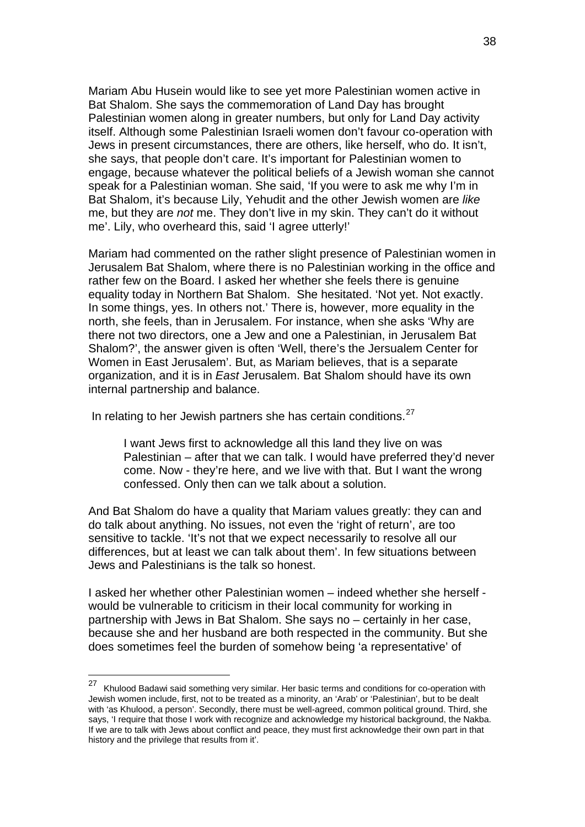Mariam Abu Husein would like to see yet more Palestinian women active in Bat Shalom. She says the commemoration of Land Day has brought Palestinian women along in greater numbers, but only for Land Day activity itself. Although some Palestinian Israeli women don't favour co-operation with Jews in present circumstances, there are others, like herself, who do. It isn't, she says, that people don't care. It's important for Palestinian women to engage, because whatever the political beliefs of a Jewish woman she cannot speak for a Palestinian woman. She said, 'If you were to ask me why I'm in Bat Shalom, it's because Lily, Yehudit and the other Jewish women are *like* me, but they are *not* me. They don't live in my skin. They can't do it without me'. Lily, who overheard this, said 'I agree utterly!'

Mariam had commented on the rather slight presence of Palestinian women in Jerusalem Bat Shalom, where there is no Palestinian working in the office and rather few on the Board. I asked her whether she feels there is genuine equality today in Northern Bat Shalom. She hesitated. 'Not yet. Not exactly. In some things, yes. In others not.' There is, however, more equality in the north, she feels, than in Jerusalem. For instance, when she asks 'Why are there not two directors, one a Jew and one a Palestinian, in Jerusalem Bat Shalom?', the answer given is often 'Well, there's the Jersualem Center for Women in East Jerusalem'. But, as Mariam believes, that is a separate organization, and it is in *East* Jerusalem. Bat Shalom should have its own internal partnership and balance.

In relating to her Jewish partners she has certain conditions. $27$ 

I want Jews first to acknowledge all this land they live on was Palestinian – after that we can talk. I would have preferred they'd never come. Now - they're here, and we live with that. But I want the wrong confessed. Only then can we talk about a solution.

And Bat Shalom do have a quality that Mariam values greatly: they can and do talk about anything. No issues, not even the 'right of return', are too sensitive to tackle. 'It's not that we expect necessarily to resolve all our differences, but at least we can talk about them'. In few situations between Jews and Palestinians is the talk so honest.

I asked her whether other Palestinian women – indeed whether she herself would be vulnerable to criticism in their local community for working in partnership with Jews in Bat Shalom. She says no – certainly in her case, because she and her husband are both respected in the community. But she does sometimes feel the burden of somehow being 'a representative' of

1

<span id="page-37-0"></span><sup>&</sup>lt;sup>27</sup> Khulood Badawi said something very similar. Her basic terms and conditions for co-operation with Jewish women include, first, not to be treated as a minority, an 'Arab' or 'Palestinian', but to be dealt with 'as Khulood, a person'. Secondly, there must be well-agreed, common political ground. Third, she says, 'I require that those I work with recognize and acknowledge my historical background, the Nakba. If we are to talk with Jews about conflict and peace, they must first acknowledge their own part in that history and the privilege that results from it'.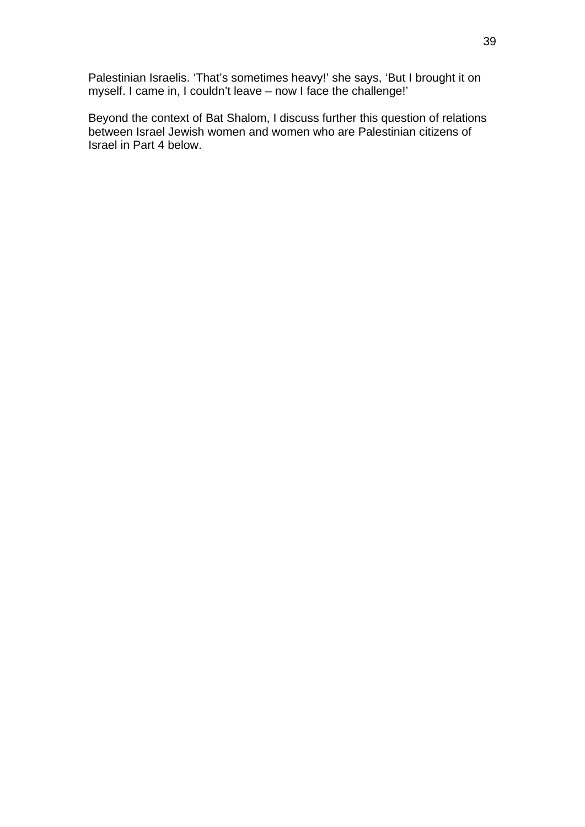Palestinian Israelis. 'That's sometimes heavy!' she says, 'But I brought it on myself. I came in, I couldn't leave – now I face the challenge!'

Beyond the context of Bat Shalom, I discuss further this question of relations between Israel Jewish women and women who are Palestinian citizens of Israel in Part 4 below.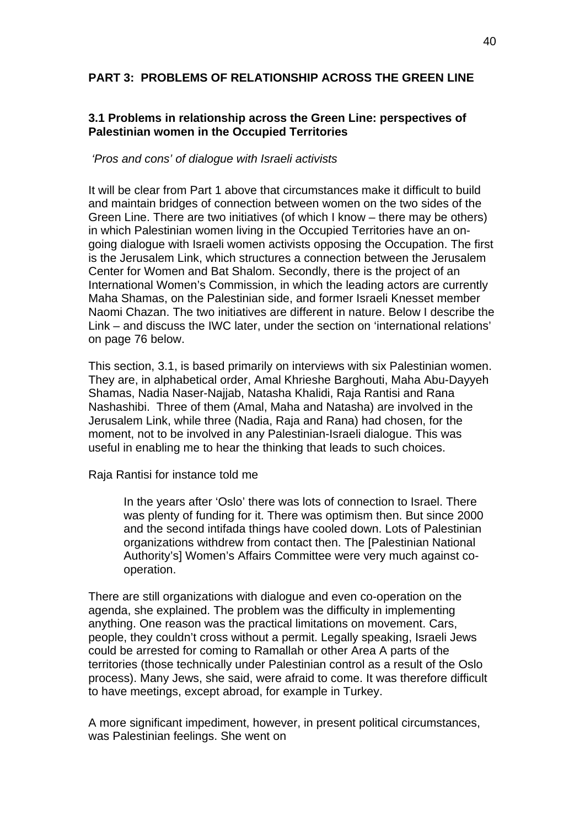# **PART 3: PROBLEMS OF RELATIONSHIP ACROSS THE GREEN LINE**

# **3.1 Problems in relationship across the Green Line: perspectives of Palestinian women in the Occupied Territories**

## *'Pros and cons' of dialogue with Israeli activists*

It will be clear from Part 1 above that circumstances make it difficult to build and maintain bridges of connection between women on the two sides of the Green Line. There are two initiatives (of which I know – there may be others) in which Palestinian women living in the Occupied Territories have an ongoing dialogue with Israeli women activists opposing the Occupation. The first is the Jerusalem Link, which structures a connection between the Jerusalem Center for Women and Bat Shalom. Secondly, there is the project of an International Women's Commission, in which the leading actors are currently Maha Shamas, on the Palestinian side, and former Israeli Knesset member Naomi Chazan. The two initiatives are different in nature. Below I describe the Link – and discuss the IWC later, under the section on 'international relations' on page 76 below.

This section, 3.1, is based primarily on interviews with six Palestinian women. They are, in alphabetical order, Amal Khrieshe Barghouti, Maha Abu-Dayyeh Shamas, Nadia Naser-Najjab, Natasha Khalidi, Raja Rantisi and Rana Nashashibi. Three of them (Amal, Maha and Natasha) are involved in the Jerusalem Link, while three (Nadia, Raja and Rana) had chosen, for the moment, not to be involved in any Palestinian-Israeli dialogue. This was useful in enabling me to hear the thinking that leads to such choices.

Raja Rantisi for instance told me

In the years after 'Oslo' there was lots of connection to Israel. There was plenty of funding for it. There was optimism then. But since 2000 and the second intifada things have cooled down. Lots of Palestinian organizations withdrew from contact then. The [Palestinian National Authority's] Women's Affairs Committee were very much against cooperation.

There are still organizations with dialogue and even co-operation on the agenda, she explained. The problem was the difficulty in implementing anything. One reason was the practical limitations on movement. Cars, people, they couldn't cross without a permit. Legally speaking, Israeli Jews could be arrested for coming to Ramallah or other Area A parts of the territories (those technically under Palestinian control as a result of the Oslo process). Many Jews, she said, were afraid to come. It was therefore difficult to have meetings, except abroad, for example in Turkey.

A more significant impediment, however, in present political circumstances, was Palestinian feelings. She went on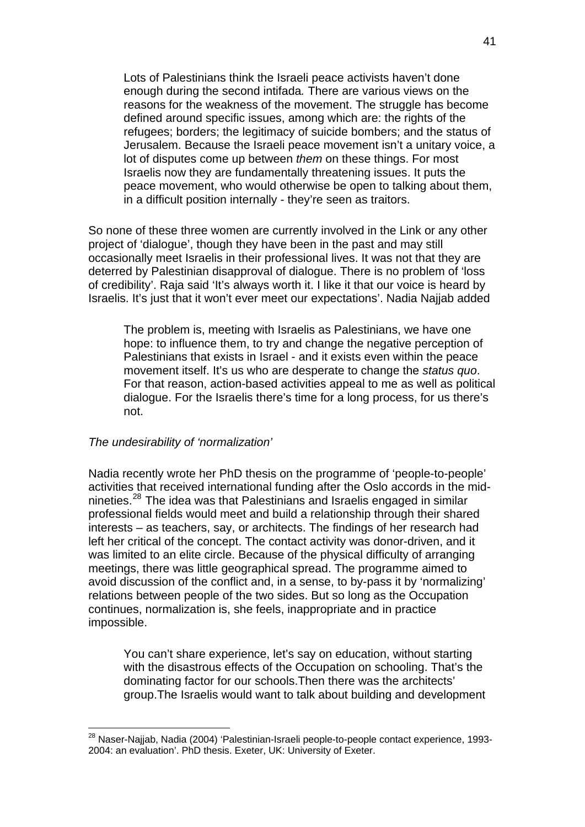Lots of Palestinians think the Israeli peace activists haven't done enough during the second intifada*.* There are various views on the reasons for the weakness of the movement. The struggle has become defined around specific issues, among which are: the rights of the refugees; borders; the legitimacy of suicide bombers; and the status of Jerusalem. Because the Israeli peace movement isn't a unitary voice, a lot of disputes come up between *them* on these things. For most Israelis now they are fundamentally threatening issues. It puts the peace movement, who would otherwise be open to talking about them, in a difficult position internally - they're seen as traitors.

So none of these three women are currently involved in the Link or any other project of 'dialogue', though they have been in the past and may still occasionally meet Israelis in their professional lives. It was not that they are deterred by Palestinian disapproval of dialogue. There is no problem of 'loss of credibility'. Raja said 'It's always worth it. I like it that our voice is heard by Israelis. It's just that it won't ever meet our expectations'. Nadia Najjab added

The problem is, meeting with Israelis as Palestinians, we have one hope: to influence them, to try and change the negative perception of Palestinians that exists in Israel - and it exists even within the peace movement itself. It's us who are desperate to change the *status quo*. For that reason, action-based activities appeal to me as well as political dialogue. For the Israelis there's time for a long process, for us there's not.

#### *The undesirability of 'normalization'*

1

Nadia recently wrote her PhD thesis on the programme of 'people-to-people' activities that received international funding after the Oslo accords in the midnineties.[28](#page-40-0) The idea was that Palestinians and Israelis engaged in similar professional fields would meet and build a relationship through their shared interests – as teachers, say, or architects. The findings of her research had left her critical of the concept. The contact activity was donor-driven, and it was limited to an elite circle. Because of the physical difficulty of arranging meetings, there was little geographical spread. The programme aimed to avoid discussion of the conflict and, in a sense, to by-pass it by 'normalizing' relations between people of the two sides. But so long as the Occupation continues, normalization is, she feels, inappropriate and in practice impossible.

You can't share experience, let's say on education, without starting with the disastrous effects of the Occupation on schooling. That's the dominating factor for our schools.Then there was the architects' group.The Israelis would want to talk about building and development

<span id="page-40-0"></span><sup>&</sup>lt;sup>28</sup> Naser-Naijab, Nadia (2004) 'Palestinian-Israeli people-to-people contact experience, 1993-2004: an evaluation'. PhD thesis. Exeter, UK: University of Exeter.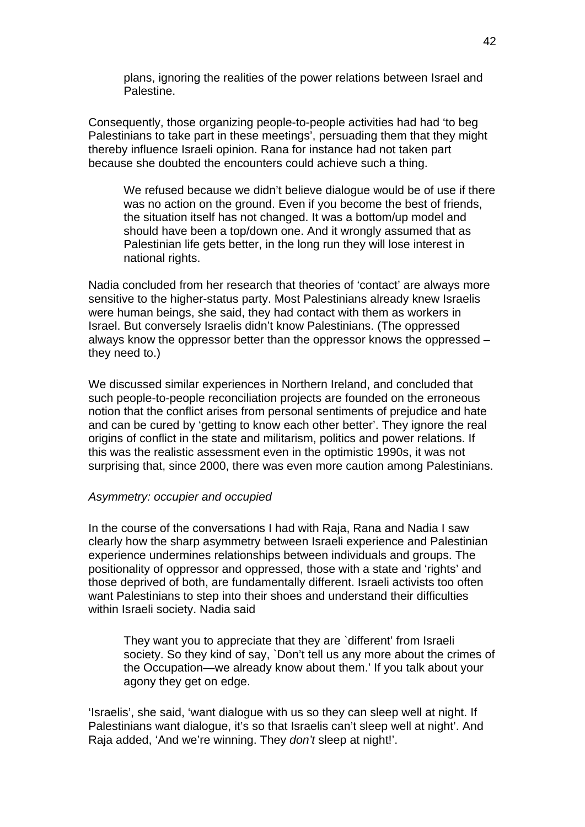plans, ignoring the realities of the power relations between Israel and Palestine.

Consequently, those organizing people-to-people activities had had 'to beg Palestinians to take part in these meetings', persuading them that they might thereby influence Israeli opinion. Rana for instance had not taken part because she doubted the encounters could achieve such a thing.

We refused because we didn't believe dialogue would be of use if there was no action on the ground. Even if you become the best of friends, the situation itself has not changed. It was a bottom/up model and should have been a top/down one. And it wrongly assumed that as Palestinian life gets better, in the long run they will lose interest in national rights.

Nadia concluded from her research that theories of 'contact' are always more sensitive to the higher-status party. Most Palestinians already knew Israelis were human beings, she said, they had contact with them as workers in Israel. But conversely Israelis didn't know Palestinians. (The oppressed always know the oppressor better than the oppressor knows the oppressed – they need to.)

We discussed similar experiences in Northern Ireland, and concluded that such people-to-people reconciliation projects are founded on the erroneous notion that the conflict arises from personal sentiments of prejudice and hate and can be cured by 'getting to know each other better'. They ignore the real origins of conflict in the state and militarism, politics and power relations. If this was the realistic assessment even in the optimistic 1990s, it was not surprising that, since 2000, there was even more caution among Palestinians.

## *Asymmetry: occupier and occupied*

In the course of the conversations I had with Raja, Rana and Nadia I saw clearly how the sharp asymmetry between Israeli experience and Palestinian experience undermines relationships between individuals and groups. The positionality of oppressor and oppressed, those with a state and 'rights' and those deprived of both, are fundamentally different. Israeli activists too often want Palestinians to step into their shoes and understand their difficulties within Israeli society. Nadia said

They want you to appreciate that they are `different' from Israeli society. So they kind of say, `Don't tell us any more about the crimes of the Occupation—we already know about them.' If you talk about your agony they get on edge.

'Israelis', she said, 'want dialogue with us so they can sleep well at night. If Palestinians want dialogue, it's so that Israelis can't sleep well at night'. And Raja added, 'And we're winning. They *don't* sleep at night!'.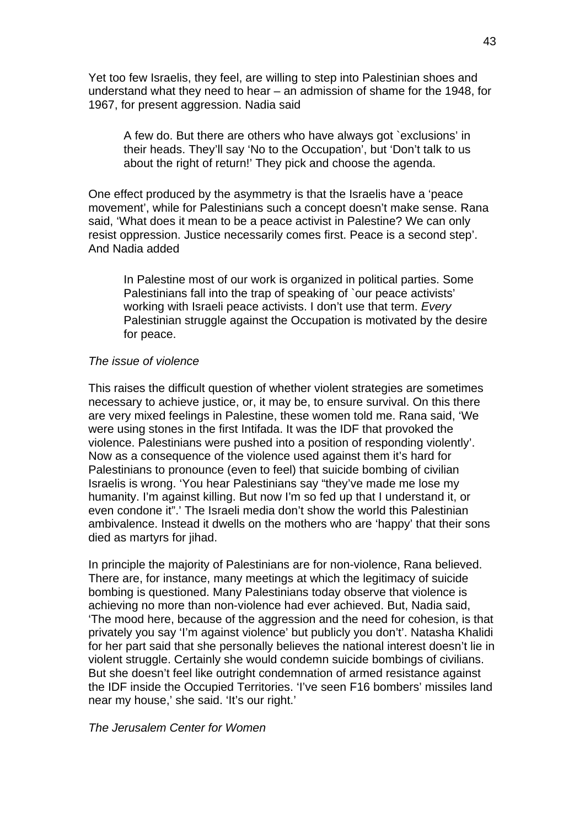Yet too few Israelis, they feel, are willing to step into Palestinian shoes and understand what they need to hear – an admission of shame for the 1948, for 1967, for present aggression. Nadia said

A few do. But there are others who have always got `exclusions' in their heads. They'll say 'No to the Occupation', but 'Don't talk to us about the right of return!' They pick and choose the agenda.

One effect produced by the asymmetry is that the Israelis have a 'peace movement', while for Palestinians such a concept doesn't make sense. Rana said, 'What does it mean to be a peace activist in Palestine? We can only resist oppression. Justice necessarily comes first. Peace is a second step'. And Nadia added

In Palestine most of our work is organized in political parties. Some Palestinians fall into the trap of speaking of `our peace activists' working with Israeli peace activists. I don't use that term. *Every*  Palestinian struggle against the Occupation is motivated by the desire for peace.

#### *The issue of violence*

This raises the difficult question of whether violent strategies are sometimes necessary to achieve justice, or, it may be, to ensure survival. On this there are very mixed feelings in Palestine, these women told me. Rana said, 'We were using stones in the first Intifada. It was the IDF that provoked the violence. Palestinians were pushed into a position of responding violently'. Now as a consequence of the violence used against them it's hard for Palestinians to pronounce (even to feel) that suicide bombing of civilian Israelis is wrong. 'You hear Palestinians say "they've made me lose my humanity. I'm against killing. But now I'm so fed up that I understand it, or even condone it".' The Israeli media don't show the world this Palestinian ambivalence. Instead it dwells on the mothers who are 'happy' that their sons died as martyrs for jihad.

In principle the majority of Palestinians are for non-violence, Rana believed. There are, for instance, many meetings at which the legitimacy of suicide bombing is questioned. Many Palestinians today observe that violence is achieving no more than non-violence had ever achieved. But, Nadia said, 'The mood here, because of the aggression and the need for cohesion, is that privately you say 'I'm against violence' but publicly you don't'. Natasha Khalidi for her part said that she personally believes the national interest doesn't lie in violent struggle. Certainly she would condemn suicide bombings of civilians. But she doesn't feel like outright condemnation of armed resistance against the IDF inside the Occupied Territories. 'I've seen F16 bombers' missiles land near my house,' she said. 'It's our right.'

#### *The Jerusalem Center for Women*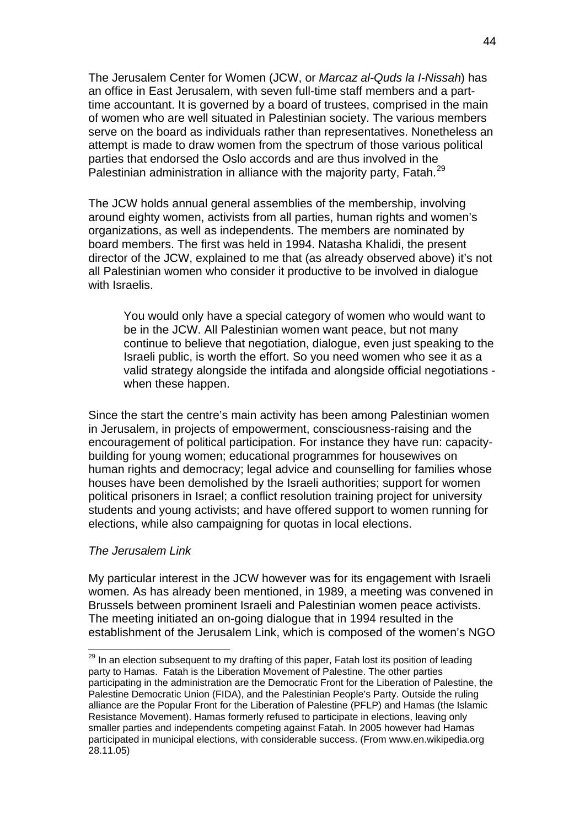The Jerusalem Center for Women (JCW, or *Marcaz al-Quds la I-Nissah*) has an office in East Jerusalem, with seven full-time staff members and a parttime accountant. It is governed by a board of trustees, comprised in the main of women who are well situated in Palestinian society. The various members serve on the board as individuals rather than representatives. Nonetheless an attempt is made to draw women from the spectrum of those various political parties that endorsed the Oslo accords and are thus involved in the Palestinian administration in alliance with the majority party, Fatah.<sup>[29](#page-43-0)</sup>

The JCW holds annual general assemblies of the membership, involving around eighty women, activists from all parties, human rights and women's organizations, as well as independents. The members are nominated by board members. The first was held in 1994. Natasha Khalidi, the present director of the JCW, explained to me that (as already observed above) it's not all Palestinian women who consider it productive to be involved in dialogue with Israelis.

You would only have a special category of women who would want to be in the JCW. All Palestinian women want peace, but not many continue to believe that negotiation, dialogue, even just speaking to the Israeli public, is worth the effort. So you need women who see it as a valid strategy alongside the intifada and alongside official negotiations when these happen.

Since the start the centre's main activity has been among Palestinian women in Jerusalem, in projects of empowerment, consciousness-raising and the encouragement of political participation. For instance they have run: capacitybuilding for young women; educational programmes for housewives on human rights and democracy; legal advice and counselling for families whose houses have been demolished by the Israeli authorities; support for women political prisoners in Israel; a conflict resolution training project for university students and young activists; and have offered support to women running for elections, while also campaigning for quotas in local elections.

#### *The Jerusalem Link*

1

My particular interest in the JCW however was for its engagement with Israeli women. As has already been mentioned, in 1989, a meeting was convened in Brussels between prominent Israeli and Palestinian women peace activists. The meeting initiated an on-going dialogue that in 1994 resulted in the establishment of the Jerusalem Link, which is composed of the women's NGO

<span id="page-43-0"></span> $29$  In an election subsequent to my drafting of this paper, Fatah lost its position of leading party to Hamas. Fatah is the Liberation Movement of Palestine. The other parties participating in the administration are the Democratic Front for the Liberation of Palestine, the Palestine Democratic Union (FIDA), and the Palestinian People's Party. Outside the ruling alliance are the Popular Front for the Liberation of Palestine (PFLP) and Hamas (the Islamic Resistance Movement). Hamas formerly refused to participate in elections, leaving only smaller parties and independents competing against Fatah. In 2005 however had Hamas participated in municipal elections, with considerable success. (From www.en.wikipedia.org 28.11.05)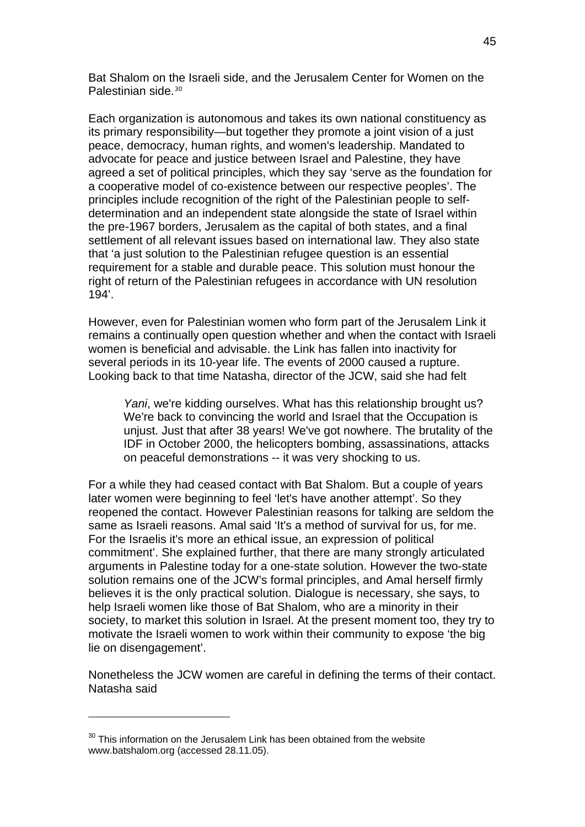Bat Shalom on the Israeli side, and the Jerusalem Center for Women on the Palestinian side.<sup>[30](#page-44-0)</sup>

Each organization is autonomous and takes its own national constituency as its primary responsibility—but together they promote a joint vision of a just peace, democracy, human rights, and women's leadership. Mandated to advocate for peace and justice between Israel and Palestine, they have agreed a set of political principles, which they say 'serve as the foundation for a cooperative model of co-existence between our respective peoples'. The principles include recognition of the right of the Palestinian people to selfdetermination and an independent state alongside the state of Israel within the pre-1967 borders, Jerusalem as the capital of both states, and a final settlement of all relevant issues based on international law. They also state that 'a just solution to the Palestinian refugee question is an essential requirement for a stable and durable peace. This solution must honour the right of return of the Palestinian refugees in accordance with UN resolution 194'.

However, even for Palestinian women who form part of the Jerusalem Link it remains a continually open question whether and when the contact with Israeli women is beneficial and advisable. the Link has fallen into inactivity for several periods in its 10-year life. The events of 2000 caused a rupture. Looking back to that time Natasha, director of the JCW, said she had felt

*Yani*, we're kidding ourselves. What has this relationship brought us? We're back to convincing the world and Israel that the Occupation is unjust. Just that after 38 years! We've got nowhere. The brutality of the IDF in October 2000, the helicopters bombing, assassinations, attacks on peaceful demonstrations -- it was very shocking to us.

For a while they had ceased contact with Bat Shalom. But a couple of years later women were beginning to feel 'let's have another attempt'. So they reopened the contact. However Palestinian reasons for talking are seldom the same as Israeli reasons. Amal said 'It's a method of survival for us, for me. For the Israelis it's more an ethical issue, an expression of political commitment'. She explained further, that there are many strongly articulated arguments in Palestine today for a one-state solution. However the two-state solution remains one of the JCW's formal principles, and Amal herself firmly believes it is the only practical solution. Dialogue is necessary, she says, to help Israeli women like those of Bat Shalom, who are a minority in their society, to market this solution in Israel. At the present moment too, they try to motivate the Israeli women to work within their community to expose 'the big lie on disengagement'.

Nonetheless the JCW women are careful in defining the terms of their contact. Natasha said

1

<span id="page-44-0"></span> $30$  This information on the Jerusalem Link has been obtained from the website www.batshalom.org (accessed 28.11.05).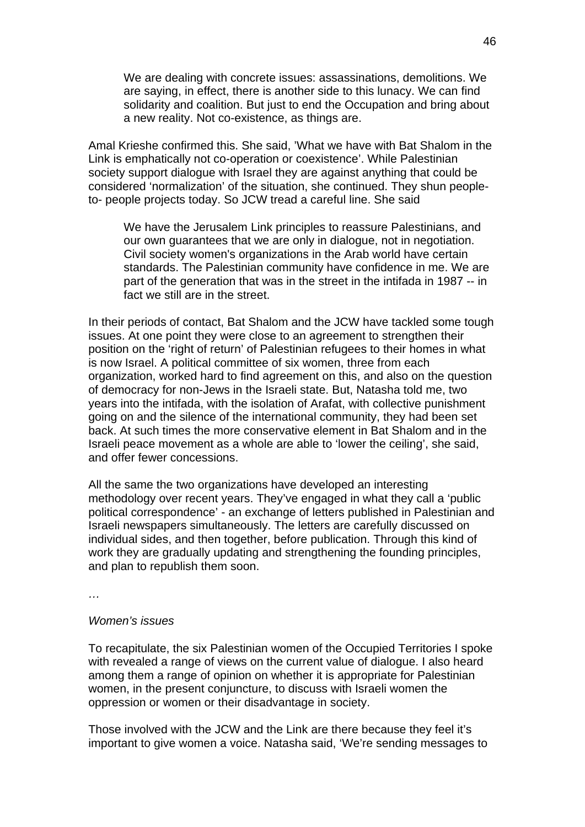We are dealing with concrete issues: assassinations, demolitions. We are saying, in effect, there is another side to this lunacy. We can find solidarity and coalition. But just to end the Occupation and bring about a new reality. Not co-existence, as things are.

Amal Krieshe confirmed this. She said, 'What we have with Bat Shalom in the Link is emphatically not co-operation or coexistence'. While Palestinian society support dialogue with Israel they are against anything that could be considered 'normalization' of the situation, she continued. They shun peopleto- people projects today. So JCW tread a careful line. She said

We have the Jerusalem Link principles to reassure Palestinians, and our own guarantees that we are only in dialogue, not in negotiation. Civil society women's organizations in the Arab world have certain standards. The Palestinian community have confidence in me. We are part of the generation that was in the street in the intifada in 1987 -- in fact we still are in the street.

In their periods of contact, Bat Shalom and the JCW have tackled some tough issues. At one point they were close to an agreement to strengthen their position on the 'right of return' of Palestinian refugees to their homes in what is now Israel. A political committee of six women, three from each organization, worked hard to find agreement on this, and also on the question of democracy for non-Jews in the Israeli state. But, Natasha told me, two years into the intifada, with the isolation of Arafat, with collective punishment going on and the silence of the international community, they had been set back. At such times the more conservative element in Bat Shalom and in the Israeli peace movement as a whole are able to 'lower the ceiling', she said, and offer fewer concessions.

All the same the two organizations have developed an interesting methodology over recent years. They've engaged in what they call a 'public political correspondence' - an exchange of letters published in Palestinian and Israeli newspapers simultaneously. The letters are carefully discussed on individual sides, and then together, before publication. Through this kind of work they are gradually updating and strengthening the founding principles, and plan to republish them soon.

*…* 

## *Women's issues*

To recapitulate, the six Palestinian women of the Occupied Territories I spoke with revealed a range of views on the current value of dialogue. I also heard among them a range of opinion on whether it is appropriate for Palestinian women, in the present conjuncture, to discuss with Israeli women the oppression or women or their disadvantage in society.

Those involved with the JCW and the Link are there because they feel it's important to give women a voice. Natasha said, 'We're sending messages to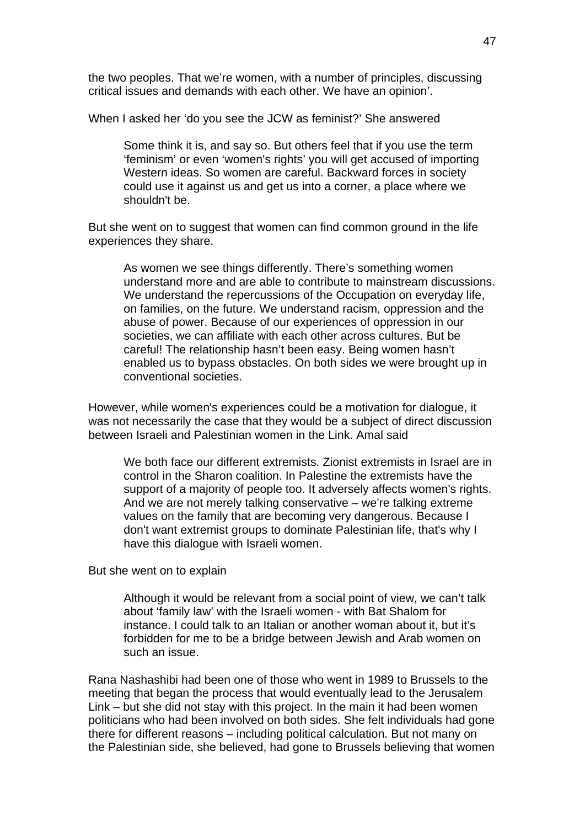the two peoples. That we're women, with a number of principles, discussing critical issues and demands with each other. We have an opinion'.

When I asked her 'do you see the JCW as feminist?' She answered

Some think it is, and say so. But others feel that if you use the term 'feminism' or even 'women's rights' you will get accused of importing Western ideas. So women are careful. Backward forces in society could use it against us and get us into a corner, a place where we shouldn't be.

But she went on to suggest that women can find common ground in the life experiences they share.

As women we see things differently. There's something women understand more and are able to contribute to mainstream discussions. We understand the repercussions of the Occupation on everyday life, on families, on the future. We understand racism, oppression and the abuse of power. Because of our experiences of oppression in our societies, we can affiliate with each other across cultures. But be careful! The relationship hasn't been easy. Being women hasn't enabled us to bypass obstacles. On both sides we were brought up in conventional societies.

However, while women's experiences could be a motivation for dialogue, it was not necessarily the case that they would be a subject of direct discussion between Israeli and Palestinian women in the Link. Amal said

We both face our different extremists. Zionist extremists in Israel are in control in the Sharon coalition. In Palestine the extremists have the support of a majority of people too. It adversely affects women's rights. And we are not merely talking conservative – we're talking extreme values on the family that are becoming very dangerous. Because I don't want extremist groups to dominate Palestinian life, that's why I have this dialogue with Israeli women.

But she went on to explain

Although it would be relevant from a social point of view, we can't talk about 'family law' with the Israeli women - with Bat Shalom for instance. I could talk to an Italian or another woman about it, but it's forbidden for me to be a bridge between Jewish and Arab women on such an issue.

Rana Nashashibi had been one of those who went in 1989 to Brussels to the meeting that began the process that would eventually lead to the Jerusalem Link – but she did not stay with this project. In the main it had been women politicians who had been involved on both sides. She felt individuals had gone there for different reasons – including political calculation. But not many on the Palestinian side, she believed, had gone to Brussels believing that women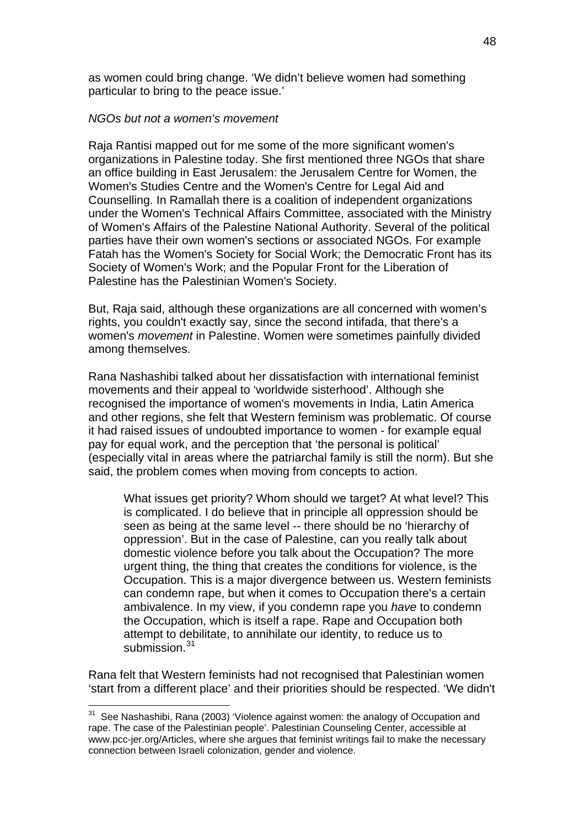as women could bring change. 'We didn't believe women had something particular to bring to the peace issue.'

## *NGOs but not a women's movement*

Raja Rantisi mapped out for me some of the more significant women's organizations in Palestine today. She first mentioned three NGOs that share an office building in East Jerusalem: the Jerusalem Centre for Women, the Women's Studies Centre and the Women's Centre for Legal Aid and Counselling. In Ramallah there is a coalition of independent organizations under the Women's Technical Affairs Committee, associated with the Ministry of Women's Affairs of the Palestine National Authority. Several of the political parties have their own women's sections or associated NGOs. For example Fatah has the Women's Society for Social Work; the Democratic Front has its Society of Women's Work; and the Popular Front for the Liberation of Palestine has the Palestinian Women's Society.

But, Raja said, although these organizations are all concerned with women's rights, you couldn't exactly say, since the second intifada, that there's a women's *movement* in Palestine. Women were sometimes painfully divided among themselves.

Rana Nashashibi talked about her dissatisfaction with international feminist movements and their appeal to 'worldwide sisterhood'. Although she recognised the importance of women's movements in India, Latin America and other regions, she felt that Western feminism was problematic. Of course it had raised issues of undoubted importance to women - for example equal pay for equal work, and the perception that 'the personal is political' (especially vital in areas where the patriarchal family is still the norm). But she said, the problem comes when moving from concepts to action.

What issues get priority? Whom should we target? At what level? This is complicated. I do believe that in principle all oppression should be seen as being at the same level -- there should be no 'hierarchy of oppression'. But in the case of Palestine, can you really talk about domestic violence before you talk about the Occupation? The more urgent thing, the thing that creates the conditions for violence, is the Occupation. This is a major divergence between us. Western feminists can condemn rape, but when it comes to Occupation there's a certain ambivalence. In my view, if you condemn rape you *have* to condemn the Occupation, which is itself a rape. Rape and Occupation both attempt to debilitate, to annihilate our identity, to reduce us to submission.<sup>[31](#page-47-0)</sup>

Rana felt that Western feminists had not recognised that Palestinian women 'start from a different place' and their priorities should be respected. 'We didn't

1

<span id="page-47-0"></span> $31$  See Nashashibi, Rana (2003) 'Violence against women: the analogy of Occupation and rape. The case of the Palestinian people'. Palestinian Counseling Center, accessible at www.pcc-jer.org/Articles, where she argues that feminist writings fail to make the necessary connection between Israeli colonization, gender and violence.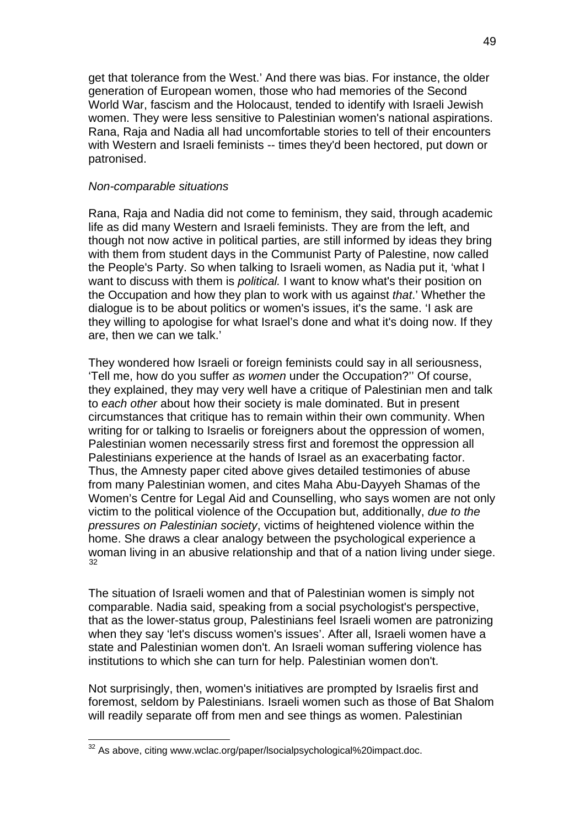get that tolerance from the West.' And there was bias. For instance, the older generation of European women, those who had memories of the Second World War, fascism and the Holocaust, tended to identify with Israeli Jewish women. They were less sensitive to Palestinian women's national aspirations. Rana, Raja and Nadia all had uncomfortable stories to tell of their encounters with Western and Israeli feminists -- times they'd been hectored, put down or patronised.

#### *Non-comparable situations*

Rana, Raja and Nadia did not come to feminism, they said, through academic life as did many Western and Israeli feminists. They are from the left, and though not now active in political parties, are still informed by ideas they bring with them from student days in the Communist Party of Palestine, now called the People's Party. So when talking to Israeli women, as Nadia put it, 'what I want to discuss with them is *political.* I want to know what's their position on the Occupation and how they plan to work with us against *that*.' Whether the dialogue is to be about politics or women's issues, it's the same. 'I ask are they willing to apologise for what Israel's done and what it's doing now. If they are, then we can we talk.'

They wondered how Israeli or foreign feminists could say in all seriousness, 'Tell me, how do you suffer *as women* under the Occupation?'' Of course, they explained, they may very well have a critique of Palestinian men and talk to *each other* about how their society is male dominated. But in present circumstances that critique has to remain within their own community. When writing for or talking to Israelis or foreigners about the oppression of women, Palestinian women necessarily stress first and foremost the oppression all Palestinians experience at the hands of Israel as an exacerbating factor. Thus, the Amnesty paper cited above gives detailed testimonies of abuse from many Palestinian women, and cites Maha Abu-Dayyeh Shamas of the Women's Centre for Legal Aid and Counselling, who says women are not only victim to the political violence of the Occupation but, additionally, *due to the pressures on Palestinian society*, victims of heightened violence within the home. She draws a clear analogy between the psychological experience a woman living in an abusive relationship and that of a nation living under siege. [32](#page-48-0)

The situation of Israeli women and that of Palestinian women is simply not comparable. Nadia said, speaking from a social psychologist's perspective, that as the lower-status group, Palestinians feel Israeli women are patronizing when they say 'let's discuss women's issues'. After all, Israeli women have a state and Palestinian women don't. An Israeli woman suffering violence has institutions to which she can turn for help. Palestinian women don't.

Not surprisingly, then, women's initiatives are prompted by Israelis first and foremost, seldom by Palestinians. Israeli women such as those of Bat Shalom will readily separate off from men and see things as women. Palestinian

1

<span id="page-48-0"></span> $32$  As above, citing www.wclac.org/paper/lsocialpsychological%20impact.doc.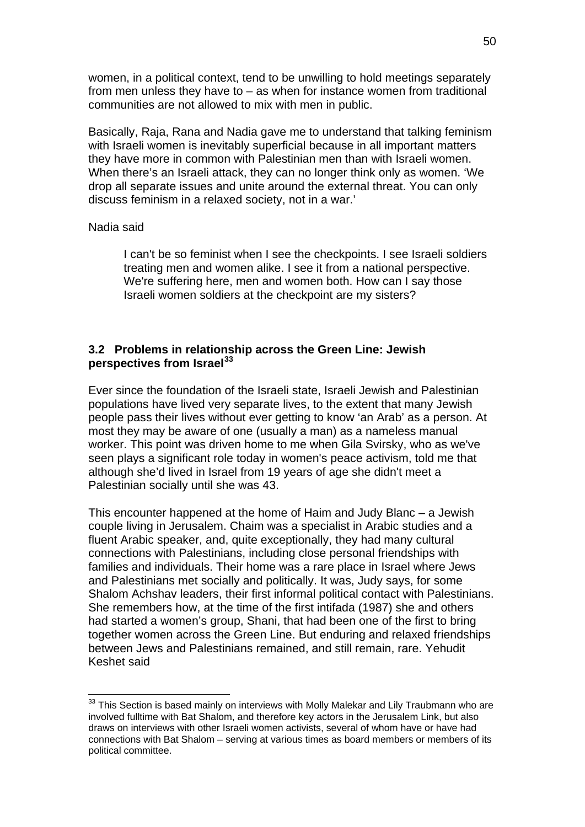women, in a political context, tend to be unwilling to hold meetings separately from men unless they have to – as when for instance women from traditional communities are not allowed to mix with men in public.

Basically, Raja, Rana and Nadia gave me to understand that talking feminism with Israeli women is inevitably superficial because in all important matters they have more in common with Palestinian men than with Israeli women. When there's an Israeli attack, they can no longer think only as women. 'We drop all separate issues and unite around the external threat. You can only discuss feminism in a relaxed society, not in a war.'

## Nadia said

1

I can't be so feminist when I see the checkpoints. I see Israeli soldiers treating men and women alike. I see it from a national perspective. We're suffering here, men and women both. How can I say those Israeli women soldiers at the checkpoint are my sisters?

# **3.2 Problems in relationship across the Green Line: Jewish perspectives from Israel[33](#page-49-0)**

Ever since the foundation of the Israeli state, Israeli Jewish and Palestinian populations have lived very separate lives, to the extent that many Jewish people pass their lives without ever getting to know 'an Arab' as a person. At most they may be aware of one (usually a man) as a nameless manual worker. This point was driven home to me when Gila Svirsky, who as we've seen plays a significant role today in women's peace activism, told me that although she'd lived in Israel from 19 years of age she didn't meet a Palestinian socially until she was 43.

This encounter happened at the home of Haim and Judy Blanc – a Jewish couple living in Jerusalem. Chaim was a specialist in Arabic studies and a fluent Arabic speaker, and, quite exceptionally, they had many cultural connections with Palestinians, including close personal friendships with families and individuals. Their home was a rare place in Israel where Jews and Palestinians met socially and politically. It was, Judy says, for some Shalom Achshav leaders, their first informal political contact with Palestinians. She remembers how, at the time of the first intifada (1987) she and others had started a women's group, Shani, that had been one of the first to bring together women across the Green Line. But enduring and relaxed friendships between Jews and Palestinians remained, and still remain, rare. Yehudit Keshet said

<span id="page-49-0"></span> $33$  This Section is based mainly on interviews with Molly Malekar and Lily Traubmann who are involved fulltime with Bat Shalom, and therefore key actors in the Jerusalem Link, but also draws on interviews with other Israeli women activists, several of whom have or have had connections with Bat Shalom – serving at various times as board members or members of its political committee.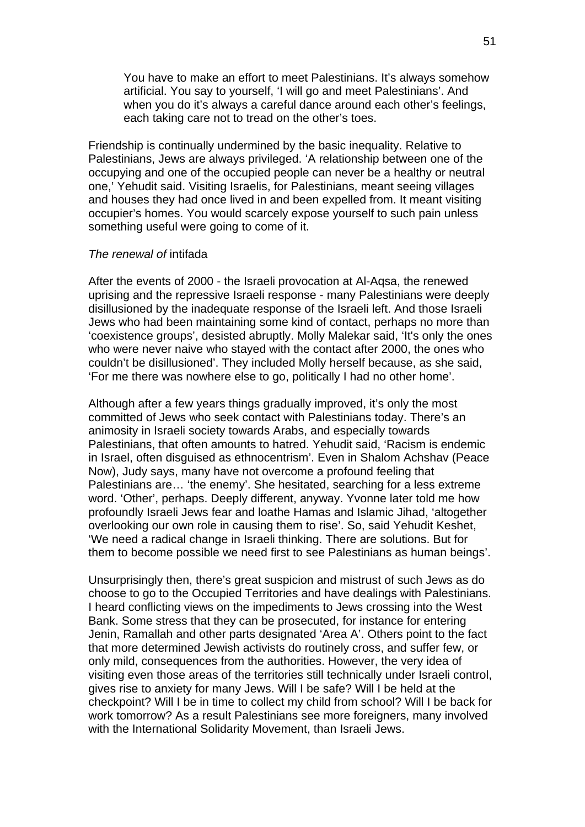You have to make an effort to meet Palestinians. It's always somehow artificial. You say to yourself, 'I will go and meet Palestinians'. And when you do it's always a careful dance around each other's feelings, each taking care not to tread on the other's toes.

Friendship is continually undermined by the basic inequality. Relative to Palestinians, Jews are always privileged. 'A relationship between one of the occupying and one of the occupied people can never be a healthy or neutral one,' Yehudit said. Visiting Israelis, for Palestinians, meant seeing villages and houses they had once lived in and been expelled from. It meant visiting occupier's homes. You would scarcely expose yourself to such pain unless something useful were going to come of it.

#### *The renewal of* intifada

After the events of 2000 - the Israeli provocation at Al-Aqsa, the renewed uprising and the repressive Israeli response - many Palestinians were deeply disillusioned by the inadequate response of the Israeli left. And those Israeli Jews who had been maintaining some kind of contact, perhaps no more than 'coexistence groups', desisted abruptly. Molly Malekar said, 'It's only the ones who were never naive who stayed with the contact after 2000, the ones who couldn't be disillusioned'. They included Molly herself because, as she said, 'For me there was nowhere else to go, politically I had no other home'.

Although after a few years things gradually improved, it's only the most committed of Jews who seek contact with Palestinians today. There's an animosity in Israeli society towards Arabs, and especially towards Palestinians, that often amounts to hatred. Yehudit said, 'Racism is endemic in Israel, often disguised as ethnocentrism'. Even in Shalom Achshav (Peace Now), Judy says, many have not overcome a profound feeling that Palestinians are... 'the enemy'. She hesitated, searching for a less extreme word. 'Other', perhaps. Deeply different, anyway. Yvonne later told me how profoundly Israeli Jews fear and loathe Hamas and Islamic Jihad, 'altogether overlooking our own role in causing them to rise'. So, said Yehudit Keshet, 'We need a radical change in Israeli thinking. There are solutions. But for them to become possible we need first to see Palestinians as human beings'.

Unsurprisingly then, there's great suspicion and mistrust of such Jews as do choose to go to the Occupied Territories and have dealings with Palestinians. I heard conflicting views on the impediments to Jews crossing into the West Bank. Some stress that they can be prosecuted, for instance for entering Jenin, Ramallah and other parts designated 'Area A'. Others point to the fact that more determined Jewish activists do routinely cross, and suffer few, or only mild, consequences from the authorities. However, the very idea of visiting even those areas of the territories still technically under Israeli control, gives rise to anxiety for many Jews. Will I be safe? Will I be held at the checkpoint? Will I be in time to collect my child from school? Will I be back for work tomorrow? As a result Palestinians see more foreigners, many involved with the International Solidarity Movement, than Israeli Jews.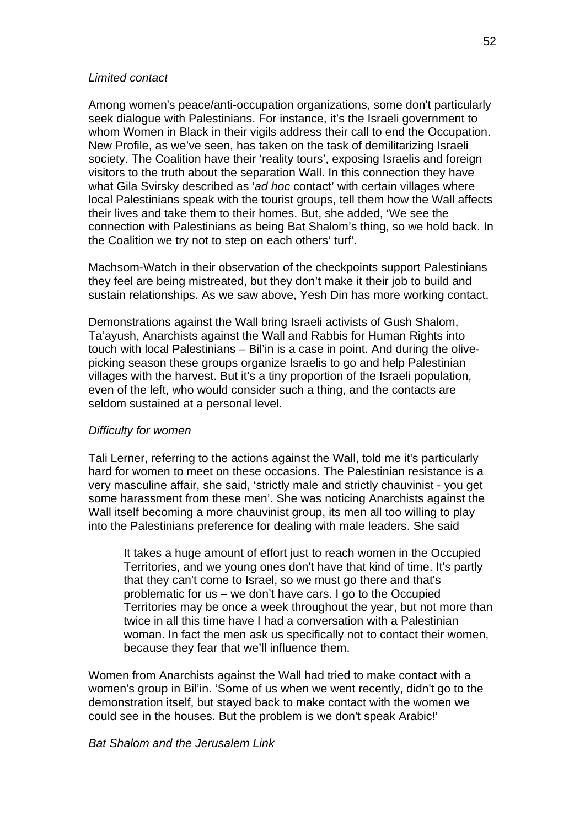#### *Limited contact*

Among women's peace/anti-occupation organizations, some don't particularly seek dialogue with Palestinians. For instance, it's the Israeli government to whom Women in Black in their vigils address their call to end the Occupation. New Profile, as we've seen, has taken on the task of demilitarizing Israeli society. The Coalition have their 'reality tours', exposing Israelis and foreign visitors to the truth about the separation Wall. In this connection they have what Gila Svirsky described as '*ad hoc* contact' with certain villages where local Palestinians speak with the tourist groups, tell them how the Wall affects their lives and take them to their homes. But, she added, 'We see the connection with Palestinians as being Bat Shalom's thing, so we hold back. In the Coalition we try not to step on each others' turf'.

Machsom-Watch in their observation of the checkpoints support Palestinians they feel are being mistreated, but they don't make it their job to build and sustain relationships. As we saw above, Yesh Din has more working contact.

Demonstrations against the Wall bring Israeli activists of Gush Shalom, Ta'ayush, Anarchists against the Wall and Rabbis for Human Rights into touch with local Palestinians – Bil'in is a case in point. And during the olivepicking season these groups organize Israelis to go and help Palestinian villages with the harvest. But it's a tiny proportion of the Israeli population, even of the left, who would consider such a thing, and the contacts are seldom sustained at a personal level.

#### *Difficulty for women*

Tali Lerner, referring to the actions against the Wall, told me it's particularly hard for women to meet on these occasions. The Palestinian resistance is a very masculine affair, she said, 'strictly male and strictly chauvinist - you get some harassment from these men'. She was noticing Anarchists against the Wall itself becoming a more chauvinist group, its men all too willing to play into the Palestinians preference for dealing with male leaders. She said

It takes a huge amount of effort just to reach women in the Occupied Territories, and we young ones don't have that kind of time. It's partly that they can't come to Israel, so we must go there and that's problematic for us – we don't have cars. I go to the Occupied Territories may be once a week throughout the year, but not more than twice in all this time have I had a conversation with a Palestinian woman. In fact the men ask us specifically not to contact their women, because they fear that we'll influence them.

Women from Anarchists against the Wall had tried to make contact with a women's group in Bil'in. 'Some of us when we went recently, didn't go to the demonstration itself, but stayed back to make contact with the women we could see in the houses. But the problem is we don't speak Arabic!'

#### *Bat Shalom and the Jerusalem Link*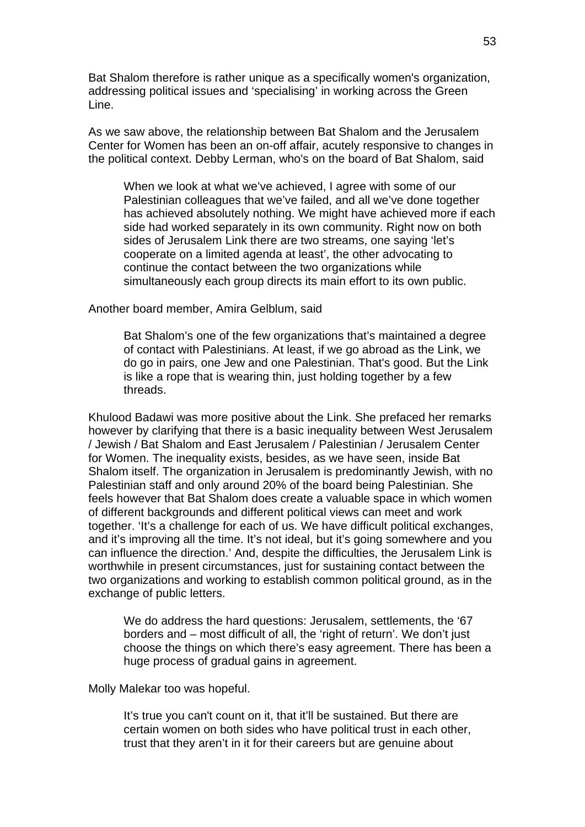Bat Shalom therefore is rather unique as a specifically women's organization, addressing political issues and 'specialising' in working across the Green Line.

As we saw above, the relationship between Bat Shalom and the Jerusalem Center for Women has been an on-off affair, acutely responsive to changes in the political context. Debby Lerman, who's on the board of Bat Shalom, said

When we look at what we've achieved, I agree with some of our Palestinian colleagues that we've failed, and all we've done together has achieved absolutely nothing. We might have achieved more if each side had worked separately in its own community. Right now on both sides of Jerusalem Link there are two streams, one saying 'let's cooperate on a limited agenda at least', the other advocating to continue the contact between the two organizations while simultaneously each group directs its main effort to its own public.

Another board member, Amira Gelblum, said

Bat Shalom's one of the few organizations that's maintained a degree of contact with Palestinians. At least, if we go abroad as the Link, we do go in pairs, one Jew and one Palestinian. That's good. But the Link is like a rope that is wearing thin, just holding together by a few threads.

Khulood Badawi was more positive about the Link. She prefaced her remarks however by clarifying that there is a basic inequality between West Jerusalem / Jewish / Bat Shalom and East Jerusalem / Palestinian / Jerusalem Center for Women. The inequality exists, besides, as we have seen, inside Bat Shalom itself. The organization in Jerusalem is predominantly Jewish, with no Palestinian staff and only around 20% of the board being Palestinian. She feels however that Bat Shalom does create a valuable space in which women of different backgrounds and different political views can meet and work together. 'It's a challenge for each of us. We have difficult political exchanges, and it's improving all the time. It's not ideal, but it's going somewhere and you can influence the direction.' And, despite the difficulties, the Jerusalem Link is worthwhile in present circumstances, just for sustaining contact between the two organizations and working to establish common political ground, as in the exchange of public letters.

We do address the hard questions: Jerusalem, settlements, the '67 borders and – most difficult of all, the 'right of return'. We don't just choose the things on which there's easy agreement. There has been a huge process of gradual gains in agreement.

Molly Malekar too was hopeful.

It's true you can't count on it, that it'll be sustained. But there are certain women on both sides who have political trust in each other, trust that they aren't in it for their careers but are genuine about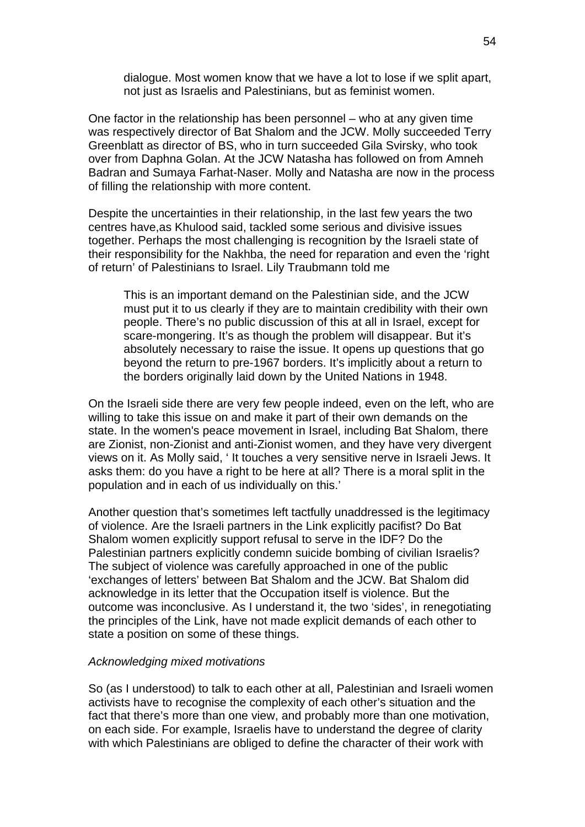dialogue. Most women know that we have a lot to lose if we split apart, not just as Israelis and Palestinians, but as feminist women.

One factor in the relationship has been personnel – who at any given time was respectively director of Bat Shalom and the JCW. Molly succeeded Terry Greenblatt as director of BS, who in turn succeeded Gila Svirsky, who took over from Daphna Golan. At the JCW Natasha has followed on from Amneh Badran and Sumaya Farhat-Naser. Molly and Natasha are now in the process of filling the relationship with more content.

Despite the uncertainties in their relationship, in the last few years the two centres have,as Khulood said, tackled some serious and divisive issues together. Perhaps the most challenging is recognition by the Israeli state of their responsibility for the Nakhba, the need for reparation and even the 'right of return' of Palestinians to Israel. Lily Traubmann told me

This is an important demand on the Palestinian side, and the JCW must put it to us clearly if they are to maintain credibility with their own people. There's no public discussion of this at all in Israel, except for scare-mongering. It's as though the problem will disappear. But it's absolutely necessary to raise the issue. It opens up questions that go beyond the return to pre-1967 borders. It's implicitly about a return to the borders originally laid down by the United Nations in 1948.

On the Israeli side there are very few people indeed, even on the left, who are willing to take this issue on and make it part of their own demands on the state. In the women's peace movement in Israel, including Bat Shalom, there are Zionist, non-Zionist and anti-Zionist women, and they have very divergent views on it. As Molly said, ' It touches a very sensitive nerve in Israeli Jews. It asks them: do you have a right to be here at all? There is a moral split in the population and in each of us individually on this.'

Another question that's sometimes left tactfully unaddressed is the legitimacy of violence. Are the Israeli partners in the Link explicitly pacifist? Do Bat Shalom women explicitly support refusal to serve in the IDF? Do the Palestinian partners explicitly condemn suicide bombing of civilian Israelis? The subject of violence was carefully approached in one of the public 'exchanges of letters' between Bat Shalom and the JCW. Bat Shalom did acknowledge in its letter that the Occupation itself is violence. But the outcome was inconclusive. As I understand it, the two 'sides', in renegotiating the principles of the Link, have not made explicit demands of each other to state a position on some of these things.

## *Acknowledging mixed motivations*

So (as I understood) to talk to each other at all, Palestinian and Israeli women activists have to recognise the complexity of each other's situation and the fact that there's more than one view, and probably more than one motivation, on each side. For example, Israelis have to understand the degree of clarity with which Palestinians are obliged to define the character of their work with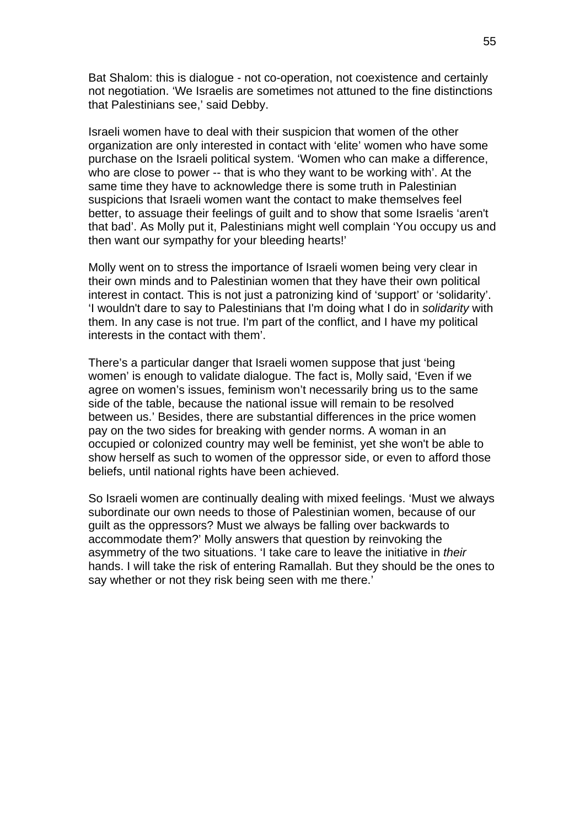Bat Shalom: this is dialogue - not co-operation, not coexistence and certainly not negotiation. 'We Israelis are sometimes not attuned to the fine distinctions that Palestinians see,' said Debby.

Israeli women have to deal with their suspicion that women of the other organization are only interested in contact with 'elite' women who have some purchase on the Israeli political system. 'Women who can make a difference, who are close to power -- that is who they want to be working with'. At the same time they have to acknowledge there is some truth in Palestinian suspicions that Israeli women want the contact to make themselves feel better, to assuage their feelings of guilt and to show that some Israelis 'aren't that bad'. As Molly put it, Palestinians might well complain 'You occupy us and then want our sympathy for your bleeding hearts!'

Molly went on to stress the importance of Israeli women being very clear in their own minds and to Palestinian women that they have their own political interest in contact. This is not just a patronizing kind of 'support' or 'solidarity'. 'I wouldn't dare to say to Palestinians that I'm doing what I do in *solidarity* with them. In any case is not true. I'm part of the conflict, and I have my political interests in the contact with them'.

There's a particular danger that Israeli women suppose that just 'being women' is enough to validate dialogue. The fact is, Molly said, 'Even if we agree on women's issues, feminism won't necessarily bring us to the same side of the table, because the national issue will remain to be resolved between us.' Besides, there are substantial differences in the price women pay on the two sides for breaking with gender norms. A woman in an occupied or colonized country may well be feminist, yet she won't be able to show herself as such to women of the oppressor side, or even to afford those beliefs, until national rights have been achieved.

So Israeli women are continually dealing with mixed feelings. 'Must we always subordinate our own needs to those of Palestinian women, because of our guilt as the oppressors? Must we always be falling over backwards to accommodate them?' Molly answers that question by reinvoking the asymmetry of the two situations. 'I take care to leave the initiative in *their*  hands. I will take the risk of entering Ramallah. But they should be the ones to say whether or not they risk being seen with me there.'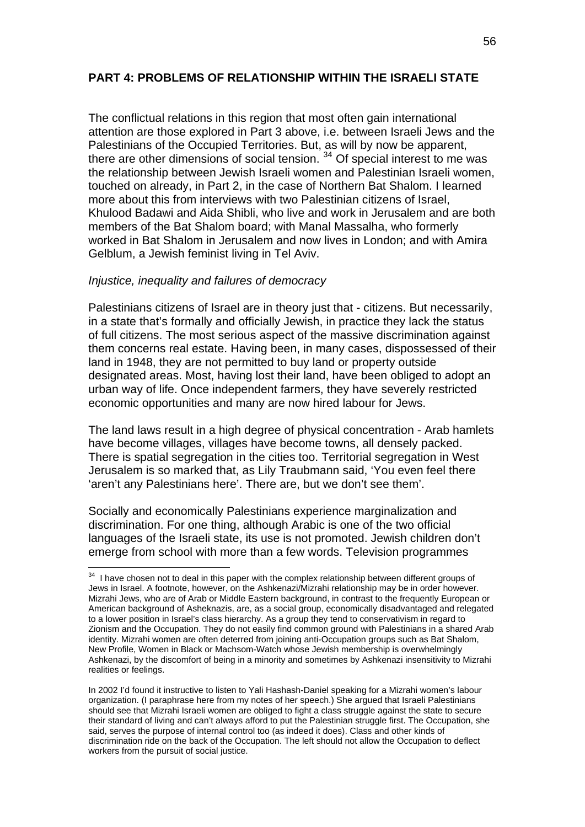## **PART 4: PROBLEMS OF RELATIONSHIP WITHIN THE ISRAELI STATE**

The conflictual relations in this region that most often gain international attention are those explored in Part 3 above, i.e. between Israeli Jews and the Palestinians of the Occupied Territories. But, as will by now be apparent, there are other dimensions of social tension. [34](#page-55-0) Of special interest to me was the relationship between Jewish Israeli women and Palestinian Israeli women, touched on already, in Part 2, in the case of Northern Bat Shalom. I learned more about this from interviews with two Palestinian citizens of Israel, Khulood Badawi and Aida Shibli, who live and work in Jerusalem and are both members of the Bat Shalom board; with Manal Massalha, who formerly worked in Bat Shalom in Jerusalem and now lives in London; and with Amira Gelblum, a Jewish feminist living in Tel Aviv.

#### *Injustice, inequality and failures of democracy*

1

Palestinians citizens of Israel are in theory just that - citizens. But necessarily, in a state that's formally and officially Jewish, in practice they lack the status of full citizens. The most serious aspect of the massive discrimination against them concerns real estate. Having been, in many cases, dispossessed of their land in 1948, they are not permitted to buy land or property outside designated areas. Most, having lost their land, have been obliged to adopt an urban way of life. Once independent farmers, they have severely restricted economic opportunities and many are now hired labour for Jews.

The land laws result in a high degree of physical concentration - Arab hamlets have become villages, villages have become towns, all densely packed. There is spatial segregation in the cities too. Territorial segregation in West Jerusalem is so marked that, as Lily Traubmann said, 'You even feel there 'aren't any Palestinians here'. There are, but we don't see them'.

Socially and economically Palestinians experience marginalization and discrimination. For one thing, although Arabic is one of the two official languages of the Israeli state, its use is not promoted. Jewish children don't emerge from school with more than a few words. Television programmes

<span id="page-55-0"></span> $34$  I have chosen not to deal in this paper with the complex relationship between different groups of Jews in Israel. A footnote, however, on the Ashkenazi/Mizrahi relationship may be in order however. Mizrahi Jews, who are of Arab or Middle Eastern background, in contrast to the frequently European or American background of Asheknazis, are, as a social group, economically disadvantaged and relegated to a lower position in Israel's class hierarchy. As a group they tend to conservativism in regard to Zionism and the Occupation. They do not easily find common ground with Palestinians in a shared Arab identity. Mizrahi women are often deterred from joining anti-Occupation groups such as Bat Shalom, New Profile, Women in Black or Machsom-Watch whose Jewish membership is overwhelmingly Ashkenazi, by the discomfort of being in a minority and sometimes by Ashkenazi insensitivity to Mizrahi realities or feelings.

In 2002 I'd found it instructive to listen to Yali Hashash-Daniel speaking for a Mizrahi women's labour organization. (I paraphrase here from my notes of her speech.) She argued that Israeli Palestinians should see that Mizrahi Israeli women are obliged to fight a class struggle against the state to secure their standard of living and can't always afford to put the Palestinian struggle first. The Occupation, she said, serves the purpose of internal control too (as indeed it does). Class and other kinds of discrimination ride on the back of the Occupation. The left should not allow the Occupation to deflect workers from the pursuit of social justice.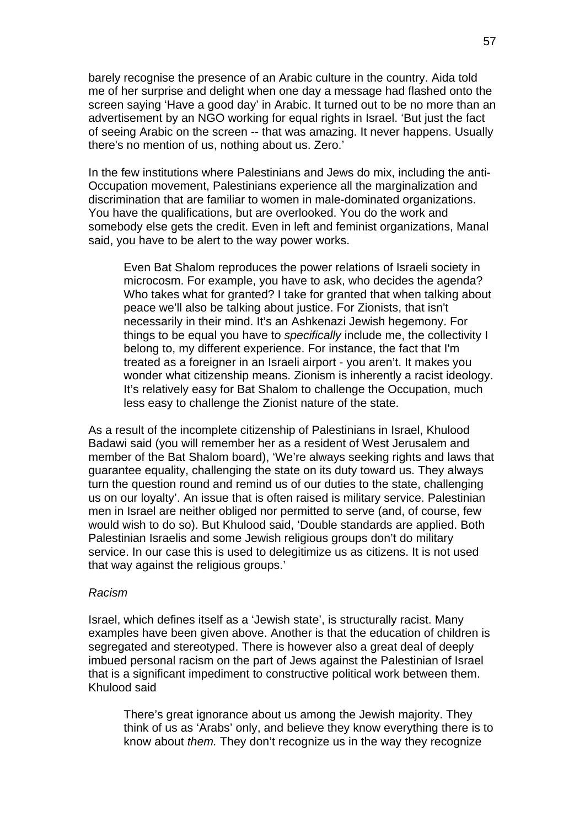barely recognise the presence of an Arabic culture in the country. Aida told me of her surprise and delight when one day a message had flashed onto the screen saying 'Have a good day' in Arabic. It turned out to be no more than an advertisement by an NGO working for equal rights in Israel. 'But just the fact of seeing Arabic on the screen -- that was amazing. It never happens. Usually there's no mention of us, nothing about us. Zero.'

In the few institutions where Palestinians and Jews do mix, including the anti-Occupation movement, Palestinians experience all the marginalization and discrimination that are familiar to women in male-dominated organizations. You have the qualifications, but are overlooked. You do the work and somebody else gets the credit. Even in left and feminist organizations, Manal said, you have to be alert to the way power works.

Even Bat Shalom reproduces the power relations of Israeli society in microcosm. For example, you have to ask, who decides the agenda? Who takes what for granted? I take for granted that when talking about peace we'll also be talking about justice. For Zionists, that isn't necessarily in their mind. It's an Ashkenazi Jewish hegemony. For things to be equal you have to *specifically* include me, the collectivity I belong to, my different experience. For instance, the fact that I'm treated as a foreigner in an Israeli airport - you aren't. It makes you wonder what citizenship means. Zionism is inherently a racist ideology. It's relatively easy for Bat Shalom to challenge the Occupation, much less easy to challenge the Zionist nature of the state.

As a result of the incomplete citizenship of Palestinians in Israel, Khulood Badawi said (you will remember her as a resident of West Jerusalem and member of the Bat Shalom board), 'We're always seeking rights and laws that guarantee equality, challenging the state on its duty toward us. They always turn the question round and remind us of our duties to the state, challenging us on our loyalty'. An issue that is often raised is military service. Palestinian men in Israel are neither obliged nor permitted to serve (and, of course, few would wish to do so). But Khulood said, 'Double standards are applied. Both Palestinian Israelis and some Jewish religious groups don't do military service. In our case this is used to delegitimize us as citizens. It is not used that way against the religious groups.'

#### *Racism*

Israel, which defines itself as a 'Jewish state', is structurally racist. Many examples have been given above. Another is that the education of children is segregated and stereotyped. There is however also a great deal of deeply imbued personal racism on the part of Jews against the Palestinian of Israel that is a significant impediment to constructive political work between them. Khulood said

There's great ignorance about us among the Jewish majority. They think of us as 'Arabs' only, and believe they know everything there is to know about *them.* They don't recognize us in the way they recognize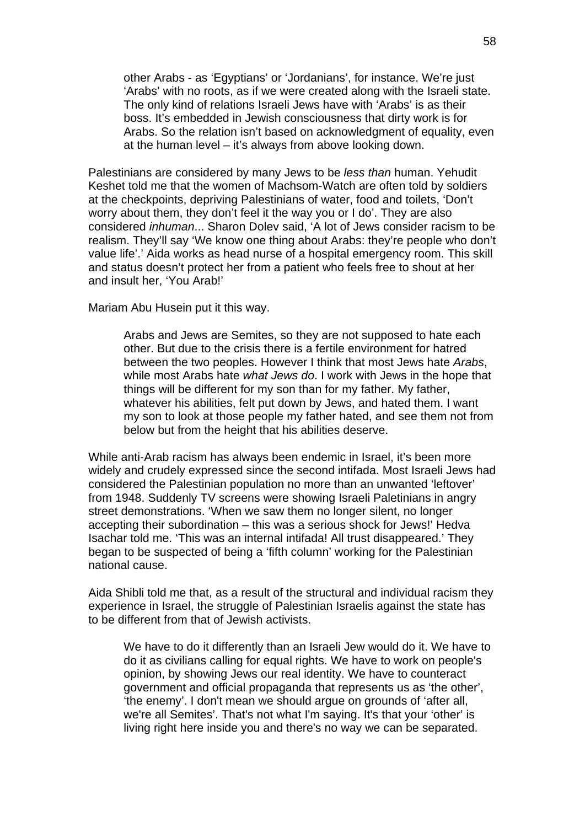other Arabs - as 'Egyptians' or 'Jordanians', for instance. We're just 'Arabs' with no roots, as if we were created along with the Israeli state. The only kind of relations Israeli Jews have with 'Arabs' is as their boss. It's embedded in Jewish consciousness that dirty work is for Arabs. So the relation isn't based on acknowledgment of equality, even at the human level – it's always from above looking down.

Palestinians are considered by many Jews to be *less than* human. Yehudit Keshet told me that the women of Machsom-Watch are often told by soldiers at the checkpoints, depriving Palestinians of water, food and toilets, 'Don't worry about them, they don't feel it the way you or I do'. They are also considered *inhuman*... Sharon Dolev said, 'A lot of Jews consider racism to be realism. They'll say 'We know one thing about Arabs: they're people who don't value life'.' Aida works as head nurse of a hospital emergency room. This skill and status doesn't protect her from a patient who feels free to shout at her and insult her, 'You Arab!'

Mariam Abu Husein put it this way.

Arabs and Jews are Semites, so they are not supposed to hate each other. But due to the crisis there is a fertile environment for hatred between the two peoples. However I think that most Jews hate *Arabs*, while most Arabs hate *what Jews do*. I work with Jews in the hope that things will be different for my son than for my father. My father, whatever his abilities, felt put down by Jews, and hated them. I want my son to look at those people my father hated, and see them not from below but from the height that his abilities deserve.

While anti-Arab racism has always been endemic in Israel, it's been more widely and crudely expressed since the second intifada. Most Israeli Jews had considered the Palestinian population no more than an unwanted 'leftover' from 1948. Suddenly TV screens were showing Israeli Paletinians in angry street demonstrations. 'When we saw them no longer silent, no longer accepting their subordination – this was a serious shock for Jews!' Hedva Isachar told me. 'This was an internal intifada! All trust disappeared.' They began to be suspected of being a 'fifth column' working for the Palestinian national cause.

Aida Shibli told me that, as a result of the structural and individual racism they experience in Israel, the struggle of Palestinian Israelis against the state has to be different from that of Jewish activists.

We have to do it differently than an Israeli Jew would do it. We have to do it as civilians calling for equal rights. We have to work on people's opinion, by showing Jews our real identity. We have to counteract government and official propaganda that represents us as 'the other', 'the enemy'. I don't mean we should argue on grounds of 'after all, we're all Semites'. That's not what I'm saying. It's that your 'other' is living right here inside you and there's no way we can be separated.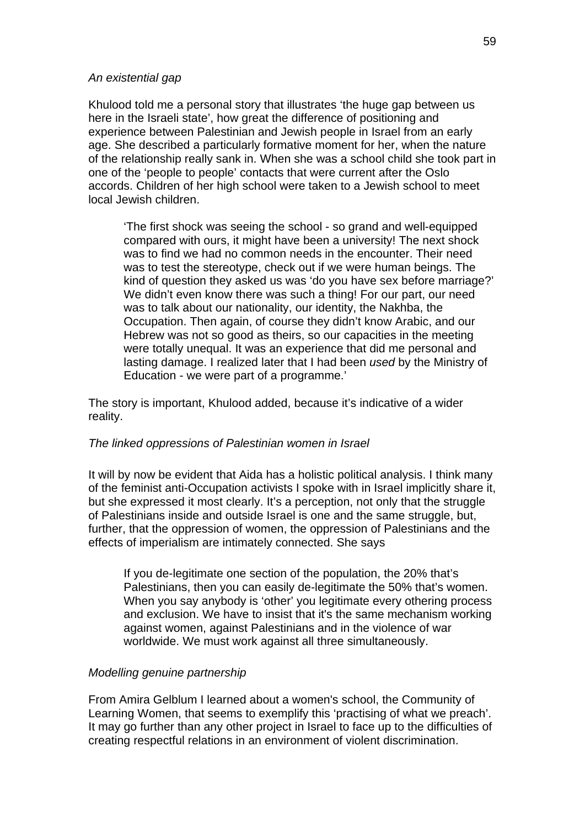#### *An existential gap*

Khulood told me a personal story that illustrates 'the huge gap between us here in the Israeli state', how great the difference of positioning and experience between Palestinian and Jewish people in Israel from an early age. She described a particularly formative moment for her, when the nature of the relationship really sank in. When she was a school child she took part in one of the 'people to people' contacts that were current after the Oslo accords. Children of her high school were taken to a Jewish school to meet local Jewish children.

'The first shock was seeing the school - so grand and well-equipped compared with ours, it might have been a university! The next shock was to find we had no common needs in the encounter. Their need was to test the stereotype, check out if we were human beings. The kind of question they asked us was 'do you have sex before marriage?' We didn't even know there was such a thing! For our part, our need was to talk about our nationality, our identity, the Nakhba, the Occupation. Then again, of course they didn't know Arabic, and our Hebrew was not so good as theirs, so our capacities in the meeting were totally unequal. It was an experience that did me personal and lasting damage. I realized later that I had been *used* by the Ministry of Education - we were part of a programme.'

The story is important, Khulood added, because it's indicative of a wider reality.

## *The linked oppressions of Palestinian women in Israel*

It will by now be evident that Aida has a holistic political analysis. I think many of the feminist anti-Occupation activists I spoke with in Israel implicitly share it, but she expressed it most clearly. It's a perception, not only that the struggle of Palestinians inside and outside Israel is one and the same struggle, but, further, that the oppression of women, the oppression of Palestinians and the effects of imperialism are intimately connected. She says

If you de-legitimate one section of the population, the 20% that's Palestinians, then you can easily de-legitimate the 50% that's women. When you say anybody is 'other' you legitimate every othering process and exclusion. We have to insist that it's the same mechanism working against women, against Palestinians and in the violence of war worldwide. We must work against all three simultaneously.

## *Modelling genuine partnership*

From Amira Gelblum I learned about a women's school, the Community of Learning Women, that seems to exemplify this 'practising of what we preach'. It may go further than any other project in Israel to face up to the difficulties of creating respectful relations in an environment of violent discrimination.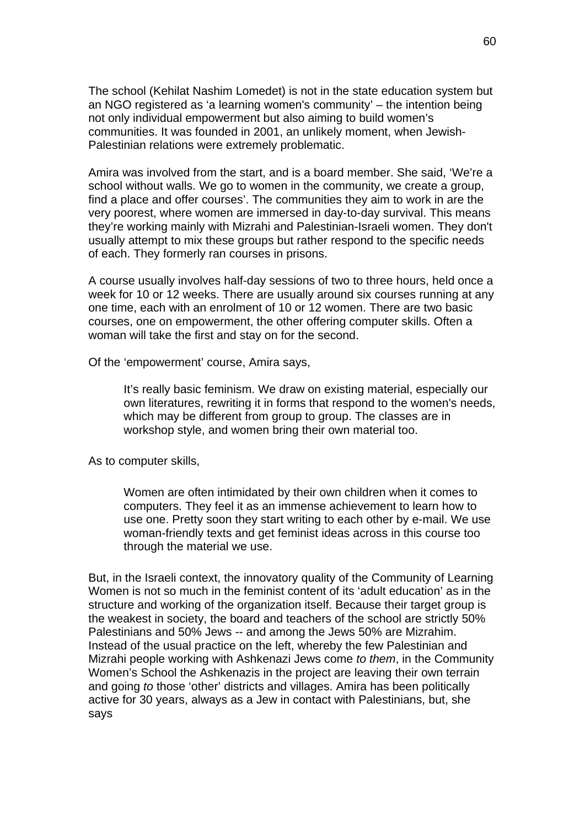The school (Kehilat Nashim Lomedet) is not in the state education system but an NGO registered as 'a learning women's community' – the intention being not only individual empowerment but also aiming to build women's communities. It was founded in 2001, an unlikely moment, when Jewish-Palestinian relations were extremely problematic.

Amira was involved from the start, and is a board member. She said, 'We're a school without walls. We go to women in the community, we create a group, find a place and offer courses'. The communities they aim to work in are the very poorest, where women are immersed in day-to-day survival. This means they're working mainly with Mizrahi and Palestinian-Israeli women. They don't usually attempt to mix these groups but rather respond to the specific needs of each. They formerly ran courses in prisons.

A course usually involves half-day sessions of two to three hours, held once a week for 10 or 12 weeks. There are usually around six courses running at any one time, each with an enrolment of 10 or 12 women. There are two basic courses, one on empowerment, the other offering computer skills. Often a woman will take the first and stay on for the second.

Of the 'empowerment' course, Amira says,

It's really basic feminism. We draw on existing material, especially our own literatures, rewriting it in forms that respond to the women's needs, which may be different from group to group. The classes are in workshop style, and women bring their own material too.

As to computer skills,

Women are often intimidated by their own children when it comes to computers. They feel it as an immense achievement to learn how to use one. Pretty soon they start writing to each other by e-mail. We use woman-friendly texts and get feminist ideas across in this course too through the material we use.

But, in the Israeli context, the innovatory quality of the Community of Learning Women is not so much in the feminist content of its 'adult education' as in the structure and working of the organization itself. Because their target group is the weakest in society, the board and teachers of the school are strictly 50% Palestinians and 50% Jews -- and among the Jews 50% are Mizrahim. Instead of the usual practice on the left, whereby the few Palestinian and Mizrahi people working with Ashkenazi Jews come *to them*, in the Community Women's School the Ashkenazis in the project are leaving their own terrain and going *to* those 'other' districts and villages. Amira has been politically active for 30 years, always as a Jew in contact with Palestinians, but, she says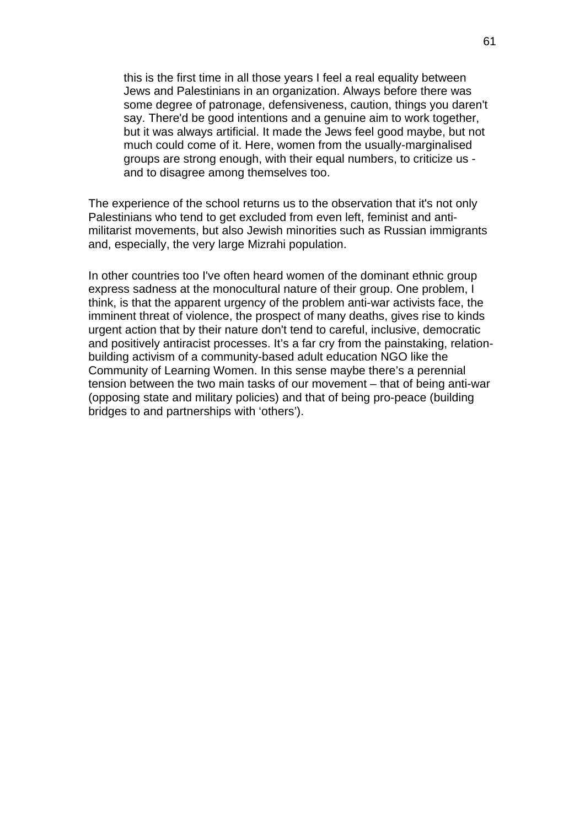this is the first time in all those years I feel a real equality between Jews and Palestinians in an organization. Always before there was some degree of patronage, defensiveness, caution, things you daren't say. There'd be good intentions and a genuine aim to work together, but it was always artificial. It made the Jews feel good maybe, but not much could come of it. Here, women from the usually-marginalised groups are strong enough, with their equal numbers, to criticize us and to disagree among themselves too.

The experience of the school returns us to the observation that it's not only Palestinians who tend to get excluded from even left, feminist and antimilitarist movements, but also Jewish minorities such as Russian immigrants and, especially, the very large Mizrahi population.

In other countries too I've often heard women of the dominant ethnic group express sadness at the monocultural nature of their group. One problem, I think, is that the apparent urgency of the problem anti-war activists face, the imminent threat of violence, the prospect of many deaths, gives rise to kinds urgent action that by their nature don't tend to careful, inclusive, democratic and positively antiracist processes. It's a far cry from the painstaking, relationbuilding activism of a community-based adult education NGO like the Community of Learning Women. In this sense maybe there's a perennial tension between the two main tasks of our movement – that of being anti-war (opposing state and military policies) and that of being pro-peace (building bridges to and partnerships with 'others').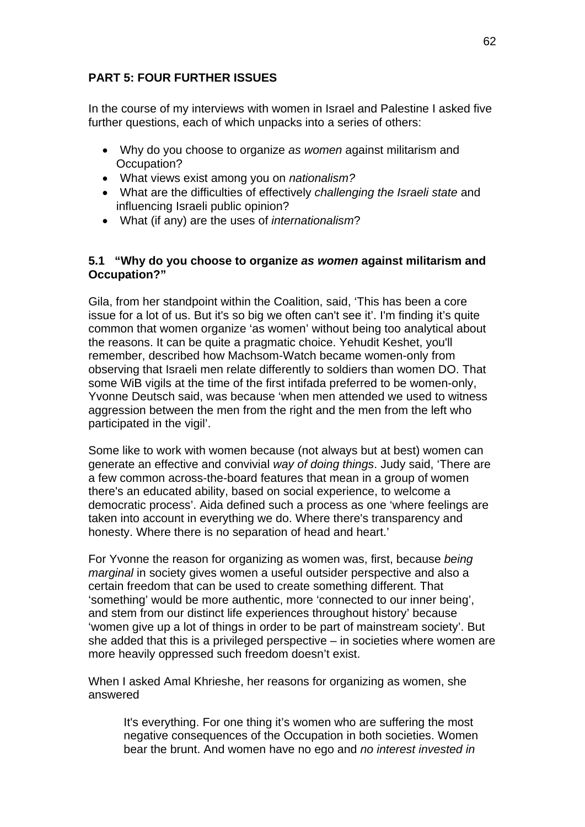# **PART 5: FOUR FURTHER ISSUES**

In the course of my interviews with women in Israel and Palestine I asked five further questions, each of which unpacks into a series of others:

- Why do you choose to organize *as women* against militarism and Occupation?
- What views exist among you on *nationalism?*
- What are the difficulties of effectively *challenging the Israeli state* and influencing Israeli public opinion?
- What (if any) are the uses of *internationalism*?

# **5.1 "Why do you choose to organize** *as women* **against militarism and Occupation?"**

Gila, from her standpoint within the Coalition, said, 'This has been a core issue for a lot of us. But it's so big we often can't see it'. I'm finding it's quite common that women organize 'as women' without being too analytical about the reasons. It can be quite a pragmatic choice. Yehudit Keshet, you'll remember, described how Machsom-Watch became women-only from observing that Israeli men relate differently to soldiers than women DO. That some WiB vigils at the time of the first intifada preferred to be women-only, Yvonne Deutsch said, was because 'when men attended we used to witness aggression between the men from the right and the men from the left who participated in the vigil'.

Some like to work with women because (not always but at best) women can generate an effective and convivial *way of doing things*. Judy said, 'There are a few common across-the-board features that mean in a group of women there's an educated ability, based on social experience, to welcome a democratic process'. Aida defined such a process as one 'where feelings are taken into account in everything we do. Where there's transparency and honesty. Where there is no separation of head and heart.'

For Yvonne the reason for organizing as women was, first, because *being marginal* in society gives women a useful outsider perspective and also a certain freedom that can be used to create something different. That 'something' would be more authentic, more 'connected to our inner being', and stem from our distinct life experiences throughout history' because 'women give up a lot of things in order to be part of mainstream society'. But she added that this is a privileged perspective – in societies where women are more heavily oppressed such freedom doesn't exist.

When I asked Amal Khrieshe, her reasons for organizing as women, she answered

It's everything. For one thing it's women who are suffering the most negative consequences of the Occupation in both societies. Women bear the brunt. And women have no ego and *no interest invested in*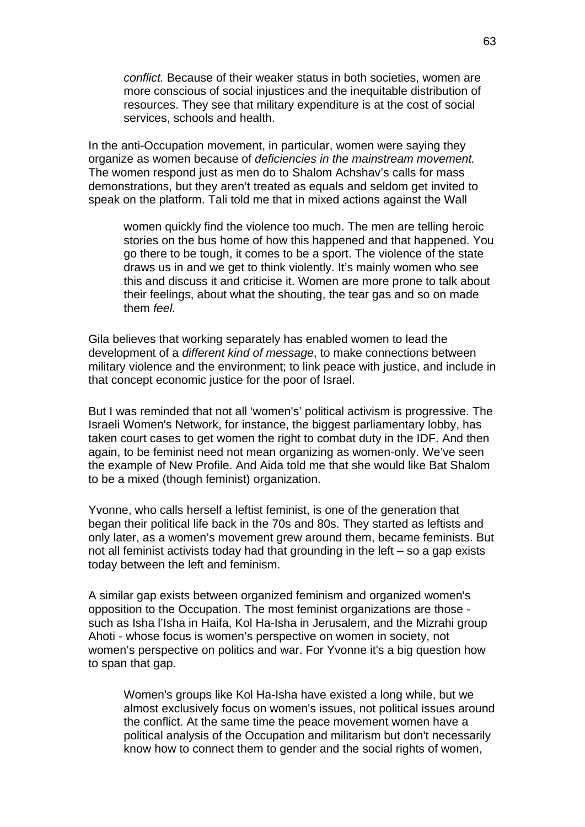*conflict.* Because of their weaker status in both societies, women are more conscious of social injustices and the inequitable distribution of resources. They see that military expenditure is at the cost of social services, schools and health.

In the anti-Occupation movement, in particular, women were saying they organize as women because of *deficiencies in the mainstream movement.*  The women respond just as men do to Shalom Achshav's calls for mass demonstrations, but they aren't treated as equals and seldom get invited to speak on the platform. Tali told me that in mixed actions against the Wall

women quickly find the violence too much. The men are telling heroic stories on the bus home of how this happened and that happened. You go there to be tough, it comes to be a sport. The violence of the state draws us in and we get to think violently. It's mainly women who see this and discuss it and criticise it. Women are more prone to talk about their feelings, about what the shouting, the tear gas and so on made them *feel.* 

Gila believes that working separately has enabled women to lead the development of a *different kind of message*, to make connections between military violence and the environment; to link peace with justice, and include in that concept economic justice for the poor of Israel.

But I was reminded that not all 'women's' political activism is progressive. The Israeli Women's Network, for instance, the biggest parliamentary lobby, has taken court cases to get women the right to combat duty in the IDF. And then again, to be feminist need not mean organizing as women-only. We've seen the example of New Profile. And Aida told me that she would like Bat Shalom to be a mixed (though feminist) organization.

Yvonne, who calls herself a leftist feminist, is one of the generation that began their political life back in the 70s and 80s. They started as leftists and only later, as a women's movement grew around them, became feminists. But not all feminist activists today had that grounding in the left – so a gap exists today between the left and feminism.

A similar gap exists between organized feminism and organized women's opposition to the Occupation. The most feminist organizations are those such as Isha l'Isha in Haifa, Kol Ha-Isha in Jerusalem, and the Mizrahi group Ahoti - whose focus is women's perspective on women in society, not women's perspective on politics and war. For Yvonne it's a big question how to span that gap.

Women's groups like Kol Ha-Isha have existed a long while, but we almost exclusively focus on women's issues, not political issues around the conflict. At the same time the peace movement women have a political analysis of the Occupation and militarism but don't necessarily know how to connect them to gender and the social rights of women,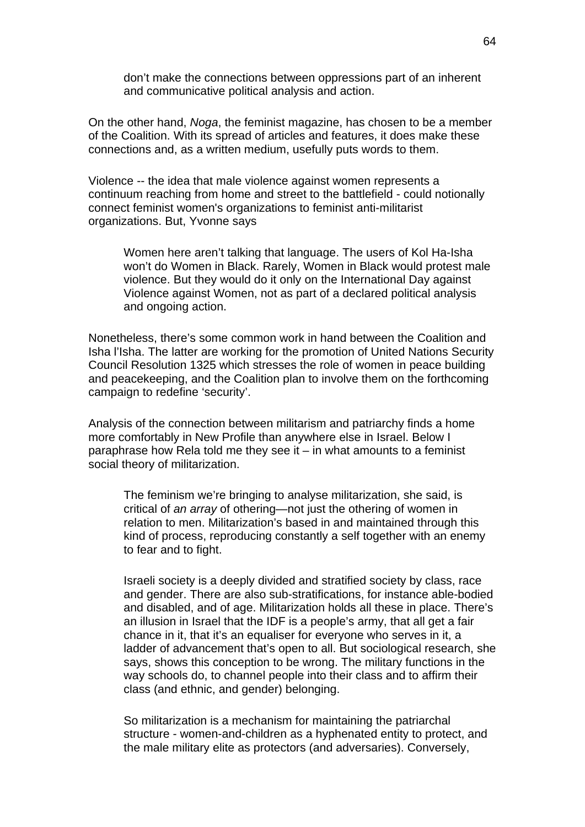don't make the connections between oppressions part of an inherent and communicative political analysis and action.

On the other hand, *Noga*, the feminist magazine, has chosen to be a member of the Coalition. With its spread of articles and features, it does make these connections and, as a written medium, usefully puts words to them.

Violence -- the idea that male violence against women represents a continuum reaching from home and street to the battlefield - could notionally connect feminist women's organizations to feminist anti-militarist organizations. But, Yvonne says

Women here aren't talking that language. The users of Kol Ha-Isha won't do Women in Black. Rarely, Women in Black would protest male violence. But they would do it only on the International Day against Violence against Women, not as part of a declared political analysis and ongoing action.

Nonetheless, there's some common work in hand between the Coalition and Isha l'Isha. The latter are working for the promotion of United Nations Security Council Resolution 1325 which stresses the role of women in peace building and peacekeeping, and the Coalition plan to involve them on the forthcoming campaign to redefine 'security'.

Analysis of the connection between militarism and patriarchy finds a home more comfortably in New Profile than anywhere else in Israel. Below I paraphrase how Rela told me they see it – in what amounts to a feminist social theory of militarization.

The feminism we're bringing to analyse militarization, she said, is critical of *an array* of othering—not just the othering of women in relation to men. Militarization's based in and maintained through this kind of process, reproducing constantly a self together with an enemy to fear and to fight.

Israeli society is a deeply divided and stratified society by class, race and gender. There are also sub-stratifications, for instance able-bodied and disabled, and of age. Militarization holds all these in place. There's an illusion in Israel that the IDF is a people's army, that all get a fair chance in it, that it's an equaliser for everyone who serves in it, a ladder of advancement that's open to all. But sociological research, she says, shows this conception to be wrong. The military functions in the way schools do, to channel people into their class and to affirm their class (and ethnic, and gender) belonging.

So militarization is a mechanism for maintaining the patriarchal structure - women-and-children as a hyphenated entity to protect, and the male military elite as protectors (and adversaries). Conversely,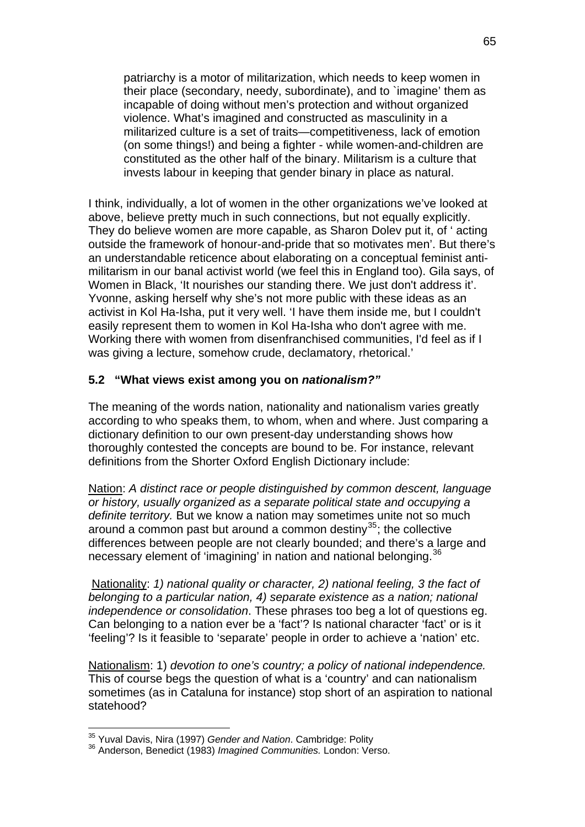patriarchy is a motor of militarization, which needs to keep women in their place (secondary, needy, subordinate), and to `imagine' them as incapable of doing without men's protection and without organized violence. What's imagined and constructed as masculinity in a militarized culture is a set of traits—competitiveness, lack of emotion (on some things!) and being a fighter - while women-and-children are constituted as the other half of the binary. Militarism is a culture that invests labour in keeping that gender binary in place as natural.

I think, individually, a lot of women in the other organizations we've looked at above, believe pretty much in such connections, but not equally explicitly. They do believe women are more capable, as Sharon Dolev put it, of ' acting outside the framework of honour-and-pride that so motivates men'. But there's an understandable reticence about elaborating on a conceptual feminist antimilitarism in our banal activist world (we feel this in England too). Gila says, of Women in Black, 'It nourishes our standing there. We just don't address it'. Yvonne, asking herself why she's not more public with these ideas as an activist in Kol Ha-Isha, put it very well. 'I have them inside me, but I couldn't easily represent them to women in Kol Ha-Isha who don't agree with me. Working there with women from disenfranchised communities, I'd feel as if I was giving a lecture, somehow crude, declamatory, rhetorical.'

## **5.2 "What views exist among you on** *nationalism?"*

The meaning of the words nation, nationality and nationalism varies greatly according to who speaks them, to whom, when and where. Just comparing a dictionary definition to our own present-day understanding shows how thoroughly contested the concepts are bound to be. For instance, relevant definitions from the Shorter Oxford English Dictionary include:

Nation: *A distinct race or people distinguished by common descent, language or history, usually organized as a separate political state and occupying a definite territory.* But we know a nation may sometimes unite not so much around a common past but around a common destiny<sup>[35](#page-64-0)</sup>; the collective differences between people are not clearly bounded; and there's a large and necessary element of 'imagining' in nation and national belonging.<sup>[36](#page-64-1)</sup>

 Nationality: *1) national quality or character, 2) national feeling, 3 the fact of belonging to a particular nation, 4) separate existence as a nation; national independence or consolidation*. These phrases too beg a lot of questions eg. Can belonging to a nation ever be a 'fact'? Is national character 'fact' or is it 'feeling'? Is it feasible to 'separate' people in order to achieve a 'nation' etc.

Nationalism: 1) *devotion to one's country; a policy of national independence.* This of course begs the question of what is a 'country' and can nationalism sometimes (as in Cataluna for instance) stop short of an aspiration to national statehood?

1

<span id="page-64-1"></span><span id="page-64-0"></span><sup>&</sup>lt;sup>35</sup> Yuval Davis, Nira (1997) *Gender and Nation*. Cambridge: Polity<br><sup>36</sup> Anderson, Benedict (1983) *Imagined Communities.* London: Verso.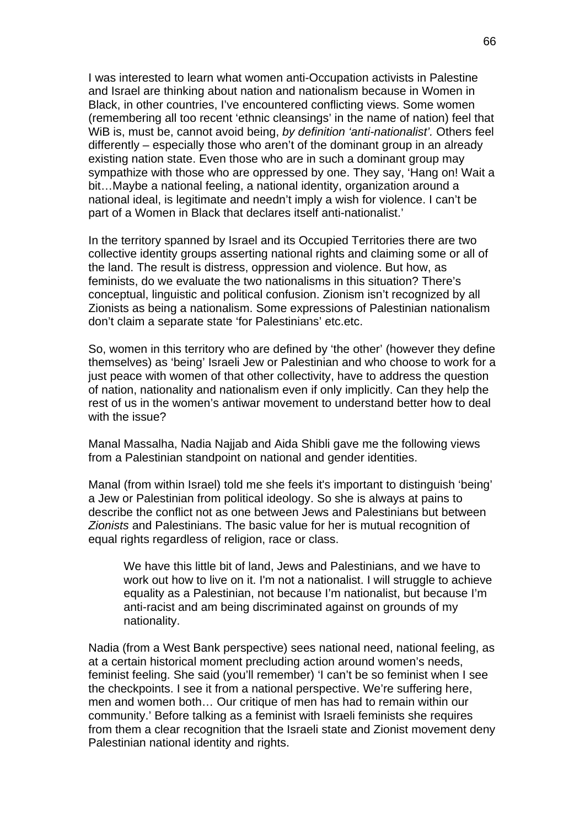I was interested to learn what women anti-Occupation activists in Palestine and Israel are thinking about nation and nationalism because in Women in Black, in other countries, I've encountered conflicting views. Some women (remembering all too recent 'ethnic cleansings' in the name of nation) feel that WiB is, must be, cannot avoid being, *by definition 'anti-nationalist'.* Others feel differently – especially those who aren't of the dominant group in an already existing nation state. Even those who are in such a dominant group may sympathize with those who are oppressed by one. They say, 'Hang on! Wait a bit…Maybe a national feeling, a national identity, organization around a national ideal, is legitimate and needn't imply a wish for violence. I can't be part of a Women in Black that declares itself anti-nationalist.'

In the territory spanned by Israel and its Occupied Territories there are two collective identity groups asserting national rights and claiming some or all of the land. The result is distress, oppression and violence. But how, as feminists, do we evaluate the two nationalisms in this situation? There's conceptual, linguistic and political confusion. Zionism isn't recognized by all Zionists as being a nationalism. Some expressions of Palestinian nationalism don't claim a separate state 'for Palestinians' etc.etc.

So, women in this territory who are defined by 'the other' (however they define themselves) as 'being' Israeli Jew or Palestinian and who choose to work for a just peace with women of that other collectivity, have to address the question of nation, nationality and nationalism even if only implicitly. Can they help the rest of us in the women's antiwar movement to understand better how to deal with the issue?

Manal Massalha, Nadia Najjab and Aida Shibli gave me the following views from a Palestinian standpoint on national and gender identities.

Manal (from within Israel) told me she feels it's important to distinguish 'being' a Jew or Palestinian from political ideology. So she is always at pains to describe the conflict not as one between Jews and Palestinians but between *Zionists* and Palestinians. The basic value for her is mutual recognition of equal rights regardless of religion, race or class.

We have this little bit of land, Jews and Palestinians, and we have to work out how to live on it. I'm not a nationalist. I will struggle to achieve equality as a Palestinian, not because I'm nationalist, but because I'm anti-racist and am being discriminated against on grounds of my nationality.

Nadia (from a West Bank perspective) sees national need, national feeling, as at a certain historical moment precluding action around women's needs, feminist feeling. She said (you'll remember) 'I can't be so feminist when I see the checkpoints. I see it from a national perspective. We're suffering here, men and women both… Our critique of men has had to remain within our community.' Before talking as a feminist with Israeli feminists she requires from them a clear recognition that the Israeli state and Zionist movement deny Palestinian national identity and rights.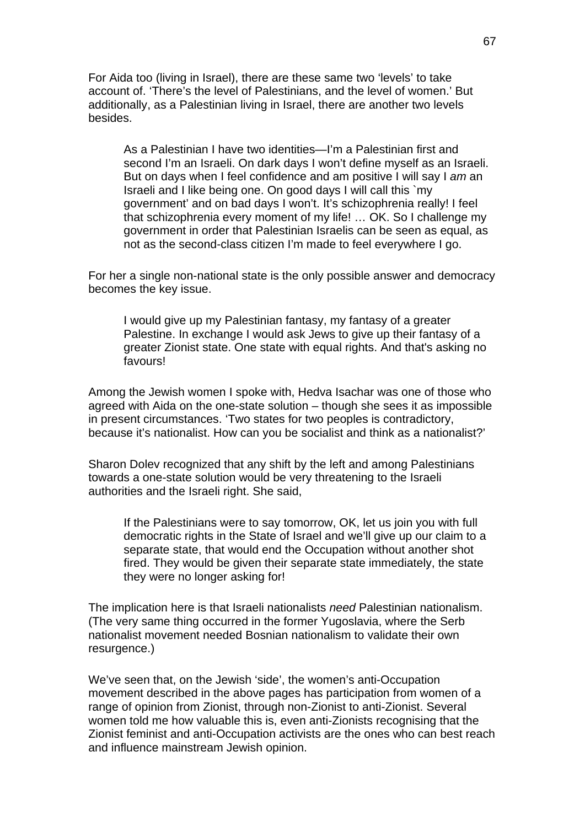For Aida too (living in Israel), there are these same two 'levels' to take account of. 'There's the level of Palestinians, and the level of women.' But additionally, as a Palestinian living in Israel, there are another two levels besides.

As a Palestinian I have two identities—I'm a Palestinian first and second I'm an Israeli. On dark days I won't define myself as an Israeli. But on days when I feel confidence and am positive I will say I *am* an Israeli and I like being one. On good days I will call this `my government' and on bad days I won't. It's schizophrenia really! I feel that schizophrenia every moment of my life! … OK. So I challenge my government in order that Palestinian Israelis can be seen as equal, as not as the second-class citizen I'm made to feel everywhere I go.

For her a single non-national state is the only possible answer and democracy becomes the key issue.

I would give up my Palestinian fantasy, my fantasy of a greater Palestine. In exchange I would ask Jews to give up their fantasy of a greater Zionist state. One state with equal rights. And that's asking no favours!

Among the Jewish women I spoke with, Hedva Isachar was one of those who agreed with Aida on the one-state solution – though she sees it as impossible in present circumstances. 'Two states for two peoples is contradictory, because it's nationalist. How can you be socialist and think as a nationalist?'

Sharon Dolev recognized that any shift by the left and among Palestinians towards a one-state solution would be very threatening to the Israeli authorities and the Israeli right. She said,

If the Palestinians were to say tomorrow, OK, let us join you with full democratic rights in the State of Israel and we'll give up our claim to a separate state, that would end the Occupation without another shot fired. They would be given their separate state immediately, the state they were no longer asking for!

The implication here is that Israeli nationalists *need* Palestinian nationalism. (The very same thing occurred in the former Yugoslavia, where the Serb nationalist movement needed Bosnian nationalism to validate their own resurgence.)

We've seen that, on the Jewish 'side', the women's anti-Occupation movement described in the above pages has participation from women of a range of opinion from Zionist, through non-Zionist to anti-Zionist. Several women told me how valuable this is, even anti-Zionists recognising that the Zionist feminist and anti-Occupation activists are the ones who can best reach and influence mainstream Jewish opinion.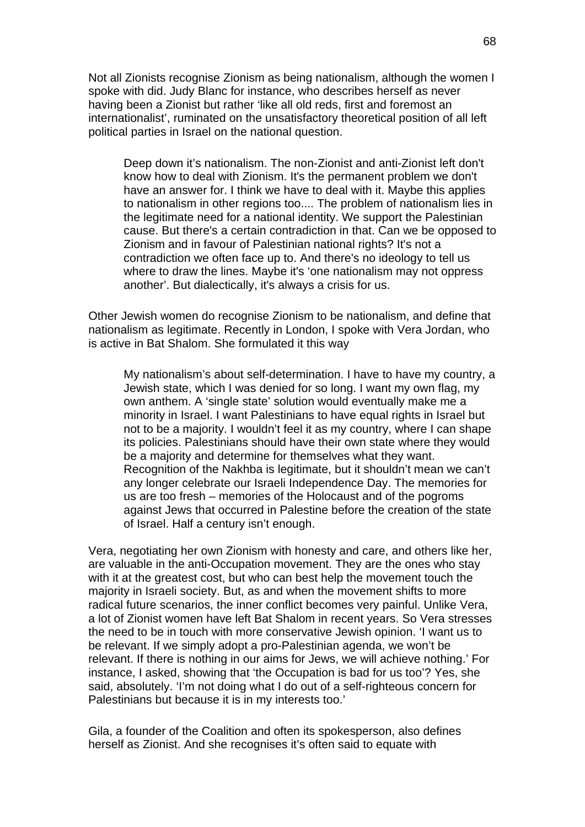Not all Zionists recognise Zionism as being nationalism, although the women I spoke with did. Judy Blanc for instance, who describes herself as never having been a Zionist but rather 'like all old reds, first and foremost an internationalist', ruminated on the unsatisfactory theoretical position of all left political parties in Israel on the national question.

Deep down it's nationalism. The non-Zionist and anti-Zionist left don't know how to deal with Zionism. It's the permanent problem we don't have an answer for. I think we have to deal with it. Maybe this applies to nationalism in other regions too.... The problem of nationalism lies in the legitimate need for a national identity. We support the Palestinian cause. But there's a certain contradiction in that. Can we be opposed to Zionism and in favour of Palestinian national rights? It's not a contradiction we often face up to. And there's no ideology to tell us where to draw the lines. Maybe it's 'one nationalism may not oppress another'. But dialectically, it's always a crisis for us.

Other Jewish women do recognise Zionism to be nationalism, and define that nationalism as legitimate. Recently in London, I spoke with Vera Jordan, who is active in Bat Shalom. She formulated it this way

My nationalism's about self-determination. I have to have my country, a Jewish state, which I was denied for so long. I want my own flag, my own anthem. A 'single state' solution would eventually make me a minority in Israel. I want Palestinians to have equal rights in Israel but not to be a majority. I wouldn't feel it as my country, where I can shape its policies. Palestinians should have their own state where they would be a majority and determine for themselves what they want. Recognition of the Nakhba is legitimate, but it shouldn't mean we can't any longer celebrate our Israeli Independence Day. The memories for us are too fresh – memories of the Holocaust and of the pogroms against Jews that occurred in Palestine before the creation of the state of Israel. Half a century isn't enough.

Vera, negotiating her own Zionism with honesty and care, and others like her, are valuable in the anti-Occupation movement. They are the ones who stay with it at the greatest cost, but who can best help the movement touch the majority in Israeli society. But, as and when the movement shifts to more radical future scenarios, the inner conflict becomes very painful. Unlike Vera, a lot of Zionist women have left Bat Shalom in recent years. So Vera stresses the need to be in touch with more conservative Jewish opinion. 'I want us to be relevant. If we simply adopt a pro-Palestinian agenda, we won't be relevant. If there is nothing in our aims for Jews, we will achieve nothing.' For instance, I asked, showing that 'the Occupation is bad for us too'? Yes, she said, absolutely. 'I'm not doing what I do out of a self-righteous concern for Palestinians but because it is in my interests too.'

Gila, a founder of the Coalition and often its spokesperson, also defines herself as Zionist. And she recognises it's often said to equate with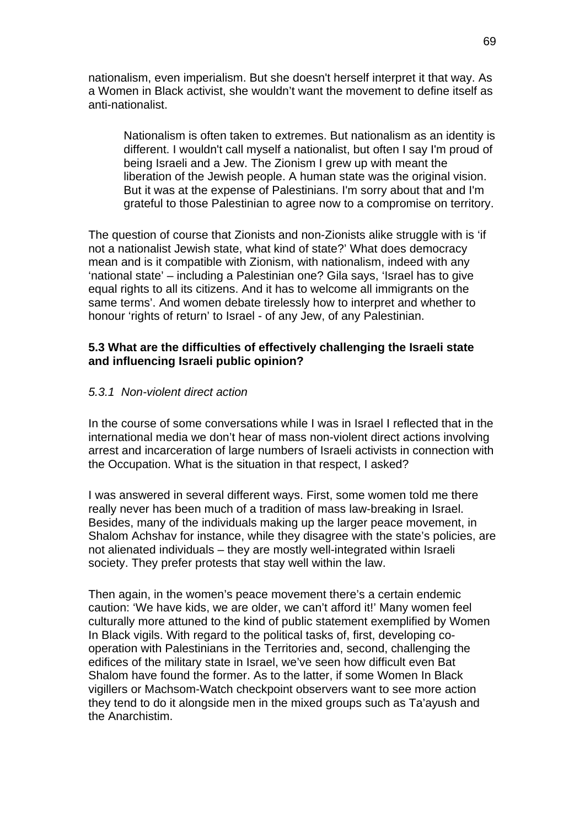nationalism, even imperialism. But she doesn't herself interpret it that way. As a Women in Black activist, she wouldn't want the movement to define itself as anti-nationalist.

Nationalism is often taken to extremes. But nationalism as an identity is different. I wouldn't call myself a nationalist, but often I say I'm proud of being Israeli and a Jew. The Zionism I grew up with meant the liberation of the Jewish people. A human state was the original vision. But it was at the expense of Palestinians. I'm sorry about that and I'm grateful to those Palestinian to agree now to a compromise on territory.

The question of course that Zionists and non-Zionists alike struggle with is 'if not a nationalist Jewish state, what kind of state?' What does democracy mean and is it compatible with Zionism, with nationalism, indeed with any 'national state' – including a Palestinian one? Gila says, 'Israel has to give equal rights to all its citizens. And it has to welcome all immigrants on the same terms'. And women debate tirelessly how to interpret and whether to honour 'rights of return' to Israel - of any Jew, of any Palestinian.

## **5.3 What are the difficulties of effectively challenging the Israeli state and influencing Israeli public opinion?**

## *5.3.1 Non-violent direct action*

In the course of some conversations while I was in Israel I reflected that in the international media we don't hear of mass non-violent direct actions involving arrest and incarceration of large numbers of Israeli activists in connection with the Occupation. What is the situation in that respect, I asked?

I was answered in several different ways. First, some women told me there really never has been much of a tradition of mass law-breaking in Israel. Besides, many of the individuals making up the larger peace movement, in Shalom Achshav for instance, while they disagree with the state's policies, are not alienated individuals – they are mostly well-integrated within Israeli society. They prefer protests that stay well within the law.

Then again, in the women's peace movement there's a certain endemic caution: 'We have kids, we are older, we can't afford it!' Many women feel culturally more attuned to the kind of public statement exemplified by Women In Black vigils. With regard to the political tasks of, first, developing cooperation with Palestinians in the Territories and, second, challenging the edifices of the military state in Israel, we've seen how difficult even Bat Shalom have found the former. As to the latter, if some Women In Black vigillers or Machsom-Watch checkpoint observers want to see more action they tend to do it alongside men in the mixed groups such as Ta'ayush and the Anarchistim.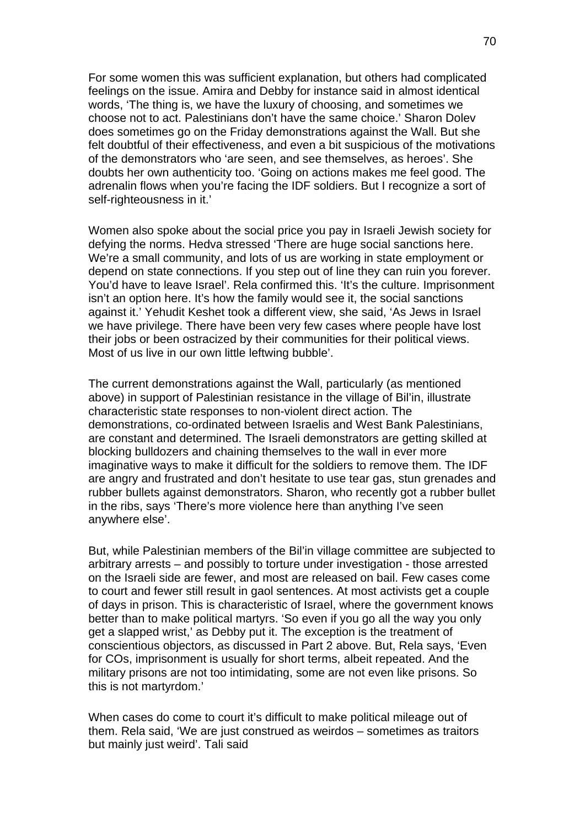For some women this was sufficient explanation, but others had complicated feelings on the issue. Amira and Debby for instance said in almost identical words, 'The thing is, we have the luxury of choosing, and sometimes we choose not to act. Palestinians don't have the same choice.' Sharon Dolev does sometimes go on the Friday demonstrations against the Wall. But she felt doubtful of their effectiveness, and even a bit suspicious of the motivations of the demonstrators who 'are seen, and see themselves, as heroes'. She doubts her own authenticity too. 'Going on actions makes me feel good. The adrenalin flows when you're facing the IDF soldiers. But I recognize a sort of self-righteousness in it.'

Women also spoke about the social price you pay in Israeli Jewish society for defying the norms. Hedva stressed 'There are huge social sanctions here. We're a small community, and lots of us are working in state employment or depend on state connections. If you step out of line they can ruin you forever. You'd have to leave Israel'. Rela confirmed this. 'It's the culture. Imprisonment isn't an option here. It's how the family would see it, the social sanctions against it.' Yehudit Keshet took a different view, she said, 'As Jews in Israel we have privilege. There have been very few cases where people have lost their jobs or been ostracized by their communities for their political views. Most of us live in our own little leftwing bubble'.

The current demonstrations against the Wall, particularly (as mentioned above) in support of Palestinian resistance in the village of Bil'in, illustrate characteristic state responses to non-violent direct action. The demonstrations, co-ordinated between Israelis and West Bank Palestinians, are constant and determined. The Israeli demonstrators are getting skilled at blocking bulldozers and chaining themselves to the wall in ever more imaginative ways to make it difficult for the soldiers to remove them. The IDF are angry and frustrated and don't hesitate to use tear gas, stun grenades and rubber bullets against demonstrators. Sharon, who recently got a rubber bullet in the ribs, says 'There's more violence here than anything I've seen anywhere else'.

But, while Palestinian members of the Bil'in village committee are subjected to arbitrary arrests – and possibly to torture under investigation - those arrested on the Israeli side are fewer, and most are released on bail. Few cases come to court and fewer still result in gaol sentences. At most activists get a couple of days in prison. This is characteristic of Israel, where the government knows better than to make political martyrs. 'So even if you go all the way you only get a slapped wrist,' as Debby put it. The exception is the treatment of conscientious objectors, as discussed in Part 2 above. But, Rela says, 'Even for COs, imprisonment is usually for short terms, albeit repeated. And the military prisons are not too intimidating, some are not even like prisons. So this is not martyrdom.'

When cases do come to court it's difficult to make political mileage out of them. Rela said, 'We are just construed as weirdos – sometimes as traitors but mainly just weird'. Tali said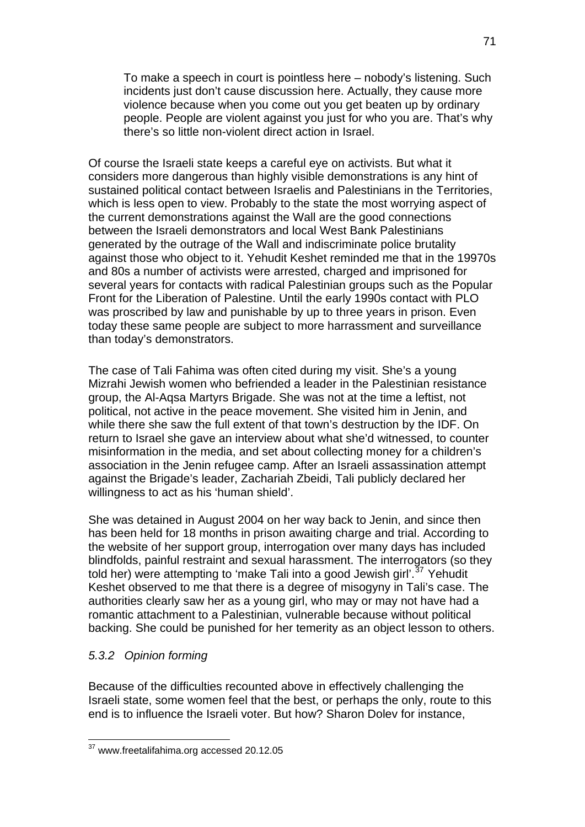To make a speech in court is pointless here – nobody's listening. Such incidents just don't cause discussion here. Actually, they cause more violence because when you come out you get beaten up by ordinary people. People are violent against you just for who you are. That's why there's so little non-violent direct action in Israel.

Of course the Israeli state keeps a careful eye on activists. But what it considers more dangerous than highly visible demonstrations is any hint of sustained political contact between Israelis and Palestinians in the Territories, which is less open to view. Probably to the state the most worrying aspect of the current demonstrations against the Wall are the good connections between the Israeli demonstrators and local West Bank Palestinians generated by the outrage of the Wall and indiscriminate police brutality against those who object to it. Yehudit Keshet reminded me that in the 19970s and 80s a number of activists were arrested, charged and imprisoned for several years for contacts with radical Palestinian groups such as the Popular Front for the Liberation of Palestine. Until the early 1990s contact with PLO was proscribed by law and punishable by up to three years in prison. Even today these same people are subject to more harrassment and surveillance than today's demonstrators.

The case of Tali Fahima was often cited during my visit. She's a young Mizrahi Jewish women who befriended a leader in the Palestinian resistance group, the Al-Aqsa Martyrs Brigade. She was not at the time a leftist, not political, not active in the peace movement. She visited him in Jenin, and while there she saw the full extent of that town's destruction by the IDF. On return to Israel she gave an interview about what she'd witnessed, to counter misinformation in the media, and set about collecting money for a children's association in the Jenin refugee camp. After an Israeli assassination attempt against the Brigade's leader, Zachariah Zbeidi, Tali publicly declared her willingness to act as his 'human shield'.

She was detained in August 2004 on her way back to Jenin, and since then has been held for 18 months in prison awaiting charge and trial. According to the website of her support group, interrogation over many days has included blindfolds, painful restraint and sexual harassment. The interrogators (so they told her) were attempting to 'make Tali into a good Jewish girl'.<sup>[37](#page-70-0)</sup> Yehudit Keshet observed to me that there is a degree of misogyny in Tali's case. The authorities clearly saw her as a young girl, who may or may not have had a romantic attachment to a Palestinian, vulnerable because without political backing. She could be punished for her temerity as an object lesson to others.

# *5.3.2 Opinion forming*

1

Because of the difficulties recounted above in effectively challenging the Israeli state, some women feel that the best, or perhaps the only, route to this end is to influence the Israeli voter. But how? Sharon Dolev for instance,

<span id="page-70-0"></span> $37$  www.freetalifahima.org accessed 20.12.05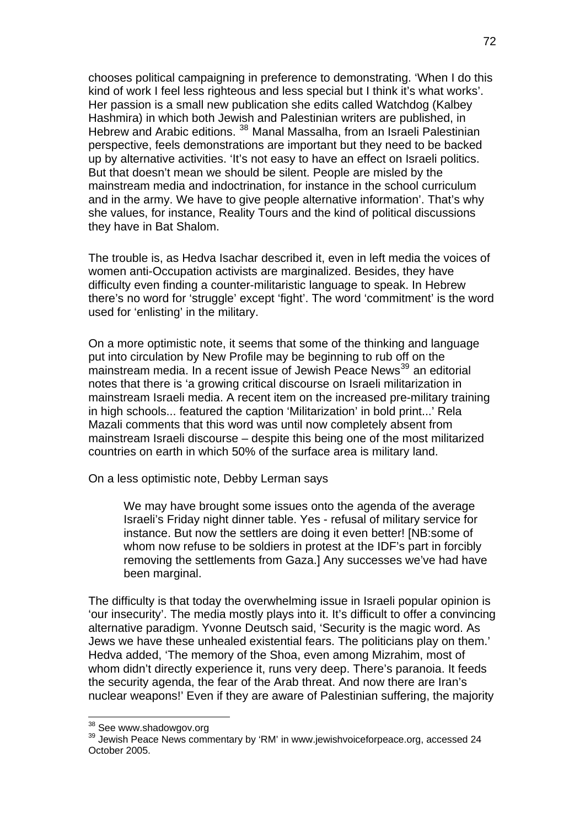chooses political campaigning in preference to demonstrating. 'When I do this kind of work I feel less righteous and less special but I think it's what works'. Her passion is a small new publication she edits called Watchdog (Kalbey Hashmira) in which both Jewish and Palestinian writers are published, in Hebrew and Arabic editions.<sup>[38](#page-71-0)</sup> Manal Massalha, from an Israeli Palestinian perspective, feels demonstrations are important but they need to be backed up by alternative activities. 'It's not easy to have an effect on Israeli politics. But that doesn't mean we should be silent. People are misled by the mainstream media and indoctrination, for instance in the school curriculum and in the army. We have to give people alternative information'. That's why she values, for instance, Reality Tours and the kind of political discussions they have in Bat Shalom.

The trouble is, as Hedva Isachar described it, even in left media the voices of women anti-Occupation activists are marginalized. Besides, they have difficulty even finding a counter-militaristic language to speak. In Hebrew there's no word for 'struggle' except 'fight'. The word 'commitment' is the word used for 'enlisting' in the military.

On a more optimistic note, it seems that some of the thinking and language put into circulation by New Profile may be beginning to rub off on the mainstream media. In a recent issue of Jewish Peace News<sup>[39](#page-71-1)</sup> an editorial notes that there is 'a growing critical discourse on Israeli militarization in mainstream Israeli media. A recent item on the increased pre-military training in high schools... featured the caption 'Militarization' in bold print...' Rela Mazali comments that this word was until now completely absent from mainstream Israeli discourse – despite this being one of the most militarized countries on earth in which 50% of the surface area is military land.

On a less optimistic note, Debby Lerman says

We may have brought some issues onto the agenda of the average Israeli's Friday night dinner table. Yes - refusal of military service for instance. But now the settlers are doing it even better! [NB:some of whom now refuse to be soldiers in protest at the IDF's part in forcibly removing the settlements from Gaza.] Any successes we've had have been marginal.

The difficulty is that today the overwhelming issue in Israeli popular opinion is 'our insecurity'. The media mostly plays into it. It's difficult to offer a convincing alternative paradigm. Yvonne Deutsch said, 'Security is the magic word. As Jews we have these unhealed existential fears. The politicians play on them.' Hedva added, 'The memory of the Shoa, even among Mizrahim, most of whom didn't directly experience it, runs very deep. There's paranoia. It feeds the security agenda, the fear of the Arab threat. And now there are Iran's nuclear weapons!' Even if they are aware of Palestinian suffering, the majority

1

<span id="page-71-1"></span><span id="page-71-0"></span> $38$  See www.shadowgov.org<br> $39$  Jewish Peace News commentary by 'RM' in www.jewishvoiceforpeace.org, accessed 24 October 2005.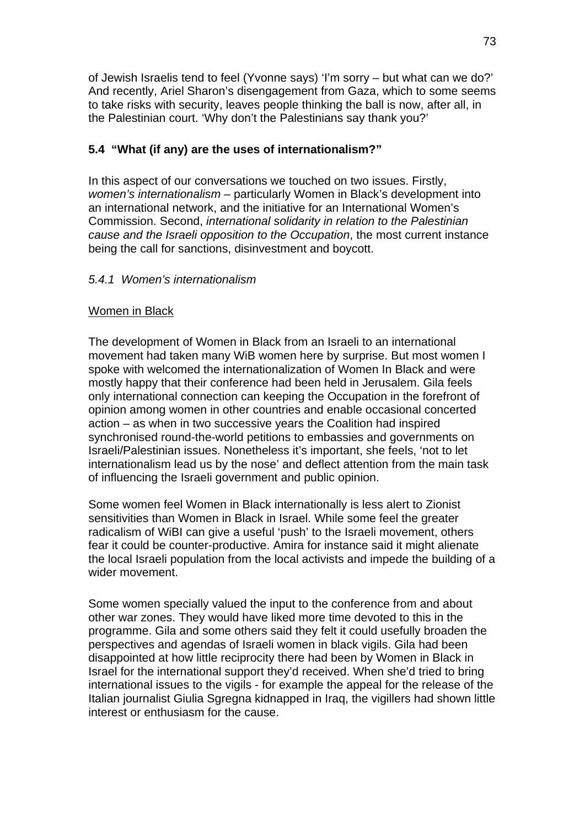of Jewish Israelis tend to feel (Yvonne says) 'I'm sorry – but what can we do?' And recently, Ariel Sharon's disengagement from Gaza, which to some seems to take risks with security, leaves people thinking the ball is now, after all, in the Palestinian court. 'Why don't the Palestinians say thank you?'

# **5.4 "What (if any) are the uses of internationalism?"**

In this aspect of our conversations we touched on two issues. Firstly, *women's internationalism* – particularly Women in Black's development into an international network, and the initiative for an International Women's Commission. Second, *international solidarity in relation to the Palestinian cause and the Israeli opposition to the Occupation*, the most current instance being the call for sanctions, disinvestment and boycott.

## *5.4.1 Women's internationalism*

## Women in Black

The development of Women in Black from an Israeli to an international movement had taken many WiB women here by surprise. But most women I spoke with welcomed the internationalization of Women In Black and were mostly happy that their conference had been held in Jerusalem. Gila feels only international connection can keeping the Occupation in the forefront of opinion among women in other countries and enable occasional concerted action – as when in two successive years the Coalition had inspired synchronised round-the-world petitions to embassies and governments on Israeli/Palestinian issues. Nonetheless it's important, she feels, 'not to let internationalism lead us by the nose' and deflect attention from the main task of influencing the Israeli government and public opinion.

Some women feel Women in Black internationally is less alert to Zionist sensitivities than Women in Black in Israel. While some feel the greater radicalism of WiBI can give a useful 'push' to the Israeli movement, others fear it could be counter-productive. Amira for instance said it might alienate the local Israeli population from the local activists and impede the building of a wider movement.

Some women specially valued the input to the conference from and about other war zones. They would have liked more time devoted to this in the programme. Gila and some others said they felt it could usefully broaden the perspectives and agendas of Israeli women in black vigils. Gila had been disappointed at how little reciprocity there had been by Women in Black in Israel for the international support they'd received. When she'd tried to bring international issues to the vigils - for example the appeal for the release of the Italian journalist Giulia Sgregna kidnapped in Iraq, the vigillers had shown little interest or enthusiasm for the cause.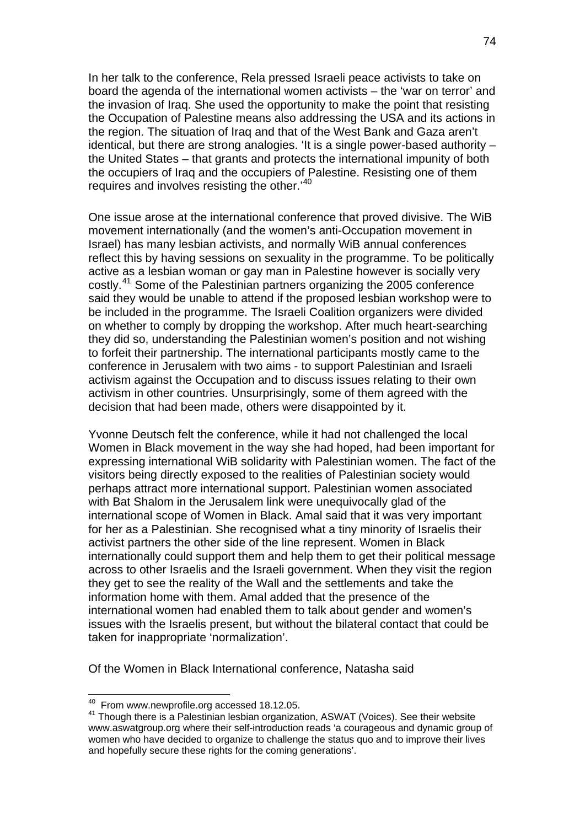In her talk to the conference, Rela pressed Israeli peace activists to take on board the agenda of the international women activists – the 'war on terror' and the invasion of Iraq. She used the opportunity to make the point that resisting the Occupation of Palestine means also addressing the USA and its actions in the region. The situation of Iraq and that of the West Bank and Gaza aren't identical, but there are strong analogies. 'It is a single power-based authority – the United States – that grants and protects the international impunity of both the occupiers of Iraq and the occupiers of Palestine. Resisting one of them requires and involves resisting the other.<sup>[40](#page-73-0)</sup>

One issue arose at the international conference that proved divisive. The WiB movement internationally (and the women's anti-Occupation movement in Israel) has many lesbian activists, and normally WiB annual conferences reflect this by having sessions on sexuality in the programme. To be politically active as a lesbian woman or gay man in Palestine however is socially very costly.[41](#page-73-1) Some of the Palestinian partners organizing the 2005 conference said they would be unable to attend if the proposed lesbian workshop were to be included in the programme. The Israeli Coalition organizers were divided on whether to comply by dropping the workshop. After much heart-searching they did so, understanding the Palestinian women's position and not wishing to forfeit their partnership. The international participants mostly came to the conference in Jerusalem with two aims - to support Palestinian and Israeli activism against the Occupation and to discuss issues relating to their own activism in other countries. Unsurprisingly, some of them agreed with the decision that had been made, others were disappointed by it.

Yvonne Deutsch felt the conference, while it had not challenged the local Women in Black movement in the way she had hoped, had been important for expressing international WiB solidarity with Palestinian women. The fact of the visitors being directly exposed to the realities of Palestinian society would perhaps attract more international support. Palestinian women associated with Bat Shalom in the Jerusalem link were unequivocally glad of the international scope of Women in Black. Amal said that it was very important for her as a Palestinian. She recognised what a tiny minority of Israelis their activist partners the other side of the line represent. Women in Black internationally could support them and help them to get their political message across to other Israelis and the Israeli government. When they visit the region they get to see the reality of the Wall and the settlements and take the information home with them. Amal added that the presence of the international women had enabled them to talk about gender and women's issues with the Israelis present, but without the bilateral contact that could be taken for inappropriate 'normalization'.

Of the Women in Black International conference, Natasha said

<sup>&</sup>lt;sup>40</sup> From www.newprofile.org accessed 18.12.05.

<span id="page-73-1"></span><span id="page-73-0"></span> $41$  Though there is a Palestinian lesbian organization, ASWAT (Voices). See their website www.aswatgroup.org where their self-introduction reads 'a courageous and dynamic group of women who have decided to organize to challenge the status quo and to improve their lives and hopefully secure these rights for the coming generations'.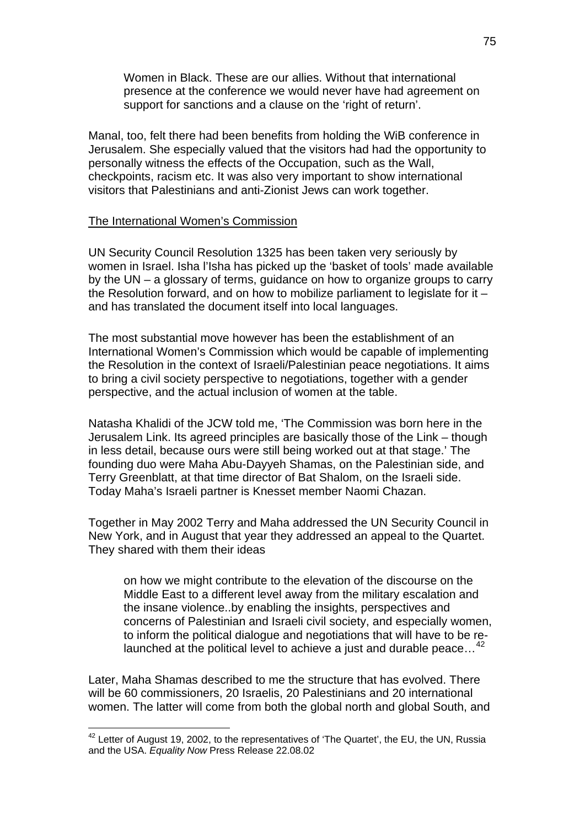Women in Black. These are our allies. Without that international presence at the conference we would never have had agreement on support for sanctions and a clause on the 'right of return'.

Manal, too, felt there had been benefits from holding the WiB conference in Jerusalem. She especially valued that the visitors had had the opportunity to personally witness the effects of the Occupation, such as the Wall, checkpoints, racism etc. It was also very important to show international visitors that Palestinians and anti-Zionist Jews can work together.

#### The International Women's Commission

UN Security Council Resolution 1325 has been taken very seriously by women in Israel. Isha l'Isha has picked up the 'basket of tools' made available by the UN – a glossary of terms, guidance on how to organize groups to carry the Resolution forward, and on how to mobilize parliament to legislate for it – and has translated the document itself into local languages.

The most substantial move however has been the establishment of an International Women's Commission which would be capable of implementing the Resolution in the context of Israeli/Palestinian peace negotiations. It aims to bring a civil society perspective to negotiations, together with a gender perspective, and the actual inclusion of women at the table.

Natasha Khalidi of the JCW told me, 'The Commission was born here in the Jerusalem Link. Its agreed principles are basically those of the Link – though in less detail, because ours were still being worked out at that stage.' The founding duo were Maha Abu-Dayyeh Shamas, on the Palestinian side, and Terry Greenblatt, at that time director of Bat Shalom, on the Israeli side. Today Maha's Israeli partner is Knesset member Naomi Chazan.

Together in May 2002 Terry and Maha addressed the UN Security Council in New York, and in August that year they addressed an appeal to the Quartet. They shared with them their ideas

on how we might contribute to the elevation of the discourse on the Middle East to a different level away from the military escalation and the insane violence..by enabling the insights, perspectives and concerns of Palestinian and Israeli civil society, and especially women, to inform the political dialogue and negotiations that will have to be re-launched at the political level to achieve a just and durable peace...<sup>[42](#page-74-0)</sup>

Later, Maha Shamas described to me the structure that has evolved. There will be 60 commissioners, 20 Israelis, 20 Palestinians and 20 international women. The latter will come from both the global north and global South, and

1

<span id="page-74-0"></span> $42$  Letter of August 19, 2002, to the representatives of 'The Quartet', the EU, the UN, Russia and the USA. *Equality Now* Press Release 22.08.02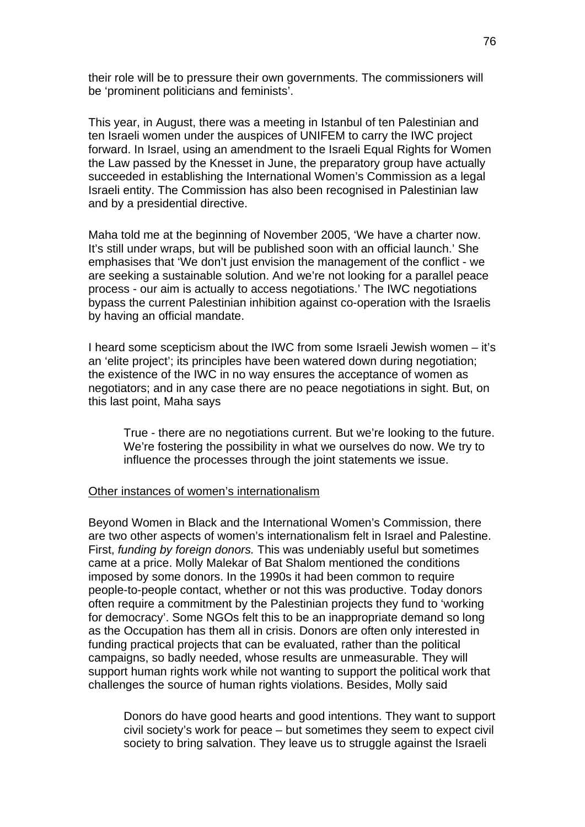their role will be to pressure their own governments. The commissioners will be 'prominent politicians and feminists'.

This year, in August, there was a meeting in Istanbul of ten Palestinian and ten Israeli women under the auspices of UNIFEM to carry the IWC project forward. In Israel, using an amendment to the Israeli Equal Rights for Women the Law passed by the Knesset in June, the preparatory group have actually succeeded in establishing the International Women's Commission as a legal Israeli entity. The Commission has also been recognised in Palestinian law and by a presidential directive.

Maha told me at the beginning of November 2005, 'We have a charter now. It's still under wraps, but will be published soon with an official launch.' She emphasises that 'We don't just envision the management of the conflict - we are seeking a sustainable solution. And we're not looking for a parallel peace process - our aim is actually to access negotiations.' The IWC negotiations bypass the current Palestinian inhibition against co-operation with the Israelis by having an official mandate.

I heard some scepticism about the IWC from some Israeli Jewish women – it's an 'elite project'; its principles have been watered down during negotiation; the existence of the IWC in no way ensures the acceptance of women as negotiators; and in any case there are no peace negotiations in sight. But, on this last point, Maha says

True - there are no negotiations current. But we're looking to the future. We're fostering the possibility in what we ourselves do now. We try to influence the processes through the joint statements we issue.

#### Other instances of women's internationalism

Beyond Women in Black and the International Women's Commission, there are two other aspects of women's internationalism felt in Israel and Palestine. First, *funding by foreign donors.* This was undeniably useful but sometimes came at a price. Molly Malekar of Bat Shalom mentioned the conditions imposed by some donors. In the 1990s it had been common to require people-to-people contact, whether or not this was productive. Today donors often require a commitment by the Palestinian projects they fund to 'working for democracy'. Some NGOs felt this to be an inappropriate demand so long as the Occupation has them all in crisis. Donors are often only interested in funding practical projects that can be evaluated, rather than the political campaigns, so badly needed, whose results are unmeasurable. They will support human rights work while not wanting to support the political work that challenges the source of human rights violations. Besides, Molly said

Donors do have good hearts and good intentions. They want to support civil society's work for peace – but sometimes they seem to expect civil society to bring salvation. They leave us to struggle against the Israeli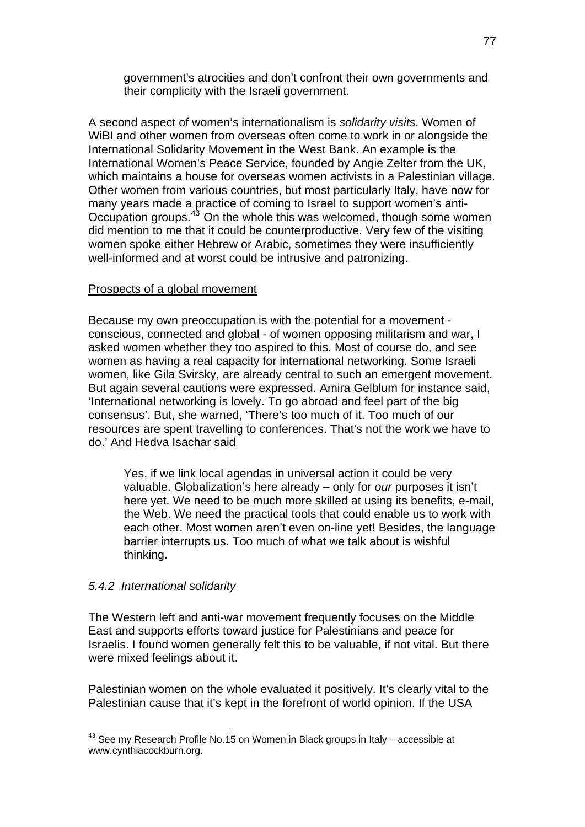government's atrocities and don't confront their own governments and their complicity with the Israeli government.

A second aspect of women's internationalism is *solidarity visits*. Women of WiBI and other women from overseas often come to work in or alongside the International Solidarity Movement in the West Bank. An example is the International Women's Peace Service, founded by Angie Zelter from the UK, which maintains a house for overseas women activists in a Palestinian village. Other women from various countries, but most particularly Italy, have now for many years made a practice of coming to Israel to support women's anti-Occupation groups.<sup>[43](#page-76-0)</sup> On the whole this was welcomed, though some women did mention to me that it could be counterproductive. Very few of the visiting women spoke either Hebrew or Arabic, sometimes they were insufficiently well-informed and at worst could be intrusive and patronizing.

#### Prospects of a global movement

Because my own preoccupation is with the potential for a movement conscious, connected and global - of women opposing militarism and war, I asked women whether they too aspired to this. Most of course do, and see women as having a real capacity for international networking. Some Israeli women, like Gila Svirsky, are already central to such an emergent movement. But again several cautions were expressed. Amira Gelblum for instance said, 'International networking is lovely. To go abroad and feel part of the big consensus'. But, she warned, 'There's too much of it. Too much of our resources are spent travelling to conferences. That's not the work we have to do.' And Hedva Isachar said

Yes, if we link local agendas in universal action it could be very valuable. Globalization's here already – only for *our* purposes it isn't here yet. We need to be much more skilled at using its benefits, e-mail, the Web. We need the practical tools that could enable us to work with each other. Most women aren't even on-line yet! Besides, the language barrier interrupts us. Too much of what we talk about is wishful thinking.

### *5.4.2 International solidarity*

The Western left and anti-war movement frequently focuses on the Middle East and supports efforts toward justice for Palestinians and peace for Israelis. I found women generally felt this to be valuable, if not vital. But there were mixed feelings about it.

Palestinian women on the whole evaluated it positively. It's clearly vital to the Palestinian cause that it's kept in the forefront of world opinion. If the USA

<span id="page-76-0"></span><sup>1</sup>  $43$  See my Research Profile No.15 on Women in Black groups in Italy – accessible at www.cynthiacockburn.org.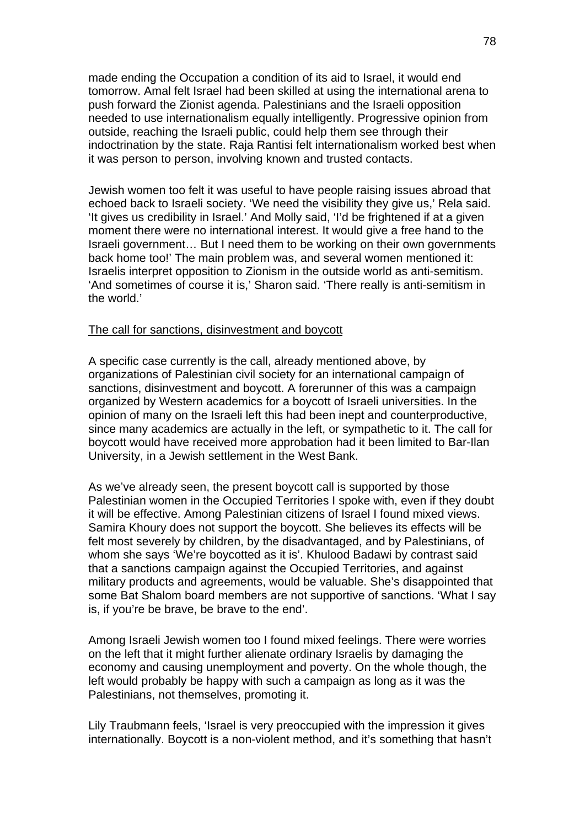made ending the Occupation a condition of its aid to Israel, it would end tomorrow. Amal felt Israel had been skilled at using the international arena to push forward the Zionist agenda. Palestinians and the Israeli opposition needed to use internationalism equally intelligently. Progressive opinion from outside, reaching the Israeli public, could help them see through their indoctrination by the state. Raja Rantisi felt internationalism worked best when it was person to person, involving known and trusted contacts.

Jewish women too felt it was useful to have people raising issues abroad that echoed back to Israeli society. 'We need the visibility they give us,' Rela said. 'It gives us credibility in Israel.' And Molly said, 'I'd be frightened if at a given moment there were no international interest. It would give a free hand to the Israeli government… But I need them to be working on their own governments back home too!' The main problem was, and several women mentioned it: Israelis interpret opposition to Zionism in the outside world as anti-semitism. 'And sometimes of course it is,' Sharon said. 'There really is anti-semitism in the world.'

#### The call for sanctions, disinvestment and boycott

A specific case currently is the call, already mentioned above, by organizations of Palestinian civil society for an international campaign of sanctions, disinvestment and boycott. A forerunner of this was a campaign organized by Western academics for a boycott of Israeli universities. In the opinion of many on the Israeli left this had been inept and counterproductive, since many academics are actually in the left, or sympathetic to it. The call for boycott would have received more approbation had it been limited to Bar-Ilan University, in a Jewish settlement in the West Bank.

As we've already seen, the present boycott call is supported by those Palestinian women in the Occupied Territories I spoke with, even if they doubt it will be effective. Among Palestinian citizens of Israel I found mixed views. Samira Khoury does not support the boycott. She believes its effects will be felt most severely by children, by the disadvantaged, and by Palestinians, of whom she says 'We're boycotted as it is'. Khulood Badawi by contrast said that a sanctions campaign against the Occupied Territories, and against military products and agreements, would be valuable. She's disappointed that some Bat Shalom board members are not supportive of sanctions. 'What I say is, if you're be brave, be brave to the end'.

Among Israeli Jewish women too I found mixed feelings. There were worries on the left that it might further alienate ordinary Israelis by damaging the economy and causing unemployment and poverty. On the whole though, the left would probably be happy with such a campaign as long as it was the Palestinians, not themselves, promoting it.

Lily Traubmann feels, 'Israel is very preoccupied with the impression it gives internationally. Boycott is a non-violent method, and it's something that hasn't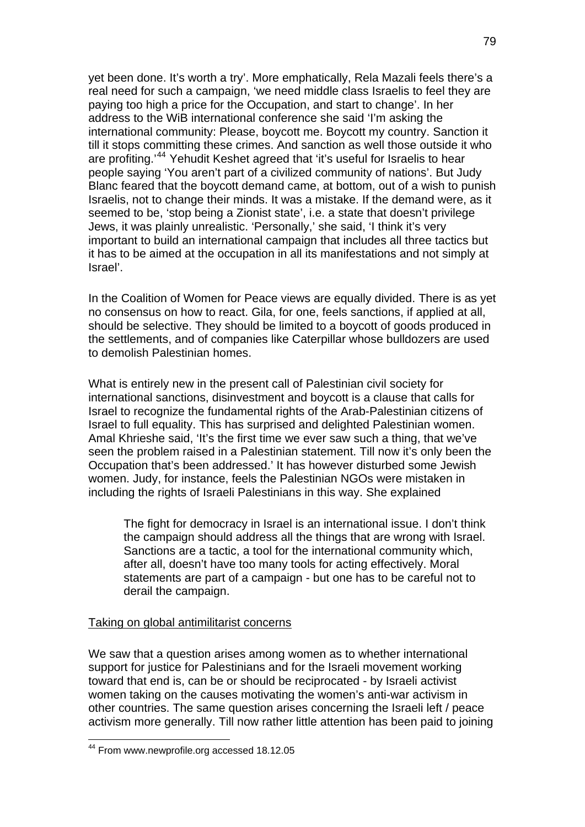yet been done. It's worth a try'. More emphatically, Rela Mazali feels there's a real need for such a campaign, 'we need middle class Israelis to feel they are paying too high a price for the Occupation, and start to change'. In her address to the WiB international conference she said 'I'm asking the international community: Please, boycott me. Boycott my country. Sanction it till it stops committing these crimes. And sanction as well those outside it who are profiting.'[44](#page-78-0) Yehudit Keshet agreed that 'it's useful for Israelis to hear people saying 'You aren't part of a civilized community of nations'. But Judy Blanc feared that the boycott demand came, at bottom, out of a wish to punish Israelis, not to change their minds. It was a mistake. If the demand were, as it seemed to be, 'stop being a Zionist state', i.e. a state that doesn't privilege Jews, it was plainly unrealistic. 'Personally,' she said, 'I think it's very important to build an international campaign that includes all three tactics but it has to be aimed at the occupation in all its manifestations and not simply at Israel'.

In the Coalition of Women for Peace views are equally divided. There is as yet no consensus on how to react. Gila, for one, feels sanctions, if applied at all, should be selective. They should be limited to a boycott of goods produced in the settlements, and of companies like Caterpillar whose bulldozers are used to demolish Palestinian homes.

What is entirely new in the present call of Palestinian civil society for international sanctions, disinvestment and boycott is a clause that calls for Israel to recognize the fundamental rights of the Arab-Palestinian citizens of Israel to full equality. This has surprised and delighted Palestinian women. Amal Khrieshe said, 'It's the first time we ever saw such a thing, that we've seen the problem raised in a Palestinian statement. Till now it's only been the Occupation that's been addressed.' It has however disturbed some Jewish women. Judy, for instance, feels the Palestinian NGOs were mistaken in including the rights of Israeli Palestinians in this way. She explained

The fight for democracy in Israel is an international issue. I don't think the campaign should address all the things that are wrong with Israel. Sanctions are a tactic, a tool for the international community which, after all, doesn't have too many tools for acting effectively. Moral statements are part of a campaign - but one has to be careful not to derail the campaign.

#### Taking on global antimilitarist concerns

We saw that a question arises among women as to whether international support for justice for Palestinians and for the Israeli movement working toward that end is, can be or should be reciprocated - by Israeli activist women taking on the causes motivating the women's anti-war activism in other countries. The same question arises concerning the Israeli left / peace activism more generally. Till now rather little attention has been paid to joining

1

<span id="page-78-0"></span><sup>&</sup>lt;sup>44</sup> From www.newprofile.org accessed 18.12.05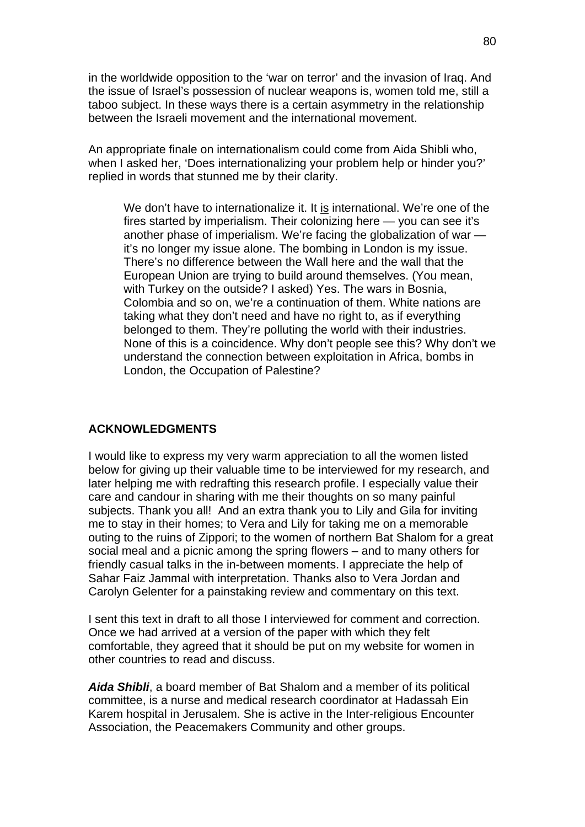in the worldwide opposition to the 'war on terror' and the invasion of Iraq. And the issue of Israel's possession of nuclear weapons is, women told me, still a taboo subject. In these ways there is a certain asymmetry in the relationship between the Israeli movement and the international movement.

An appropriate finale on internationalism could come from Aida Shibli who, when I asked her, 'Does internationalizing your problem help or hinder you?' replied in words that stunned me by their clarity.

We don't have to internationalize it. It is international. We're one of the fires started by imperialism. Their colonizing here — you can see it's another phase of imperialism. We're facing the globalization of war it's no longer my issue alone. The bombing in London is my issue. There's no difference between the Wall here and the wall that the European Union are trying to build around themselves. (You mean, with Turkey on the outside? I asked) Yes. The wars in Bosnia, Colombia and so on, we're a continuation of them. White nations are taking what they don't need and have no right to, as if everything belonged to them. They're polluting the world with their industries. None of this is a coincidence. Why don't people see this? Why don't we understand the connection between exploitation in Africa, bombs in London, the Occupation of Palestine?

#### **ACKNOWLEDGMENTS**

I would like to express my very warm appreciation to all the women listed below for giving up their valuable time to be interviewed for my research, and later helping me with redrafting this research profile. I especially value their care and candour in sharing with me their thoughts on so many painful subjects. Thank you all! And an extra thank you to Lily and Gila for inviting me to stay in their homes; to Vera and Lily for taking me on a memorable outing to the ruins of Zippori; to the women of northern Bat Shalom for a great social meal and a picnic among the spring flowers – and to many others for friendly casual talks in the in-between moments. I appreciate the help of Sahar Faiz Jammal with interpretation. Thanks also to Vera Jordan and Carolyn Gelenter for a painstaking review and commentary on this text.

I sent this text in draft to all those I interviewed for comment and correction. Once we had arrived at a version of the paper with which they felt comfortable, they agreed that it should be put on my website for women in other countries to read and discuss.

*Aida Shibli*, a board member of Bat Shalom and a member of its political committee, is a nurse and medical research coordinator at Hadassah Ein Karem hospital in Jerusalem. She is active in the Inter-religious Encounter Association, the Peacemakers Community and other groups.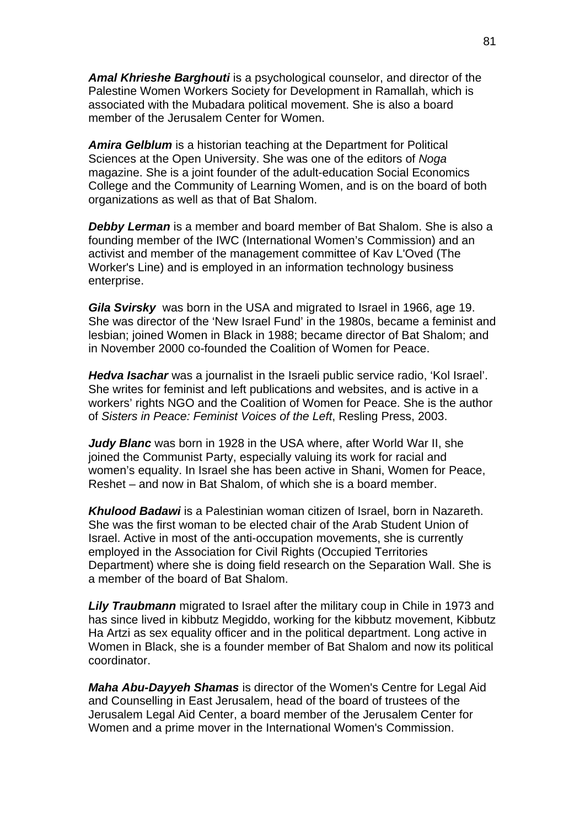*Amal Khrieshe Barghouti* is a psychological counselor, and director of the Palestine Women Workers Society for Development in Ramallah, which is associated with the Mubadara political movement. She is also a board member of the Jerusalem Center for Women.

*Amira Gelblum* is a historian teaching at the Department for Political Sciences at the Open University. She was one of the editors of *Noga*  magazine. She is a joint founder of the adult-education Social Economics College and the Community of Learning Women, and is on the board of both organizations as well as that of Bat Shalom.

*Debby Lerman* is a member and board member of Bat Shalom. She is also a founding member of the IWC (International Women's Commission) and an activist and member of the management committee of Kav L'Oved (The Worker's Line) and is employed in an information technology business enterprise.

*Gila Svirsky*was born in the USA and migrated to Israel in 1966, age 19. She was director of the 'New Israel Fund' in the 1980s, became a feminist and lesbian; joined Women in Black in 1988; became director of Bat Shalom; and in November 2000 co-founded the Coalition of Women for Peace.

*Hedva Isachar* was a journalist in the Israeli public service radio, 'Kol Israel'. She writes for feminist and left publications and websites, and is active in a workers' rights NGO and the Coalition of Women for Peace. She is the author of *Sisters in Peace: Feminist Voices of the Left*, Resling Press, 2003.

*Judy Blanc* was born in 1928 in the USA where, after World War II, she joined the Communist Party, especially valuing its work for racial and women's equality. In Israel she has been active in Shani, Women for Peace, Reshet – and now in Bat Shalom, of which she is a board member.

*Khulood Badawi* is a Palestinian woman citizen of Israel, born in Nazareth. She was the first woman to be elected chair of the Arab Student Union of Israel. Active in most of the anti-occupation movements, she is currently employed in the Association for Civil Rights (Occupied Territories Department) where she is doing field research on the Separation Wall. She is a member of the board of Bat Shalom.

*Lily Traubmann* migrated to Israel after the military coup in Chile in 1973 and has since lived in kibbutz Megiddo, working for the kibbutz movement, Kibbutz Ha Artzi as sex equality officer and in the political department. Long active in Women in Black, she is a founder member of Bat Shalom and now its political coordinator.

*Maha Abu-Dayyeh Shamas* is director of the Women's Centre for Legal Aid and Counselling in East Jerusalem, head of the board of trustees of the Jerusalem Legal Aid Center, a board member of the Jerusalem Center for Women and a prime mover in the International Women's Commission.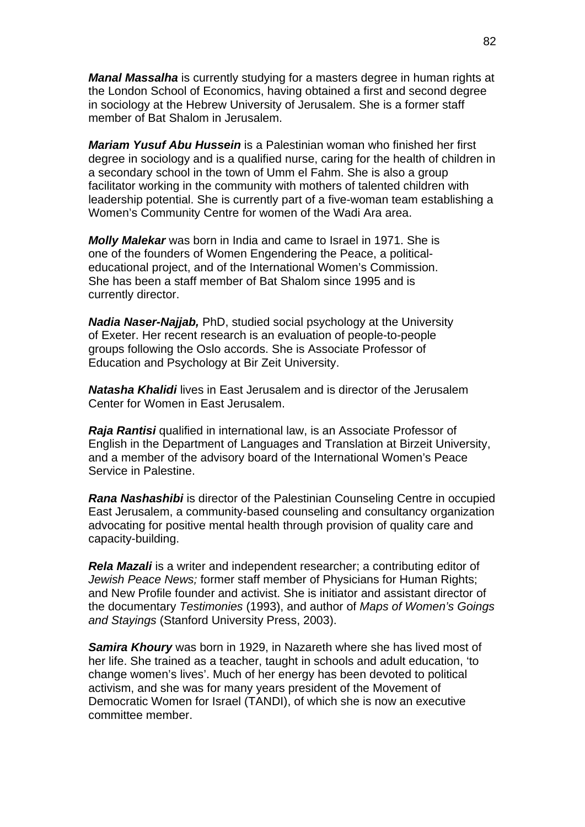*Manal Massalha* is currently studying for a masters degree in human rights at the London School of Economics, having obtained a first and second degree in sociology at the Hebrew University of Jerusalem. She is a former staff member of Bat Shalom in Jerusalem.

*Mariam Yusuf Abu Hussein* is a Palestinian woman who finished her first degree in sociology and is a qualified nurse, caring for the health of children in a secondary school in the town of Umm el Fahm. She is also a group facilitator working in the community with mothers of talented children with leadership potential. She is currently part of a five-woman team establishing a Women's Community Centre for women of the Wadi Ara area.

*Molly Malekar* was born in India and came to Israel in 1971. She is one of the founders of Women Engendering the Peace, a politicaleducational project, and of the International Women's Commission. She has been a staff member of Bat Shalom since 1995 and is currently director.

*Nadia Naser-Najjab,* PhD, studied social psychology at the University of Exeter. Her recent research is an evaluation of people-to-people groups following the Oslo accords. She is Associate Professor of Education and Psychology at Bir Zeit University.

*Natasha Khalidi* lives in East Jerusalem and is director of the Jerusalem Center for Women in East Jerusalem.

*Raja Rantisi* qualified in international law, is an Associate Professor of English in the Department of Languages and Translation at Birzeit University, and a member of the advisory board of the International Women's Peace Service in Palestine.

*Rana Nashashibi* is director of the Palestinian Counseling Centre in occupied East Jerusalem, a community-based counseling and consultancy organization advocating for positive mental health through provision of quality care and capacity-building.

*Rela Mazali* is a writer and independent researcher; a contributing editor of *Jewish Peace News;* former staff member of Physicians for Human Rights; and New Profile founder and activist. She is initiator and assistant director of the documentary *Testimonies* (1993), and author of *Maps of Women's Goings and Stayings* (Stanford University Press, 2003).

*Samira Khoury* was born in 1929, in Nazareth where she has lived most of her life. She trained as a teacher, taught in schools and adult education, 'to change women's lives'. Much of her energy has been devoted to political activism, and she was for many years president of the Movement of Democratic Women for Israel (TANDI), of which she is now an executive committee member.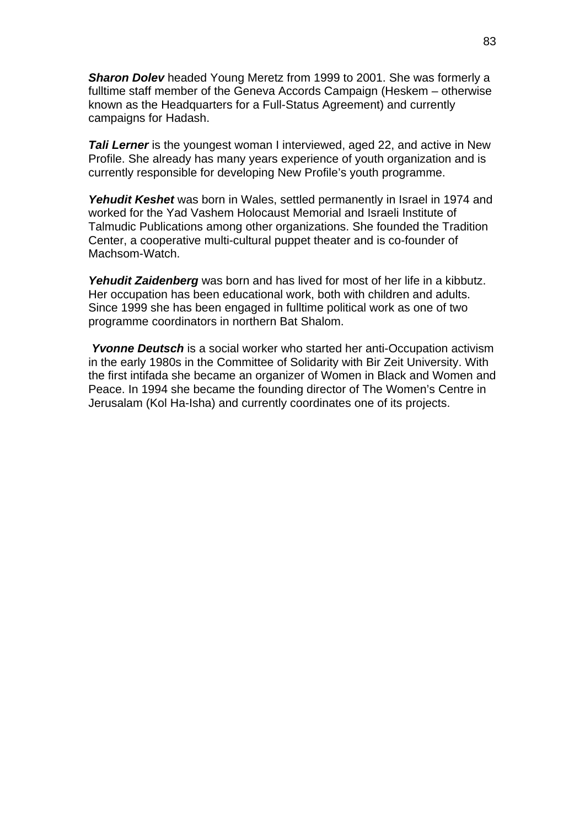*Sharon Dolev* headed Young Meretz from 1999 to 2001. She was formerly a fulltime staff member of the Geneva Accords Campaign (Heskem – otherwise known as the Headquarters for a Full-Status Agreement) and currently campaigns for Hadash.

**Tali Lerner** is the youngest woman I interviewed, aged 22, and active in New Profile. She already has many years experience of youth organization and is currently responsible for developing New Profile's youth programme.

*Yehudit Keshet* was born in Wales, settled permanently in Israel in 1974 and worked for the Yad Vashem Holocaust Memorial and Israeli Institute of Talmudic Publications among other organizations. She founded the Tradition Center, a cooperative multi-cultural puppet theater and is co-founder of Machsom-Watch.

*Yehudit Zaidenberg* was born and has lived for most of her life in a kibbutz. Her occupation has been educational work, both with children and adults. Since 1999 she has been engaged in fulltime political work as one of two programme coordinators in northern Bat Shalom.

*Yvonne Deutsch* is a social worker who started her anti-Occupation activism in the early 1980s in the Committee of Solidarity with Bir Zeit University. With the first intifada she became an organizer of Women in Black and Women and Peace. In 1994 she became the founding director of The Women's Centre in Jerusalam (Kol Ha-Isha) and currently coordinates one of its projects.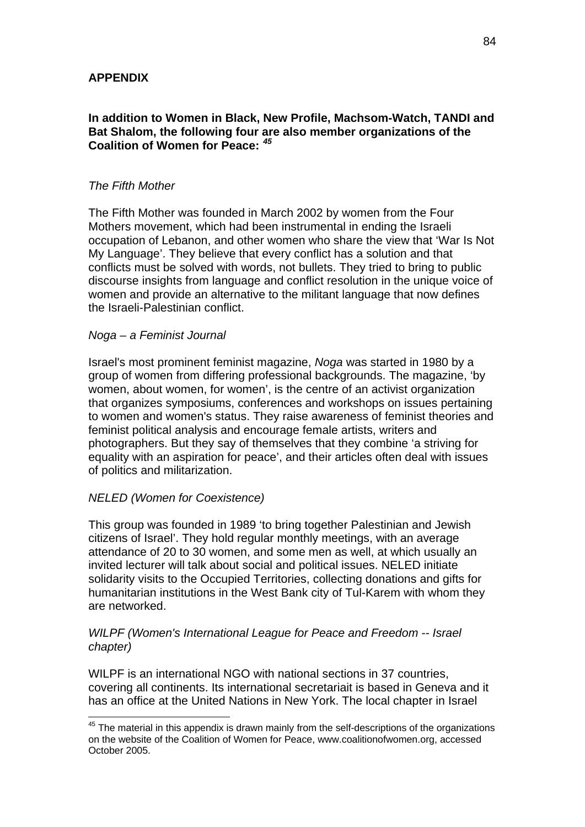### **APPENDIX**

### **In addition to Women in Black, New Profile, Machsom-Watch, TANDI and Bat Shalom, the following four are also member organizations of the Coalition of Women for Peace:** *[45](#page-83-0)*

#### *The Fifth Mother*

The Fifth Mother was founded in March 2002 by women from the Four Mothers movement, which had been instrumental in ending the Israeli occupation of Lebanon, and other women who share the view that 'War Is Not My Language'. They believe that every conflict has a solution and that conflicts must be solved with words, not bullets. They tried to bring to public discourse insights from language and conflict resolution in the unique voice of women and provide an alternative to the militant language that now defines the Israeli-Palestinian conflict.

#### *Noga – a Feminist Journal*

Israel's most prominent feminist magazine, *Noga* was started in 1980 by a group of women from differing professional backgrounds. The magazine, 'by women, about women, for women', is the centre of an activist organization that organizes symposiums, conferences and workshops on issues pertaining to women and women's status. They raise awareness of feminist theories and feminist political analysis and encourage female artists, writers and photographers. But they say of themselves that they combine 'a striving for equality with an aspiration for peace', and their articles often deal with issues of politics and militarization.

### *NELED (Women for Coexistence)*

1

This group was founded in 1989 'to bring together Palestinian and Jewish citizens of Israel'. They hold regular monthly meetings, with an average attendance of 20 to 30 women, and some men as well, at which usually an invited lecturer will talk about social and political issues. NELED initiate solidarity visits to the Occupied Territories, collecting donations and gifts for humanitarian institutions in the West Bank city of Tul-Karem with whom they are networked.

### *WILPF (Women's International League for Peace and Freedom -- Israel chapter)*

WILPF is an international NGO with national sections in 37 countries, covering all continents. Its international secretariait is based in Geneva and it has an office at the United Nations in New York. The local chapter in Israel

<span id="page-83-0"></span> $45$  The material in this appendix is drawn mainly from the self-descriptions of the organizations on the website of the Coalition of Women for Peace, www.coalitionofwomen.org, accessed October 2005.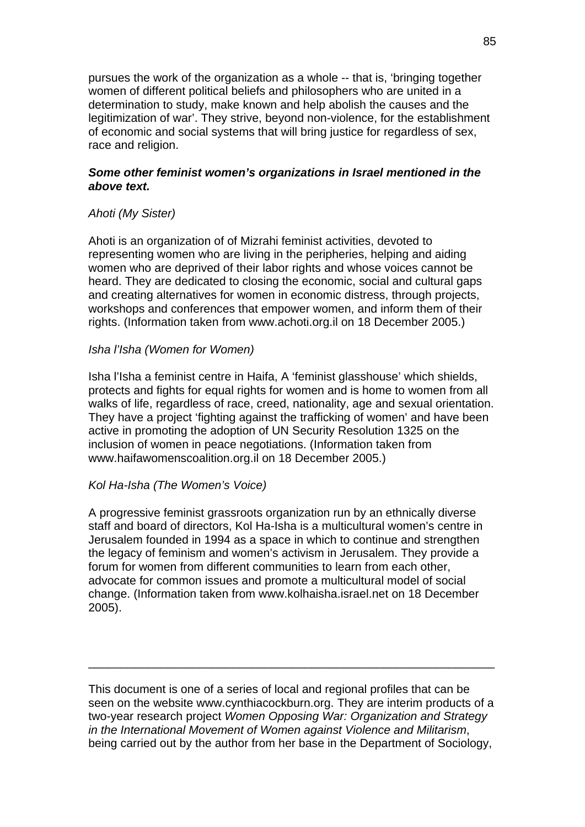pursues the work of the organization as a whole -- that is, 'bringing together women of different political beliefs and philosophers who are united in a determination to study, make known and help abolish the causes and the legitimization of war'. They strive, beyond non-violence, for the establishment of economic and social systems that will bring justice for regardless of sex, race and religion.

### *Some other feminist women's organizations in Israel mentioned in the above text.*

## *Ahoti (My Sister)*

Ahoti is an organization of of Mizrahi feminist activities, devoted to representing women who are living in the peripheries, helping and aiding women who are deprived of their labor rights and whose voices cannot be heard. They are dedicated to closing the economic, social and cultural gaps and creating alternatives for women in economic distress, through projects, workshops and conferences that empower women, and inform them of their rights. (Information taken from www.achoti.org.il on 18 December 2005.)

#### *Isha l'Isha (Women for Women)*

Isha l'Isha a feminist centre in Haifa, A 'feminist glasshouse' which shields, protects and fights for equal rights for women and is home to women from all walks of life, regardless of race, creed, nationality, age and sexual orientation. They have a project 'fighting against the trafficking of women' and have been active in promoting the adoption of UN Security Resolution 1325 on the inclusion of women in peace negotiations. (Information taken from www.haifawomenscoalition.org.il on 18 December 2005.)

### *Kol Ha-Isha (The Women's Voice)*

A progressive feminist grassroots organization run by an ethnically diverse staff and board of directors, Kol Ha-Isha is a multicultural women's centre in Jerusalem founded in 1994 as a space in which to continue and strengthen the legacy of feminism and women's activism in Jerusalem. They provide a forum for women from different communities to learn from each other, advocate for common issues and promote a multicultural model of social change. (Information taken from www.kolhaisha.israel.net on 18 December 2005).

This document is one of a series of local and regional profiles that can be seen on the website www.cynthiacockburn.org. They are interim products of a two-year research project *Women Opposing War: Organization and Strategy in the International Movement of Women against Violence and Militarism*, being carried out by the author from her base in the Department of Sociology,

\_\_\_\_\_\_\_\_\_\_\_\_\_\_\_\_\_\_\_\_\_\_\_\_\_\_\_\_\_\_\_\_\_\_\_\_\_\_\_\_\_\_\_\_\_\_\_\_\_\_\_\_\_\_\_\_\_\_\_\_\_\_